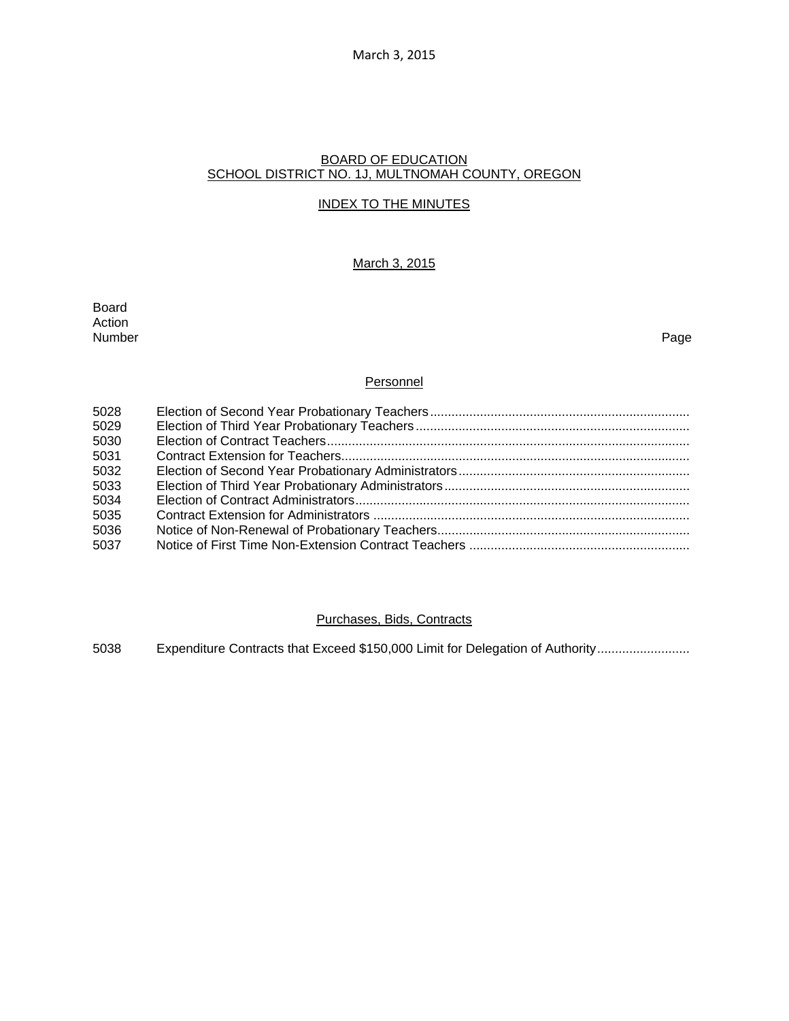March 3, 2015

## BOARD OF EDUCATION SCHOOL DISTRICT NO. 1J, MULTNOMAH COUNTY, OREGON

## INDEX TO THE MINUTES

# March 3, 2015

Board Action Number Page

### **Personnel**

| 5028<br>5029 |  |
|--------------|--|
| 5030<br>5031 |  |
| 5032         |  |
| 5033         |  |
| 5034         |  |
| 5035         |  |
| 5036<br>5037 |  |

### Purchases, Bids, Contracts

5038 Expenditure Contracts that Exceed \$150,000 Limit for Delegation of Authority .........................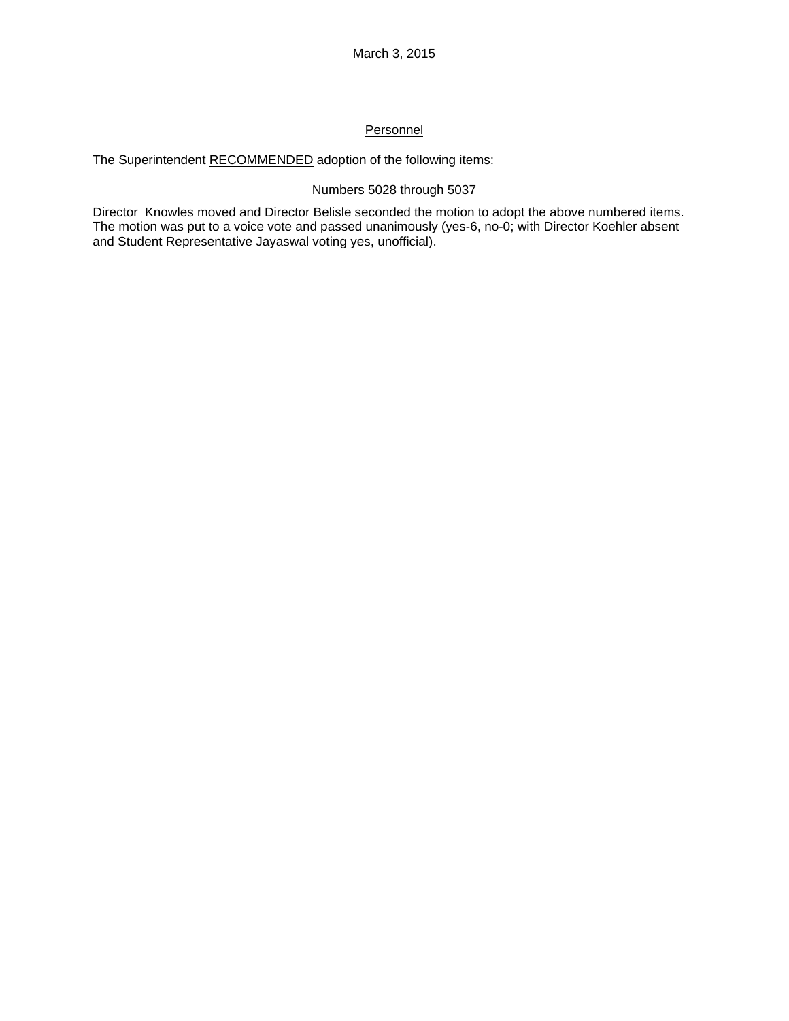# **Personnel**

The Superintendent RECOMMENDED adoption of the following items:

# Numbers 5028 through 5037

Director Knowles moved and Director Belisle seconded the motion to adopt the above numbered items. The motion was put to a voice vote and passed unanimously (yes-6, no-0; with Director Koehler absent and Student Representative Jayaswal voting yes, unofficial).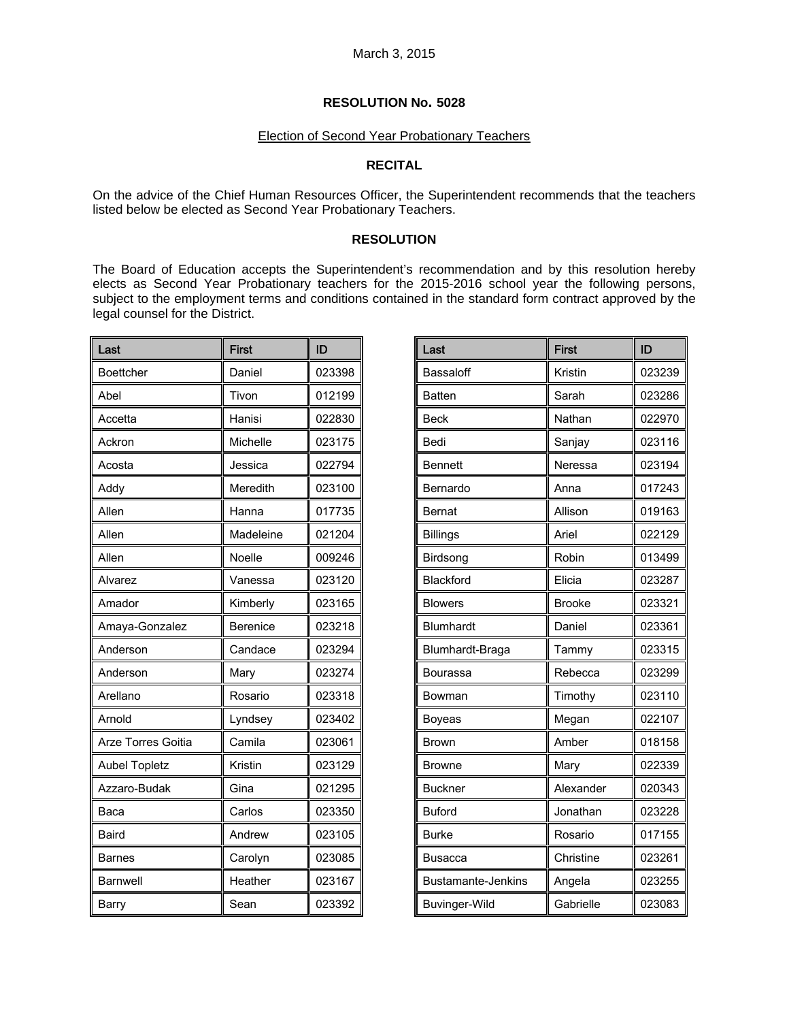# Election of Second Year Probationary Teachers

# **RECITAL**

On the advice of the Chief Human Resources Officer, the Superintendent recommends that the teachers listed below be elected as Second Year Probationary Teachers.

### **RESOLUTION**

The Board of Education accepts the Superintendent's recommendation and by this resolution hereby elects as Second Year Probationary teachers for the 2015-2016 school year the following persons, subject to the employment terms and conditions contained in the standard form contract approved by the legal counsel for the District.

| Last                 | <b>First</b>    | ID     |
|----------------------|-----------------|--------|
| Boettcher            | Daniel          | 023398 |
| Abel                 | Tivon           | 012199 |
| Accetta              | Hanisi          | 022830 |
| Ackron               | Michelle        | 023175 |
| Acosta               | Jessica         | 022794 |
| Addy                 | Meredith        | 023100 |
| Allen                | Hanna           | 017735 |
| Allen                | Madeleine       | 021204 |
| Allen                | Noelle          | 009246 |
| Alvarez              | Vanessa         | 023120 |
| Amador               | Kimberly        | 023165 |
| Amaya-Gonzalez       | <b>Berenice</b> | 023218 |
| Anderson             | Candace         | 023294 |
| Anderson             | Mary            | 023274 |
| Arellano             | Rosario         | 023318 |
| Arnold               | Lyndsey         | 023402 |
| Arze Torres Goitia   | Camila          | 023061 |
| <b>Aubel Topletz</b> | Kristin         | 023129 |
| Azzaro-Budak         | Gina            | 021295 |
| Baca                 | Carlos          | 023350 |
| <b>Baird</b>         | Andrew          | 023105 |
| <b>Barnes</b>        | Carolyn         | 023085 |
| <b>Barnwell</b>      | Heather         | 023167 |
| Barry                | Sean            | 023392 |

| Last                      | <b>First</b>  | ID     |
|---------------------------|---------------|--------|
| Bassaloff                 | Kristin       | 023239 |
| <b>Batten</b>             | Sarah         | 023286 |
| <b>Beck</b>               | Nathan        | 022970 |
| Bedi                      | Sanjay        | 023116 |
| <b>Bennett</b>            | Neressa       | 023194 |
| Bernardo                  | Anna          | 017243 |
| <b>Bernat</b>             | Allison       | 019163 |
| <b>Billings</b>           | Ariel         | 022129 |
| Birdsong                  | Robin         | 013499 |
| Blackford                 | Elicia        | 023287 |
| <b>Blowers</b>            | <b>Brooke</b> | 023321 |
| <b>Blumhardt</b>          | Daniel        | 023361 |
| Blumhardt-Braga           | Tammy         | 023315 |
| Bourassa                  | Rebecca       | 023299 |
| Bowman                    | Timothy       | 023110 |
| Boyeas                    | Megan         | 022107 |
| Brown                     | Amber         | 018158 |
| Browne                    | Mary          | 022339 |
| <b>Buckner</b>            | Alexander     | 020343 |
| <b>Buford</b>             | Jonathan      | 023228 |
| <b>Burke</b>              | Rosario       | 017155 |
| Busacca                   | Christine     | 023261 |
| <b>Bustamante-Jenkins</b> | Angela        | 023255 |
| <b>Buvinger-Wild</b>      | Gabrielle     | 023083 |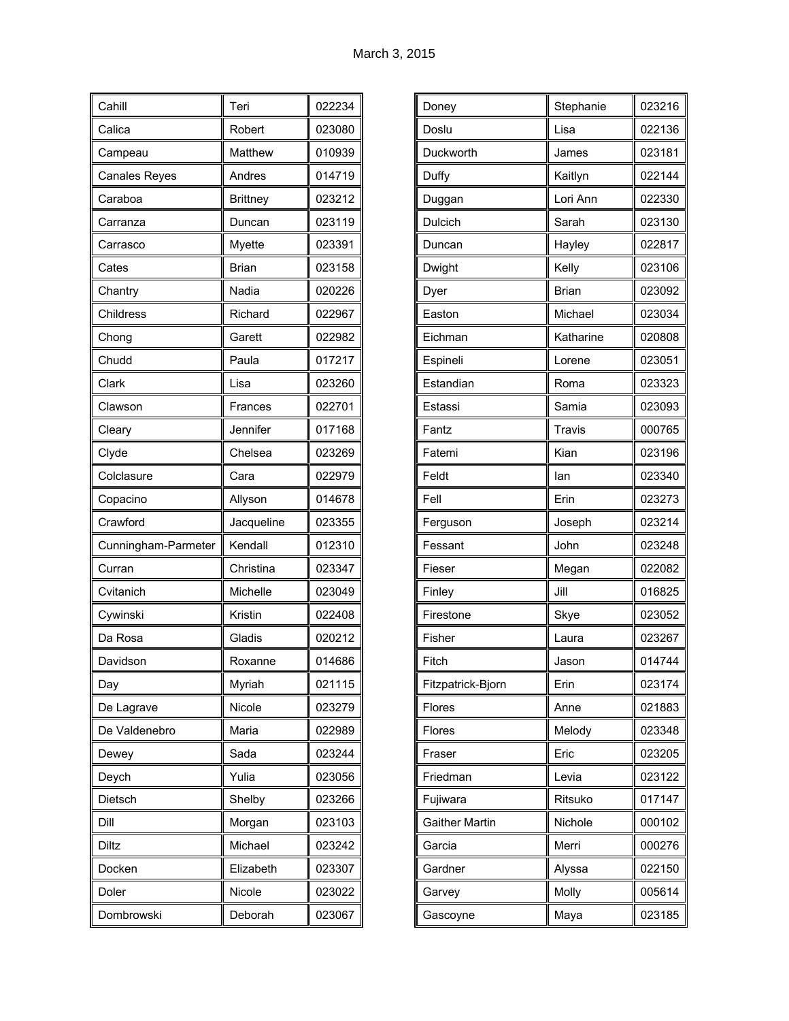| Cahill               | Teri            | 022234 |
|----------------------|-----------------|--------|
| Calica               | Robert          | 023080 |
| Campeau              | Matthew         | 010939 |
| <b>Canales Reyes</b> | Andres          | 014719 |
| Caraboa              | <b>Brittney</b> | 023212 |
| Carranza             | Duncan          | 023119 |
| Carrasco             | Myette          | 023391 |
| Cates                | <b>Brian</b>    | 023158 |
| Chantry              | Nadia           | 020226 |
| Childress            | Richard         | 022967 |
| Chong                | Garett          | 022982 |
| Chudd                | Paula           | 017217 |
| Clark                | Lisa            | 023260 |
| Clawson              | Frances         | 022701 |
| Cleary               | Jennifer        | 017168 |
| Clyde                | Chelsea         | 023269 |
| Colclasure           | Cara            | 022979 |
| Copacino             | Allyson         | 014678 |
| Crawford             | Jacqueline      | 023355 |
| Cunningham-Parmeter  | Kendall         | 012310 |
| Curran               | Christina       | 023347 |
| Cvitanich            | Michelle        | 023049 |
| Cywinski             | Kristin         | 022408 |
| Da Rosa              | Gladis          | 020212 |
| Davidson             | Roxanne         | 014686 |
| Day                  | Myriah          | 021115 |
| De Lagrave           | Nicole          | 023279 |
| De Valdenebro        | Maria           | 022989 |
| Dewey                | Sada            | 023244 |
| Deych                | Yulia           | 023056 |
| Dietsch              | Shelby          | 023266 |
| Dill                 | Morgan          | 023103 |
| Diltz                | Michael         | 023242 |
| Docken               | Elizabeth       | 023307 |
| Doler                | Nicole          | 023022 |
| Dombrowski           | Deborah         | 023067 |

| Doney                 | Stephanie    | 023216 |
|-----------------------|--------------|--------|
| Doslu                 | Lisa         | 022136 |
| Duckworth             | James        | 023181 |
| Duffy                 | Kaitlyn      | 022144 |
| Duggan                | Lori Ann     | 022330 |
| Dulcich               | Sarah        | 023130 |
| Duncan                | Hayley       | 022817 |
| Dwight                | Kelly        | 023106 |
| Dyer                  | <b>Brian</b> | 023092 |
| Easton                | Michael      | 023034 |
| Eichman               | Katharine    | 020808 |
| Espineli              | Lorene       | 023051 |
| Estandian             | Roma         | 023323 |
| Estassi               | Samia        | 023093 |
| Fantz                 | Travis       | 000765 |
| Fatemi                | Kian         | 023196 |
| Feldt                 | lan          | 023340 |
| Fell                  | Erin         | 023273 |
| Ferguson              | Joseph       | 023214 |
| Fessant               | John         | 023248 |
| Fieser                | Megan        | 022082 |
| Finley                | Jill         | 016825 |
| Firestone             | Skye         | 023052 |
| Fisher                | Laura        | 023267 |
| Fitch                 | Jason        | 014744 |
| Fitzpatrick-Bjorn     | Erin         | 023174 |
| Flores                | Anne         | 021883 |
| Flores                | Melody       | 023348 |
| Fraser                | Eric         | 023205 |
| Friedman              | Levia        | 023122 |
| Fujiwara              | Ritsuko      | 017147 |
| <b>Gaither Martin</b> | Nichole      | 000102 |
| Garcia                | Merri        | 000276 |
| Gardner               | Alyssa       | 022150 |
| Garvey                | Molly        | 005614 |
| Gascoyne              | Maya         | 023185 |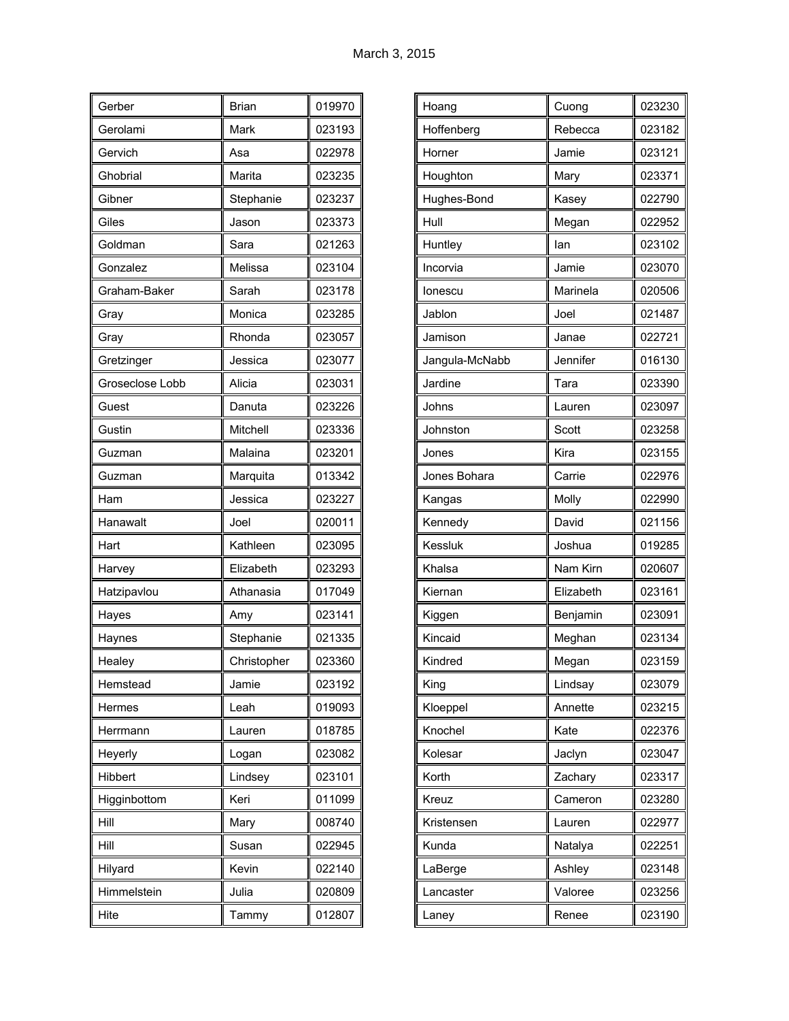| Gerber          | <b>Brian</b> | 019970 |
|-----------------|--------------|--------|
| Gerolami        | Mark         | 023193 |
| Gervich         | Asa          | 022978 |
| Ghobrial        | Marita       | 023235 |
| Gibner          | Stephanie    | 023237 |
| Giles           | Jason        | 023373 |
| Goldman         | Sara         | 021263 |
| Gonzalez        | Melissa      | 023104 |
| Graham-Baker    | Sarah        | 023178 |
| Gray            | Monica       | 023285 |
| Gray            | Rhonda       | 023057 |
| Gretzinger      | Jessica      | 023077 |
| Groseclose Lobb | Alicia       | 023031 |
| Guest           | Danuta       | 023226 |
| Gustin          | Mitchell     | 023336 |
| Guzman          | Malaina      | 023201 |
| Guzman          | Marquita     | 013342 |
| Ham             | Jessica      | 023227 |
| Hanawalt        | Joel         | 020011 |
| Hart            | Kathleen     | 023095 |
| Harvey          | Elizabeth    | 023293 |
| Hatzipavlou     | Athanasia    | 017049 |
| Hayes           | Amy          | 023141 |
| Haynes          | Stephanie    | 021335 |
| Healey          | Christopher  | 023360 |
| Hemstead        | Jamie        | 023192 |
| Hermes          | Leah         | 019093 |
| Herrmann        | Lauren       | 018785 |
| Heyerly         | Logan        | 023082 |
| Hibbert         | Lindsey      | 023101 |
| Higginbottom    | Keri         | 011099 |
| Hill            | Mary         | 008740 |
| Hill            | Susan        | 022945 |
| Hilyard         | Kevin        | 022140 |
| Himmelstein     | Julia        | 020809 |
| Hite            | Tammy        | 012807 |

| Hoang          | Cuong     | 023230 |
|----------------|-----------|--------|
| Hoffenberg     | Rebecca   | 023182 |
| Horner         | Jamie     | 023121 |
| Houghton       | Mary      | 023371 |
| Hughes-Bond    | Kasey     | 022790 |
| Hull           | Megan     | 022952 |
| Huntley        | lan       | 023102 |
| Incorvia       | Jamie     | 023070 |
| lonescu        | Marinela  | 020506 |
| Jablon         | Joel      | 021487 |
| Jamison        | Janae     | 022721 |
| Jangula-McNabb | Jennifer  | 016130 |
| Jardine        | Tara      | 023390 |
| Johns          | Lauren    | 023097 |
| Johnston       | Scott     | 023258 |
| Jones          | Kira      | 023155 |
| Jones Bohara   | Carrie    | 022976 |
| Kangas         | Molly     | 022990 |
| Kennedy        | David     | 021156 |
| Kessluk        | Joshua    | 019285 |
| Khalsa         | Nam Kirn  | 020607 |
| Kiernan        | Elizabeth | 023161 |
| Kiggen         | Benjamin  | 023091 |
| Kincaid        | Meghan    | 023134 |
| Kindred        | Megan     | 023159 |
| King           | Lindsay   | 023079 |
| Kloeppel       | Annette   | 023215 |
| Knochel        | Kate      | 022376 |
| Kolesar        | Jaclyn    | 023047 |
| Korth          | Zachary   | 023317 |
| Kreuz          | Cameron   | 023280 |
| Kristensen     | Lauren    | 022977 |
| Kunda          | Natalya   | 022251 |
| LaBerge        | Ashley    | 023148 |
| Lancaster      | Valoree   | 023256 |
| Laney          | Renee     | 023190 |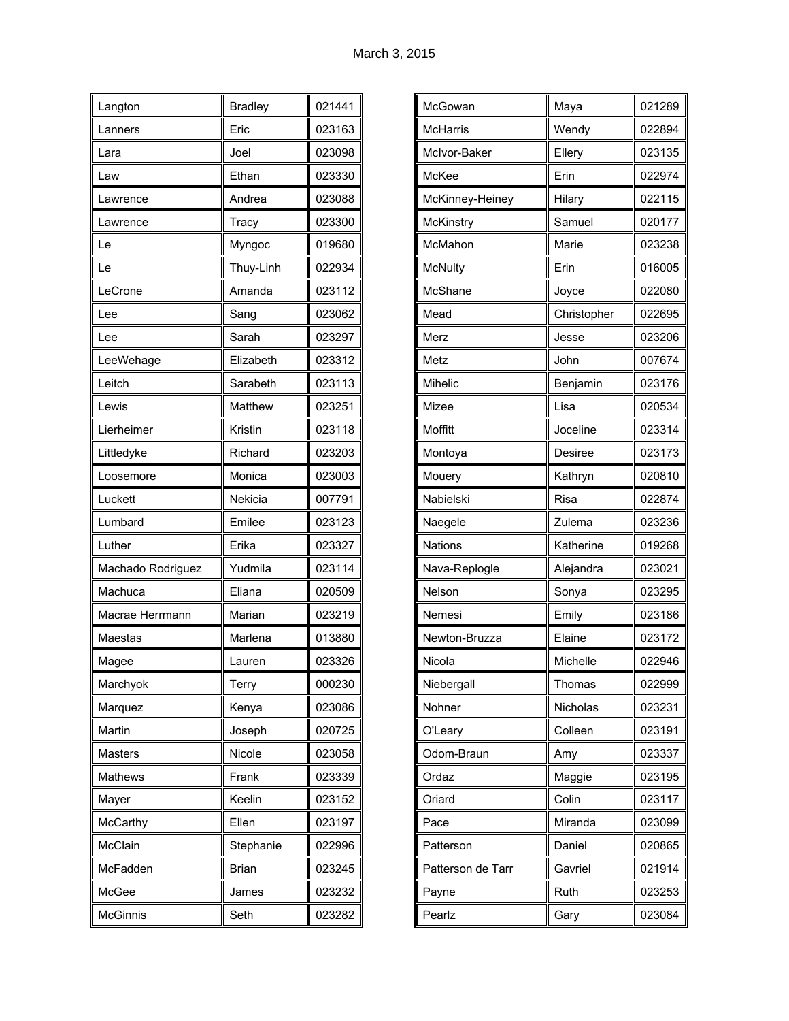| Langton           | <b>Bradley</b> | 021441 |
|-------------------|----------------|--------|
| Lanners           | Eric           | 023163 |
| Lara              | Joel           | 023098 |
| Law               | Ethan          | 023330 |
| Lawrence          | Andrea         | 023088 |
| Lawrence          | Tracy          | 023300 |
| Le                | Myngoc         | 019680 |
| Le                | Thuy-Linh      | 022934 |
| LeCrone           | Amanda         | 023112 |
| Lee               | Sang           | 023062 |
| Lee               | Sarah          | 023297 |
| LeeWehage         | Elizabeth      | 023312 |
| Leitch            | Sarabeth       | 023113 |
| Lewis             | Matthew        | 023251 |
| Lierheimer        | Kristin        | 023118 |
| Littledyke        | Richard        | 023203 |
| Loosemore         | Monica         | 023003 |
| Luckett           | Nekicia        | 007791 |
| Lumbard           | Emilee         | 023123 |
| Luther            | Erika          | 023327 |
| Machado Rodriguez | Yudmila        | 023114 |
| Machuca           | Eliana         | 020509 |
| Macrae Herrmann   | Marian         | 023219 |
| Maestas           | Marlena        | 013880 |
| Magee             | Lauren         | 023326 |
| Marchyok          | Terry          | 000230 |
| Marquez           | Kenya          | 023086 |
| Martin            | Joseph         | 020725 |
| Masters           | Nicole         | 023058 |
| <b>Mathews</b>    | Frank          | 023339 |
| Mayer             | Keelin         | 023152 |
| McCarthy          | Ellen          | 023197 |
| McClain           | Stephanie      | 022996 |
| McFadden          | <b>Brian</b>   | 023245 |
| McGee             | James          | 023232 |
| <b>McGinnis</b>   | Seth           | 023282 |

| McGowan           | Maya        | 021289 |
|-------------------|-------------|--------|
| McHarris          | Wendy       | 022894 |
| McIvor-Baker      | Ellery      | 023135 |
| McKee             | Erin        | 022974 |
| McKinney-Heiney   | Hilary      | 022115 |
| McKinstry         | Samuel      | 020177 |
| McMahon           | Marie       | 023238 |
| <b>McNulty</b>    | Erin        | 016005 |
| McShane           | Joyce       | 022080 |
| Mead              | Christopher | 022695 |
| Merz              | Jesse       | 023206 |
| Metz              | John        | 007674 |
| Mihelic           | Benjamin    | 023176 |
| Mizee             | Lisa        | 020534 |
| Moffitt           | Joceline    | 023314 |
| Montoya           | Desiree     | 023173 |
| Mouery            | Kathryn     | 020810 |
| Nabielski         | <b>Risa</b> | 022874 |
| Naegele           | Zulema      | 023236 |
| <b>Nations</b>    | Katherine   | 019268 |
| Nava-Replogle     | Alejandra   | 023021 |
| Nelson            | Sonya       | 023295 |
| Nemesi            | Emily       | 023186 |
| Newton-Bruzza     | Elaine      | 023172 |
| Nicola            | Michelle    | 022946 |
| Niebergall        | Thomas      | 022999 |
| Nohner            | Nicholas    | 023231 |
| O'Leary           | Colleen     | 023191 |
| Odom-Braun        | Amy         | 023337 |
| Ordaz             | Maggie      | 023195 |
| Oriard            | Colin       | 023117 |
| Pace              | Miranda     | 023099 |
| Patterson         | Daniel      | 020865 |
| Patterson de Tarr | Gavriel     | 021914 |
| Payne             | Ruth        | 023253 |
| Pearlz            | Gary        | 023084 |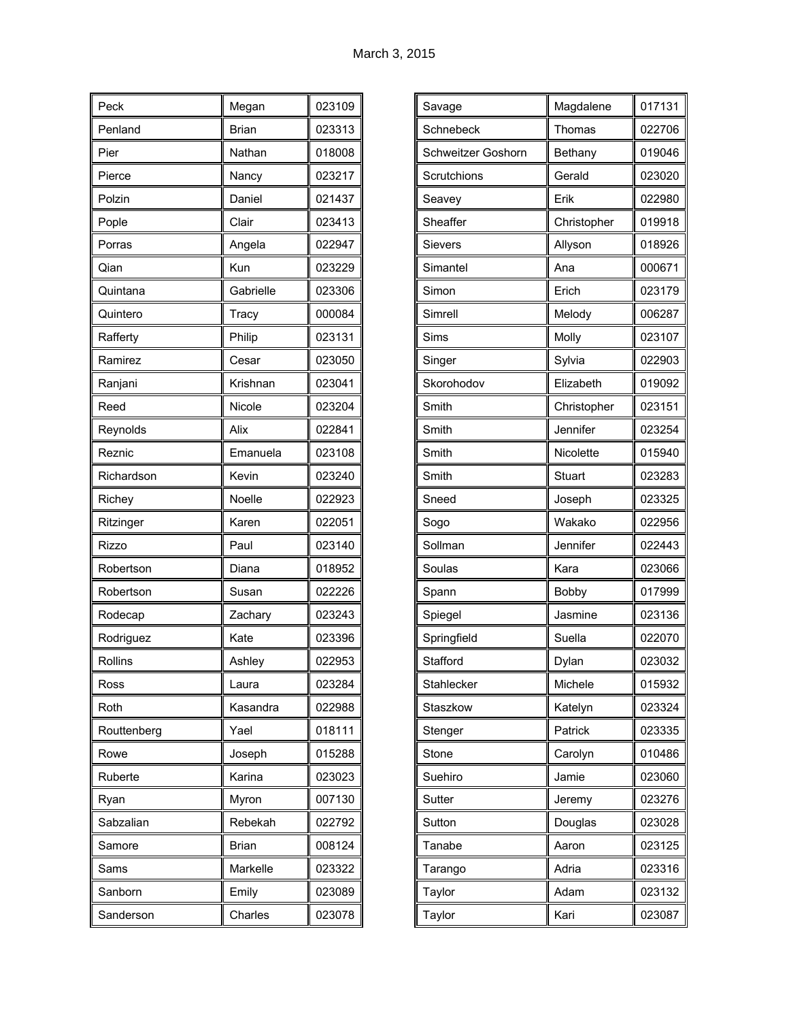| Peck         | Megan        | 023109 |
|--------------|--------------|--------|
| Penland      | Brian        | 023313 |
| Pier         | Nathan       | 018008 |
| Pierce       | Nancy        | 023217 |
| Polzin       | Daniel       | 021437 |
| Pople        | Clair        | 023413 |
| Porras       | Angela       | 022947 |
| Qian         | Kun          | 023229 |
| Quintana     | Gabrielle    | 023306 |
| Quintero     | Tracy        | 000084 |
| Rafferty     | Philip       | 023131 |
| Ramirez      | Cesar        | 023050 |
| Ranjani      | Krishnan     | 023041 |
| Reed         | Nicole       | 023204 |
| Reynolds     | Alix         | 022841 |
| Reznic       | Emanuela     | 023108 |
| Richardson   | Kevin        | 023240 |
| Richey       | Noelle       | 022923 |
| Ritzinger    | Karen        | 022051 |
| <b>Rizzo</b> | Paul         | 023140 |
| Robertson    | Diana        | 018952 |
| Robertson    | Susan        | 022226 |
| Rodecap      | Zachary      | 023243 |
| Rodriguez    | Kate         | 023396 |
| Rollins      | Ashley       | 022953 |
| Ross         | Laura        | 023284 |
| Roth         | Kasandra     | 022988 |
| Routtenberg  | Yael         | 018111 |
| Rowe         | Joseph       | 015288 |
| Ruberte      | Karina       | 023023 |
| Ryan         | Myron        | 007130 |
| Sabzalian    | Rebekah      | 022792 |
| Samore       | <b>Brian</b> | 008124 |
| Sams         | Markelle     | 023322 |
| Sanborn      | Emily        | 023089 |
| Sanderson    | Charles      | 023078 |

| 017131<br>Magdalene<br>Savage<br>022706<br>Schnebeck<br>Thomas<br>019046<br><b>Schweitzer Goshorn</b><br>Bethany<br>Gerald<br>023020<br>Scrutchions<br>Erik<br>022980<br>Seavey<br>019918<br>Sheaffer<br>Christopher<br>018926<br><b>Sievers</b><br>Allyson<br>000671<br>Simantel<br>Ana<br>Erich<br>023179<br>Simon<br>Simrell<br>006287<br>Melody<br>Molly<br>023107<br>Sims<br>022903<br>Sylvia<br>Singer<br>Elizabeth<br>Skorohodov<br>019092<br>Smith<br>023151<br>Christopher<br>Smith<br>Jennifer<br>023254<br>Smith<br>015940<br>Nicolette<br>Smith<br>023283<br>Stuart<br>023325<br>Sneed<br>Joseph<br>Wakako<br>022956<br>Sogo<br>Jennifer<br>022443<br>Sollman<br>Kara<br>023066<br>Soulas<br>017999<br>Bobby<br>Spann<br>Jasmine<br>Spiegel<br>023136<br>022070<br>Springfield<br>Suella<br>023032<br>Stafford<br>Dylan<br>015932<br>Michele<br>Stahlecker<br>023324<br>Staszkow<br>Katelyn<br>Patrick<br>023335<br>Stenger<br>010486<br>Stone<br>Carolyn<br>023060<br>Suehiro<br>Jamie<br>023276<br>Sutter<br>Jeremy<br>023028<br>Sutton<br>Douglas<br>023125<br>Tanabe<br>Aaron<br>023316<br>Adria<br>Tarango<br>Adam<br>023132<br>Taylor<br>Kari<br>023087<br>Taylor |  |  |
|-------------------------------------------------------------------------------------------------------------------------------------------------------------------------------------------------------------------------------------------------------------------------------------------------------------------------------------------------------------------------------------------------------------------------------------------------------------------------------------------------------------------------------------------------------------------------------------------------------------------------------------------------------------------------------------------------------------------------------------------------------------------------------------------------------------------------------------------------------------------------------------------------------------------------------------------------------------------------------------------------------------------------------------------------------------------------------------------------------------------------------------------------------------------------------------|--|--|
|                                                                                                                                                                                                                                                                                                                                                                                                                                                                                                                                                                                                                                                                                                                                                                                                                                                                                                                                                                                                                                                                                                                                                                                     |  |  |
|                                                                                                                                                                                                                                                                                                                                                                                                                                                                                                                                                                                                                                                                                                                                                                                                                                                                                                                                                                                                                                                                                                                                                                                     |  |  |
|                                                                                                                                                                                                                                                                                                                                                                                                                                                                                                                                                                                                                                                                                                                                                                                                                                                                                                                                                                                                                                                                                                                                                                                     |  |  |
|                                                                                                                                                                                                                                                                                                                                                                                                                                                                                                                                                                                                                                                                                                                                                                                                                                                                                                                                                                                                                                                                                                                                                                                     |  |  |
|                                                                                                                                                                                                                                                                                                                                                                                                                                                                                                                                                                                                                                                                                                                                                                                                                                                                                                                                                                                                                                                                                                                                                                                     |  |  |
|                                                                                                                                                                                                                                                                                                                                                                                                                                                                                                                                                                                                                                                                                                                                                                                                                                                                                                                                                                                                                                                                                                                                                                                     |  |  |
|                                                                                                                                                                                                                                                                                                                                                                                                                                                                                                                                                                                                                                                                                                                                                                                                                                                                                                                                                                                                                                                                                                                                                                                     |  |  |
|                                                                                                                                                                                                                                                                                                                                                                                                                                                                                                                                                                                                                                                                                                                                                                                                                                                                                                                                                                                                                                                                                                                                                                                     |  |  |
|                                                                                                                                                                                                                                                                                                                                                                                                                                                                                                                                                                                                                                                                                                                                                                                                                                                                                                                                                                                                                                                                                                                                                                                     |  |  |
|                                                                                                                                                                                                                                                                                                                                                                                                                                                                                                                                                                                                                                                                                                                                                                                                                                                                                                                                                                                                                                                                                                                                                                                     |  |  |
|                                                                                                                                                                                                                                                                                                                                                                                                                                                                                                                                                                                                                                                                                                                                                                                                                                                                                                                                                                                                                                                                                                                                                                                     |  |  |
|                                                                                                                                                                                                                                                                                                                                                                                                                                                                                                                                                                                                                                                                                                                                                                                                                                                                                                                                                                                                                                                                                                                                                                                     |  |  |
|                                                                                                                                                                                                                                                                                                                                                                                                                                                                                                                                                                                                                                                                                                                                                                                                                                                                                                                                                                                                                                                                                                                                                                                     |  |  |
|                                                                                                                                                                                                                                                                                                                                                                                                                                                                                                                                                                                                                                                                                                                                                                                                                                                                                                                                                                                                                                                                                                                                                                                     |  |  |
|                                                                                                                                                                                                                                                                                                                                                                                                                                                                                                                                                                                                                                                                                                                                                                                                                                                                                                                                                                                                                                                                                                                                                                                     |  |  |
|                                                                                                                                                                                                                                                                                                                                                                                                                                                                                                                                                                                                                                                                                                                                                                                                                                                                                                                                                                                                                                                                                                                                                                                     |  |  |
|                                                                                                                                                                                                                                                                                                                                                                                                                                                                                                                                                                                                                                                                                                                                                                                                                                                                                                                                                                                                                                                                                                                                                                                     |  |  |
|                                                                                                                                                                                                                                                                                                                                                                                                                                                                                                                                                                                                                                                                                                                                                                                                                                                                                                                                                                                                                                                                                                                                                                                     |  |  |
|                                                                                                                                                                                                                                                                                                                                                                                                                                                                                                                                                                                                                                                                                                                                                                                                                                                                                                                                                                                                                                                                                                                                                                                     |  |  |
|                                                                                                                                                                                                                                                                                                                                                                                                                                                                                                                                                                                                                                                                                                                                                                                                                                                                                                                                                                                                                                                                                                                                                                                     |  |  |
|                                                                                                                                                                                                                                                                                                                                                                                                                                                                                                                                                                                                                                                                                                                                                                                                                                                                                                                                                                                                                                                                                                                                                                                     |  |  |
|                                                                                                                                                                                                                                                                                                                                                                                                                                                                                                                                                                                                                                                                                                                                                                                                                                                                                                                                                                                                                                                                                                                                                                                     |  |  |
|                                                                                                                                                                                                                                                                                                                                                                                                                                                                                                                                                                                                                                                                                                                                                                                                                                                                                                                                                                                                                                                                                                                                                                                     |  |  |
|                                                                                                                                                                                                                                                                                                                                                                                                                                                                                                                                                                                                                                                                                                                                                                                                                                                                                                                                                                                                                                                                                                                                                                                     |  |  |
|                                                                                                                                                                                                                                                                                                                                                                                                                                                                                                                                                                                                                                                                                                                                                                                                                                                                                                                                                                                                                                                                                                                                                                                     |  |  |
|                                                                                                                                                                                                                                                                                                                                                                                                                                                                                                                                                                                                                                                                                                                                                                                                                                                                                                                                                                                                                                                                                                                                                                                     |  |  |
|                                                                                                                                                                                                                                                                                                                                                                                                                                                                                                                                                                                                                                                                                                                                                                                                                                                                                                                                                                                                                                                                                                                                                                                     |  |  |
|                                                                                                                                                                                                                                                                                                                                                                                                                                                                                                                                                                                                                                                                                                                                                                                                                                                                                                                                                                                                                                                                                                                                                                                     |  |  |
|                                                                                                                                                                                                                                                                                                                                                                                                                                                                                                                                                                                                                                                                                                                                                                                                                                                                                                                                                                                                                                                                                                                                                                                     |  |  |
|                                                                                                                                                                                                                                                                                                                                                                                                                                                                                                                                                                                                                                                                                                                                                                                                                                                                                                                                                                                                                                                                                                                                                                                     |  |  |
|                                                                                                                                                                                                                                                                                                                                                                                                                                                                                                                                                                                                                                                                                                                                                                                                                                                                                                                                                                                                                                                                                                                                                                                     |  |  |
|                                                                                                                                                                                                                                                                                                                                                                                                                                                                                                                                                                                                                                                                                                                                                                                                                                                                                                                                                                                                                                                                                                                                                                                     |  |  |
|                                                                                                                                                                                                                                                                                                                                                                                                                                                                                                                                                                                                                                                                                                                                                                                                                                                                                                                                                                                                                                                                                                                                                                                     |  |  |
|                                                                                                                                                                                                                                                                                                                                                                                                                                                                                                                                                                                                                                                                                                                                                                                                                                                                                                                                                                                                                                                                                                                                                                                     |  |  |
|                                                                                                                                                                                                                                                                                                                                                                                                                                                                                                                                                                                                                                                                                                                                                                                                                                                                                                                                                                                                                                                                                                                                                                                     |  |  |
|                                                                                                                                                                                                                                                                                                                                                                                                                                                                                                                                                                                                                                                                                                                                                                                                                                                                                                                                                                                                                                                                                                                                                                                     |  |  |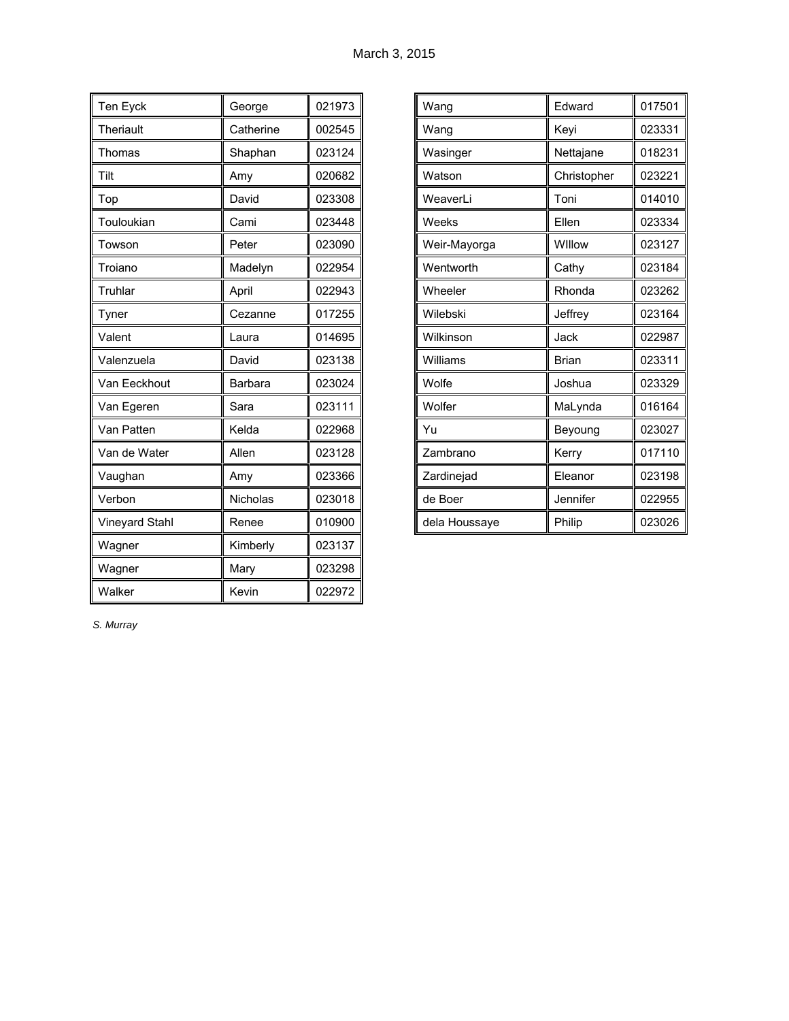| Ten Eyck       | George    | 021973 |
|----------------|-----------|--------|
| Theriault      | Catherine | 002545 |
| Thomas         | Shaphan   | 023124 |
| Tilt           | Amy       | 020682 |
| Top            | David     | 023308 |
| Touloukian     | Cami      | 023448 |
| Towson         | Peter     | 023090 |
| Troiano        | Madelyn   | 022954 |
| Truhlar        | April     | 022943 |
| Tyner          | Cezanne   | 017255 |
| Valent         | Laura     | 014695 |
| Valenzuela     | David     | 023138 |
| Van Eeckhout   | Barbara   | 023024 |
| Van Egeren     | Sara      | 023111 |
| Van Patten     | Kelda     | 022968 |
| Van de Water   | Allen     | 023128 |
| Vaughan        | Amy       | 023366 |
| Verbon         | Nicholas  | 023018 |
| Vineyard Stahl | Renee     | 010900 |
| Wagner         | Kimberly  | 023137 |
| Wagner         | Mary      | 023298 |
| Walker         | Kevin     | 022972 |

| Wang          | Edward       | 017501 |
|---------------|--------------|--------|
| Wang          | Keyi         | 023331 |
| Wasinger      | Nettajane    | 018231 |
| Watson        | Christopher  | 023221 |
| WeaverLi      | Toni         | 014010 |
| Weeks         | Ellen        | 023334 |
| Weir-Mayorga  | Willow       | 023127 |
| Wentworth     | Cathy        | 023184 |
| Wheeler       | Rhonda       | 023262 |
| Wilebski      | Jeffrey      | 023164 |
| Wilkinson     | Jack         | 022987 |
| Williams      | <b>Brian</b> | 023311 |
| Wolfe         | Joshua       | 023329 |
| Wolfer        | MaLynda      | 016164 |
| Yu            | Beyoung      | 023027 |
| Zambrano      | Kerry        | 017110 |
| Zardinejad    | Eleanor      | 023198 |
| de Boer       | Jennifer     | 022955 |
| dela Houssaye | Philip       | 023026 |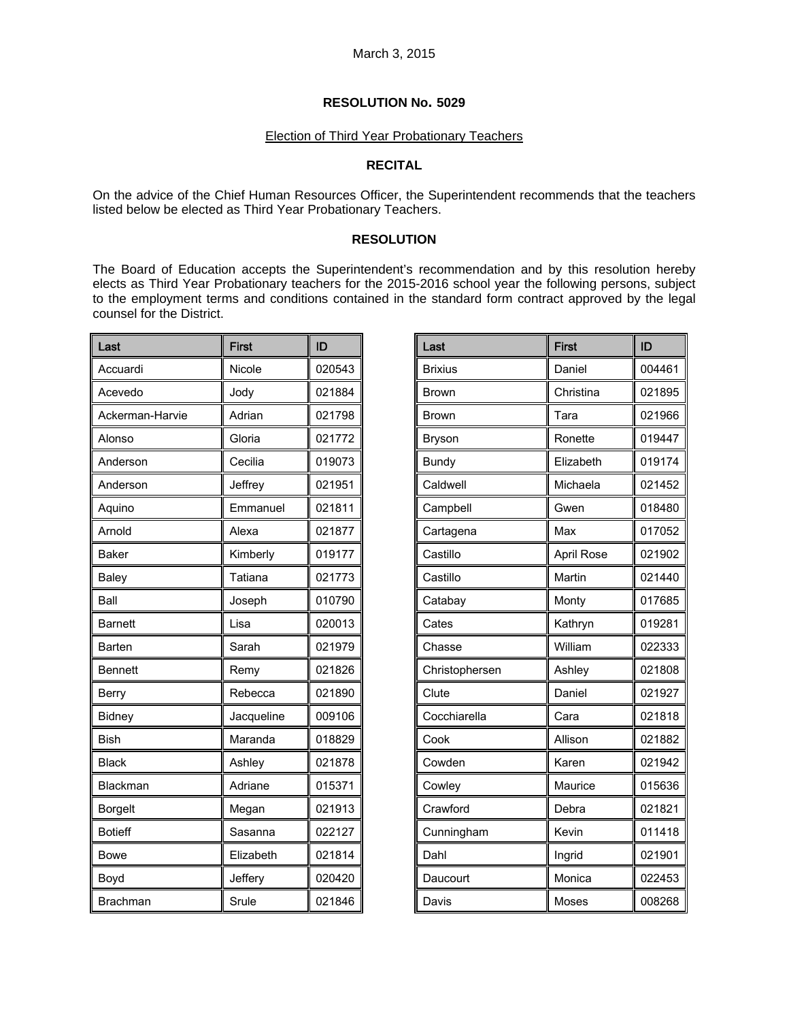# Election of Third Year Probationary Teachers

# **RECITAL**

On the advice of the Chief Human Resources Officer, the Superintendent recommends that the teachers listed below be elected as Third Year Probationary Teachers.

### **RESOLUTION**

The Board of Education accepts the Superintendent's recommendation and by this resolution hereby elects as Third Year Probationary teachers for the 2015-2016 school year the following persons, subject to the employment terms and conditions contained in the standard form contract approved by the legal counsel for the District.

| Last            | <b>First</b> | ID     |
|-----------------|--------------|--------|
| Accuardi        | Nicole       | 020543 |
| Acevedo         | Jody         | 021884 |
| Ackerman-Harvie | Adrian       | 021798 |
| Alonso          | Gloria       | 021772 |
| Anderson        | Cecilia      | 019073 |
| Anderson        | Jeffrey      | 021951 |
| Aquino          | Emmanuel     | 021811 |
| Arnold          | Alexa        | 021877 |
| <b>Baker</b>    | Kimberly     | 019177 |
| Baley           | Tatiana      | 021773 |
| Ball            | Joseph       | 010790 |
| <b>Barnett</b>  | Lisa         | 020013 |
| <b>Barten</b>   | Sarah        | 021979 |
| <b>Bennett</b>  | Remy         | 021826 |
| Berry           | Rebecca      | 021890 |
| Bidney          | Jacqueline   | 009106 |
| <b>Bish</b>     | Maranda      | 018829 |
| <b>Black</b>    | Ashley       | 021878 |
| Blackman        | Adriane      | 015371 |
| Borgelt         | Megan        | 021913 |
| <b>Botieff</b>  | Sasanna      | 022127 |
| <b>Bowe</b>     | Elizabeth    | 021814 |
| Boyd            | Jeffery      | 020420 |
| <b>Brachman</b> | Srule        | 021846 |

| Last           | <b>First</b>      | ID     |
|----------------|-------------------|--------|
| <b>Brixius</b> | Daniel            | 004461 |
| Brown          | Christina         | 021895 |
| Brown          | Tara              | 021966 |
| Bryson         | Ronette           | 019447 |
| <b>Bundy</b>   | Elizabeth         | 019174 |
| Caldwell       | Michaela          | 021452 |
| Campbell       | Gwen              | 018480 |
| Cartagena      | Max               | 017052 |
| Castillo       | <b>April Rose</b> | 021902 |
| Castillo       | Martin            | 021440 |
| Catabay        | Monty             | 017685 |
| Cates          | Kathryn           | 019281 |
| Chasse         | William           | 022333 |
| Christophersen | Ashley            | 021808 |
| Clute          | Daniel            | 021927 |
| Cocchiarella   | Cara              | 021818 |
| Cook           | Allison           | 021882 |
| Cowden         | Karen             | 021942 |
| Cowley         | Maurice           | 015636 |
| Crawford       | Debra             | 021821 |
| Cunningham     | Kevin             | 011418 |
| Dahl           | Ingrid            | 021901 |
| Daucourt       | Monica            | 022453 |
| Davis          | Moses             | 008268 |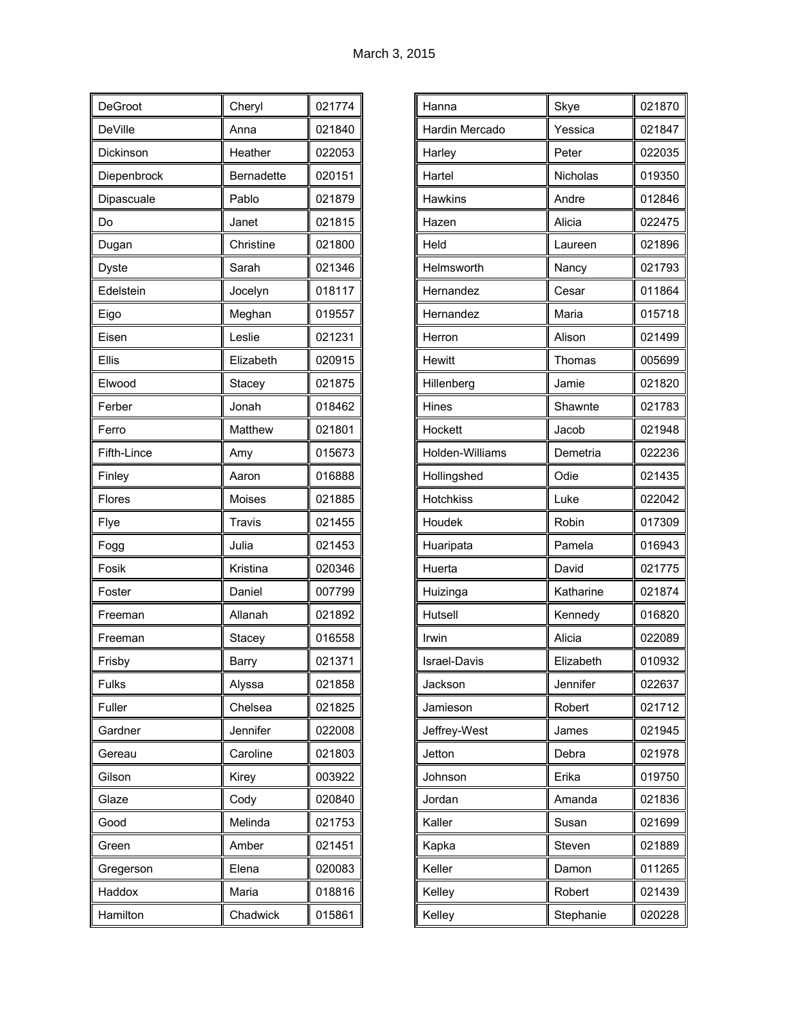| DeGroot        | Cheryl            | 021774 |
|----------------|-------------------|--------|
| <b>DeVille</b> | Anna              | 021840 |
| Dickinson      | Heather           | 022053 |
| Diepenbrock    | <b>Bernadette</b> | 020151 |
| Dipascuale     | Pablo             | 021879 |
| Do             | Janet             | 021815 |
| Dugan          | Christine         | 021800 |
| <b>Dyste</b>   | Sarah             | 021346 |
| Edelstein      | Jocelyn           | 018117 |
| Eigo           | Meghan            | 019557 |
| Eisen          | Leslie            | 021231 |
| Ellis          | Elizabeth         | 020915 |
| Elwood         | Stacey            | 021875 |
| Ferber         | Jonah             | 018462 |
| Ferro          | Matthew           | 021801 |
| Fifth-Lince    | Amy               | 015673 |
| Finley         | Aaron             | 016888 |
| Flores         | Moises            | 021885 |
| Flye           | Travis            | 021455 |
| Fogg           | Julia             | 021453 |
| Fosik          | Kristina          | 020346 |
| Foster         | Daniel            | 007799 |
| Freeman        | Allanah           | 021892 |
| Freeman        | Stacey            | 016558 |
| Frisby         | Barry             | 021371 |
| Fulks          | Alyssa            | 021858 |
| Fuller         | Chelsea           | 021825 |
| Gardner        | Jennifer          | 022008 |
| Gereau         | Caroline          | 021803 |
| Gilson         | Kirey             | 003922 |
| Glaze          | Cody              | 020840 |
| Good           | Melinda           | 021753 |
| Green          | Amber             | 021451 |
| Gregerson      | Elena             | 020083 |
| Haddox         | Maria             | 018816 |
| Hamilton       | Chadwick          | 015861 |

| Hanna            | Skye      | 021870 |
|------------------|-----------|--------|
| Hardin Mercado   | Yessica   | 021847 |
| Harley           | Peter     | 022035 |
| Hartel           | Nicholas  | 019350 |
| <b>Hawkins</b>   | Andre     | 012846 |
| Hazen            | Alicia    | 022475 |
| Held             | Laureen   | 021896 |
| Helmsworth       | Nancy     | 021793 |
| Hernandez        | Cesar     | 011864 |
| Hernandez        | Maria     | 015718 |
| Herron           | Alison    | 021499 |
| <b>Hewitt</b>    | Thomas    | 005699 |
| Hillenberg       | Jamie     | 021820 |
| Hines            | Shawnte   | 021783 |
| Hockett          | Jacob     | 021948 |
| Holden-Williams  | Demetria  | 022236 |
| Hollingshed      | Odie      | 021435 |
| <b>Hotchkiss</b> | Luke      | 022042 |
| Houdek           | Robin     | 017309 |
| Huaripata        | Pamela    | 016943 |
| Huerta           | David     | 021775 |
| Huizinga         | Katharine | 021874 |
| Hutsell          | Kennedy   | 016820 |
| Irwin            | Alicia    | 022089 |
| Israel-Davis     | Elizabeth | 010932 |
| Jackson          | Jennifer  | 022637 |
| Jamieson         | Robert    | 021712 |
| Jeffrey-West     | James     | 021945 |
| Jetton           | Debra     | 021978 |
| Johnson          | Erika     | 019750 |
| Jordan           | Amanda    | 021836 |
| Kaller           | Susan     | 021699 |
| Kapka            | Steven    | 021889 |
| Keller           | Damon     | 011265 |
| Kelley           | Robert    | 021439 |
| Kelley           | Stephanie | 020228 |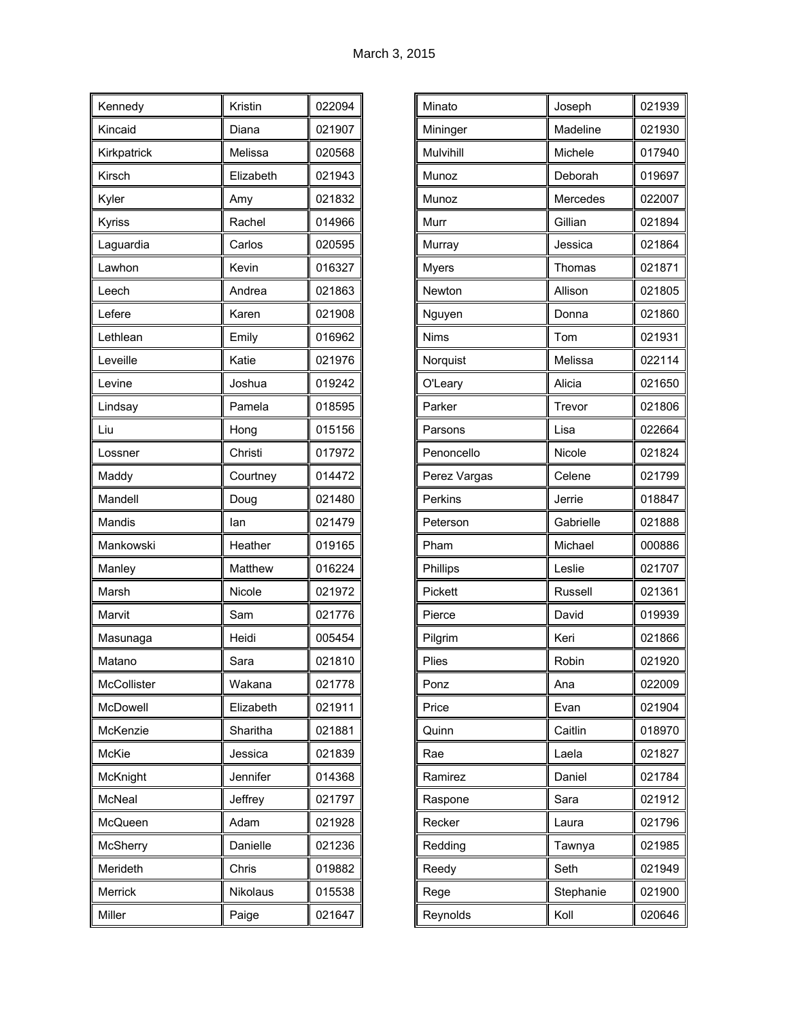| Kennedy         | Kristin   | 022094 |
|-----------------|-----------|--------|
| Kincaid         | Diana     | 021907 |
| Kirkpatrick     | Melissa   | 020568 |
| Kirsch          | Elizabeth | 021943 |
| Kyler           | Amy       | 021832 |
| Kyriss          | Rachel    | 014966 |
| Laguardia       | Carlos    | 020595 |
| Lawhon          | Kevin     | 016327 |
| Leech           | Andrea    | 021863 |
| Lefere          | Karen     | 021908 |
| Lethlean        | Emily     | 016962 |
| Leveille        | Katie     | 021976 |
| Levine          | Joshua    | 019242 |
| Lindsay         | Pamela    | 018595 |
| Liu             | Hong      | 015156 |
| Lossner         | Christi   | 017972 |
| Maddy           | Courtney  | 014472 |
| Mandell         | Doug      | 021480 |
| Mandis          | lan       | 021479 |
| Mankowski       | Heather   | 019165 |
| Manley          | Matthew   | 016224 |
| Marsh           | Nicole    | 021972 |
| Marvit          | Sam       | 021776 |
| Masunaga        | Heidi     | 005454 |
| Matano          | Sara      | 021810 |
| McCollister     | Wakana    | 021778 |
| McDowell        | Elizabeth | 021911 |
| McKenzie        | Sharitha  | 021881 |
| McKie           | Jessica   | 021839 |
| McKnight        | Jennifer  | 014368 |
| McNeal          | Jeffrey   | 021797 |
| McQueen         | Adam      | 021928 |
| <b>McSherry</b> | Danielle  | 021236 |
| Merideth        | Chris     | 019882 |
| Merrick         | Nikolaus  | 015538 |
| Miller          | Paige     | 021647 |

| Minato       | Joseph    | 021939 |
|--------------|-----------|--------|
| Mininger     | Madeline  | 021930 |
| Mulvihill    | Michele   | 017940 |
| Munoz        | Deborah   | 019697 |
| Munoz        | Mercedes  | 022007 |
| Murr         | Gillian   | 021894 |
| Murray       | Jessica   | 021864 |
| <b>Myers</b> | Thomas    | 021871 |
| Newton       | Allison   | 021805 |
| Nguyen       | Donna     | 021860 |
| <b>Nims</b>  | Tom       | 021931 |
| Norquist     | Melissa   | 022114 |
| O'Leary      | Alicia    | 021650 |
| Parker       | Trevor    | 021806 |
| Parsons      | Lisa      | 022664 |
| Penoncello   | Nicole    | 021824 |
| Perez Vargas | Celene    | 021799 |
| Perkins      | Jerrie    | 018847 |
| Peterson     | Gabrielle | 021888 |
| Pham         | Michael   | 000886 |
| Phillips     | Leslie    | 021707 |
| Pickett      | Russell   | 021361 |
| Pierce       | David     | 019939 |
| Pilgrim      | Keri      | 021866 |
| Plies        | Robin     | 021920 |
| Ponz         | Ana       | 022009 |
| Price        | Evan      | 021904 |
| Quinn        | Caitlin   | 018970 |
| Rae          | Laela     | 021827 |
| Ramirez      | Daniel    | 021784 |
| Raspone      | Sara      | 021912 |
| Recker       | Laura     | 021796 |
| Redding      | Tawnya    | 021985 |
| Reedy        | Seth      | 021949 |
| Rege         | Stephanie | 021900 |
| Reynolds     | Koll      | 020646 |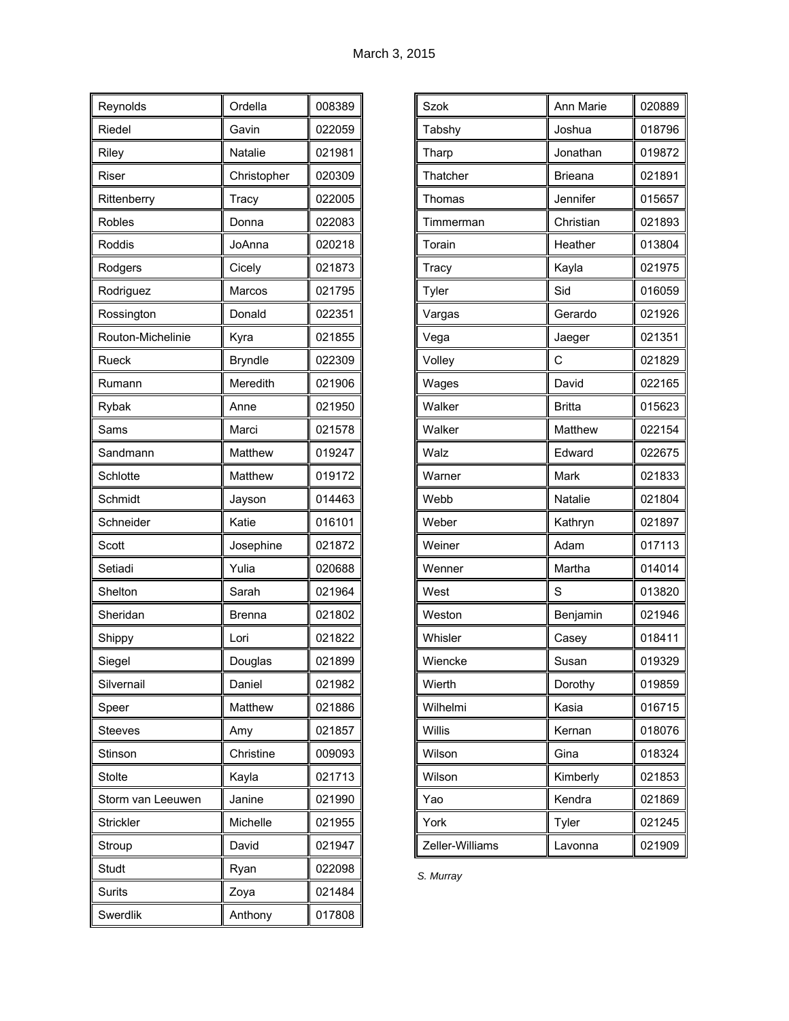| Reynolds          | Ordella        | 008389 |
|-------------------|----------------|--------|
| Riedel            | Gavin          | 022059 |
| Riley             | Natalie        | 021981 |
| Riser             | Christopher    | 020309 |
| Rittenberry       | Tracy          | 022005 |
| Robles            | Donna          | 022083 |
| Roddis            | JoAnna         | 020218 |
| Rodgers           | Cicely         | 021873 |
| Rodriguez         | Marcos         | 021795 |
| Rossington        | Donald         | 022351 |
| Routon-Michelinie | Kyra           | 021855 |
| Rueck             | <b>Bryndle</b> | 022309 |
| Rumann            | Meredith       | 021906 |
| Rybak             | Anne           | 021950 |
| Sams              | Marci          | 021578 |
| Sandmann          | Matthew        | 019247 |
| Schlotte          | Matthew        | 019172 |
| Schmidt           | Jayson         | 014463 |
| Schneider         | Katie          | 016101 |
| Scott             | Josephine      | 021872 |
| Setiadi           | Yulia          | 020688 |
| Shelton           | Sarah          | 021964 |
| Sheridan          | <b>Brenna</b>  | 021802 |
| Shippy            | Lori           | 021822 |
| Siegel            | Douglas        | 021899 |
| Silvernail        | Daniel         | 021982 |
| Speer             | Matthew        | 021886 |
| <b>Steeves</b>    | Amy            | 021857 |
| Stinson           | Christine      | 009093 |
| Stolte            | Kayla          | 021713 |
| Storm van Leeuwen | Janine         | 021990 |
| <b>Strickler</b>  | Michelle       | 021955 |
| Stroup            | David          | 021947 |
| Studt             | Ryan           | 022098 |
| <b>Surits</b>     | Zoya           | 021484 |
| Swerdlik          | Anthony        | 017808 |

| <b>Szok</b>     | Ann Marie      | 020889 |
|-----------------|----------------|--------|
| Tabshy          | Joshua         | 018796 |
| Tharp           | Jonathan       | 019872 |
| Thatcher        | <b>Brieana</b> | 021891 |
| Thomas          | Jennifer       | 015657 |
| Timmerman       | Christian      | 021893 |
| Torain          | Heather        | 013804 |
| Tracy           | Kayla          | 021975 |
| Tyler           | Sid            | 016059 |
| Vargas          | Gerardo        | 021926 |
| Vega            | Jaeger         | 021351 |
| Volley          | С              | 021829 |
| Wages           | David          | 022165 |
| Walker          | <b>Britta</b>  | 015623 |
| Walker          | Matthew        | 022154 |
| Walz            | Edward         | 022675 |
| Warner          | Mark           | 021833 |
| Webb            | Natalie        | 021804 |
| Weber           | Kathryn        | 021897 |
| Weiner          | Adam           | 017113 |
| Wenner          | Martha         | 014014 |
| West            | S              | 013820 |
| Weston          | Benjamin       | 021946 |
| Whisler         | Casey          | 018411 |
| Wiencke         | Susan          | 019329 |
| Wierth          | Dorothy        | 019859 |
| Wilhelmi        | Kasia          | 016715 |
| Willis          | Kernan         | 018076 |
| Wilson          | Gina           | 018324 |
| Wilson          | Kimberly       | 021853 |
| Yao             | Kendra         | 021869 |
| York            | Tyler          | 021245 |
| Zeller-Williams | Lavonna        | 021909 |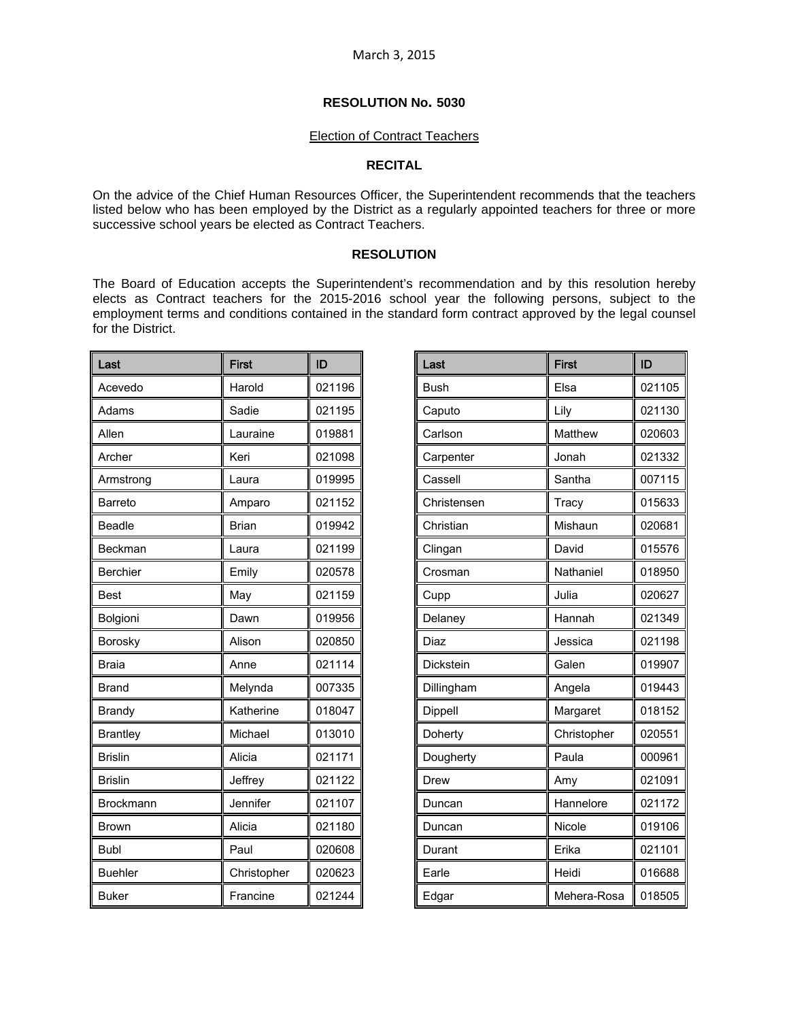#### Election of Contract Teachers

#### **RECITAL**

On the advice of the Chief Human Resources Officer, the Superintendent recommends that the teachers listed below who has been employed by the District as a regularly appointed teachers for three or more successive school years be elected as Contract Teachers.

### **RESOLUTION**

The Board of Education accepts the Superintendent's recommendation and by this resolution hereby elects as Contract teachers for the 2015-2016 school year the following persons, subject to the employment terms and conditions contained in the standard form contract approved by the legal counsel for the District.

| Last            | <b>First</b> | ID     |
|-----------------|--------------|--------|
| Acevedo         | Harold       | 021196 |
| Adams           | Sadie        | 021195 |
| Allen           | Lauraine     | 019881 |
| Archer          | Keri         | 021098 |
| Armstrong       | Laura        | 019995 |
| Barreto         | Amparo       | 021152 |
| <b>Beadle</b>   | <b>Brian</b> | 019942 |
| Beckman         | Laura        | 021199 |
| Berchier        | Emily        | 020578 |
| <b>Best</b>     | May          | 021159 |
| Bolgioni        | Dawn         | 019956 |
| Borosky         | Alison       | 020850 |
| <b>Braia</b>    | Anne         | 021114 |
| Brand           | Melynda      | 007335 |
| <b>Brandy</b>   | Katherine    | 018047 |
| <b>Brantley</b> | Michael      | 013010 |
| <b>Brislin</b>  | Alicia       | 021171 |
| <b>Brislin</b>  | Jeffrey      | 021122 |
| Brockmann       | Jennifer     | 021107 |
| <b>Brown</b>    | Alicia       | 021180 |
| <b>Bubl</b>     | Paul         | 020608 |
| <b>Buehler</b>  | Christopher  | 020623 |
| <b>Buker</b>    | Francine     | 021244 |

| Last        | <b>First</b> | ID     |
|-------------|--------------|--------|
| <b>Bush</b> | Elsa         | 021105 |
| Caputo      | Lily         | 021130 |
| Carlson     | Matthew      | 020603 |
| Carpenter   | Jonah        | 021332 |
| Cassell     | Santha       | 007115 |
| Christensen | Tracy        | 015633 |
| Christian   | Mishaun      | 020681 |
| Clingan     | David        | 015576 |
| Crosman     | Nathaniel    | 018950 |
| Cupp        | Julia        | 020627 |
| Delaney     | Hannah       | 021349 |
| Diaz        | Jessica      | 021198 |
| Dickstein   | Galen        | 019907 |
| Dillingham  | Angela       | 019443 |
| Dippell     | Margaret     | 018152 |
| Doherty     | Christopher  | 020551 |
| Dougherty   | Paula        | 000961 |
| Drew        | Amy          | 021091 |
| Duncan      | Hannelore    | 021172 |
| Duncan      | Nicole       | 019106 |
| Durant      | Erika        | 021101 |
| Earle       | Heidi        | 016688 |
| Edgar       | Mehera-Rosa  | 018505 |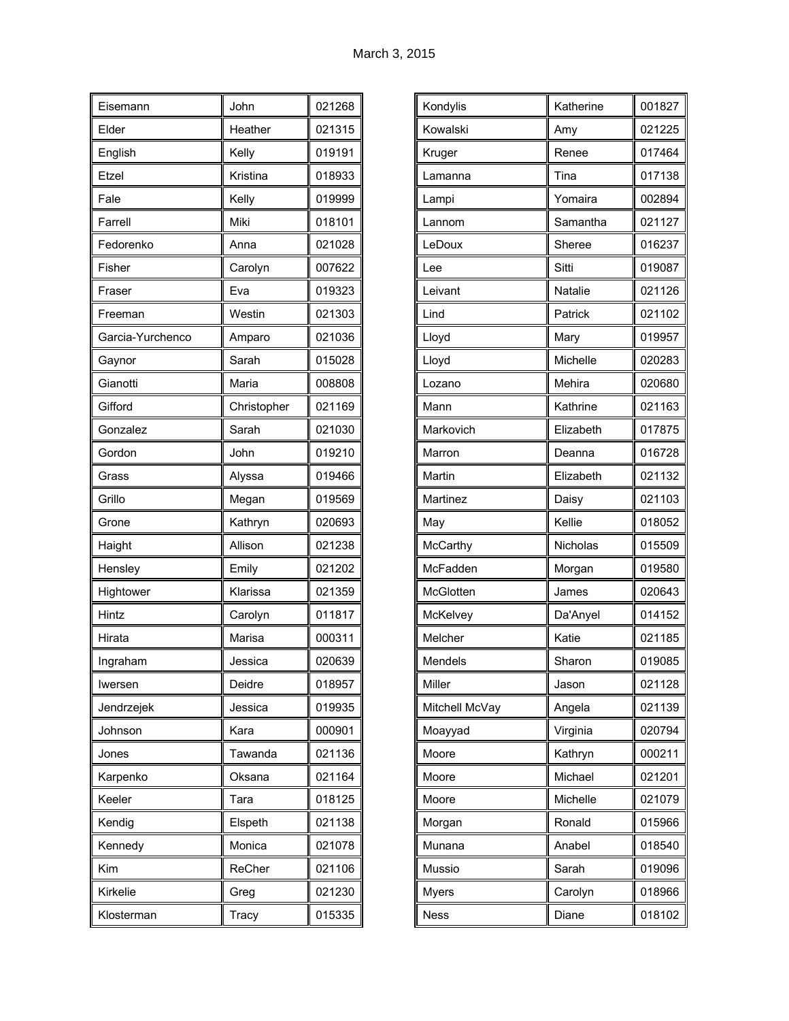| Eisemann         | John        | 021268 |
|------------------|-------------|--------|
| Elder            | Heather     | 021315 |
| English          | Kelly       | 019191 |
| Etzel            | Kristina    | 018933 |
| Fale             | Kelly       | 019999 |
| Farrell          | Miki        | 018101 |
| Fedorenko        | Anna        | 021028 |
| Fisher           | Carolyn     | 007622 |
| Fraser           | Eva         | 019323 |
| Freeman          | Westin      | 021303 |
| Garcia-Yurchenco | Amparo      | 021036 |
| Gaynor           | Sarah       | 015028 |
| Gianotti         | Maria       | 008808 |
| Gifford          | Christopher | 021169 |
| Gonzalez         | Sarah       | 021030 |
| Gordon           | John        | 019210 |
| Grass            | Alyssa      | 019466 |
| Grillo           | Megan       | 019569 |
| Grone            | Kathryn     | 020693 |
| Haight           | Allison     | 021238 |
| Hensley          | Emily       | 021202 |
| Hightower        | Klarissa    | 021359 |
| Hintz            | Carolyn     | 011817 |
| Hirata           | Marisa      | 000311 |
| Ingraham         | Jessica     | 020639 |
| Iwersen          | Deidre      | 018957 |
| Jendrzejek       | Jessica     | 019935 |
| Johnson          | Kara        | 000901 |
| Jones            | Tawanda     | 021136 |
| Karpenko         | Oksana      | 021164 |
| Keeler           | Tara        | 018125 |
| Kendig           | Elspeth     | 021138 |
| Kennedy          | Monica      | 021078 |
| Kim              | ReCher      | 021106 |
| Kirkelie         | Greg        | 021230 |
| Klosterman       | Tracy       | 015335 |

| Kondylis        | Katherine | 001827 |
|-----------------|-----------|--------|
| Kowalski        | Amy       | 021225 |
| Kruger          | Renee     | 017464 |
| Lamanna         | Tina      | 017138 |
| Lampi           | Yomaira   | 002894 |
| Lannom          | Samantha  | 021127 |
| LeDoux          | Sheree    | 016237 |
| Lee             | Sitti     | 019087 |
| Leivant         | Natalie   | 021126 |
| Lind            | Patrick   | 021102 |
| Lloyd           | Mary      | 019957 |
| Lloyd           | Michelle  | 020283 |
| Lozano          | Mehira    | 020680 |
| Mann            | Kathrine  | 021163 |
| Markovich       | Elizabeth | 017875 |
| Marron          | Deanna    | 016728 |
| Martin          | Elizabeth | 021132 |
| Martinez        | Daisy     | 021103 |
| May             | Kellie    | 018052 |
| McCarthy        | Nicholas  | 015509 |
| McFadden        | Morgan    | 019580 |
| McGlotten       | James     | 020643 |
| <b>McKelvey</b> | Da'Anyel  | 014152 |
| Melcher         |           |        |
|                 | Katie     | 021185 |
| Mendels         | Sharon    | 019085 |
| Miller          | Jason     | 021128 |
| Mitchell McVay  | Angela    | 021139 |
| Moayyad         | Virginia  | 020794 |
| Moore           | Kathryn   | 000211 |
| Moore           | Michael   | 021201 |
| Moore           | Michelle  | 021079 |
| Morgan          | Ronald    | 015966 |
| Munana          | Anabel    | 018540 |
| Mussio          | Sarah     | 019096 |
| <b>Myers</b>    | Carolyn   | 018966 |
| Ness            | Diane     | 018102 |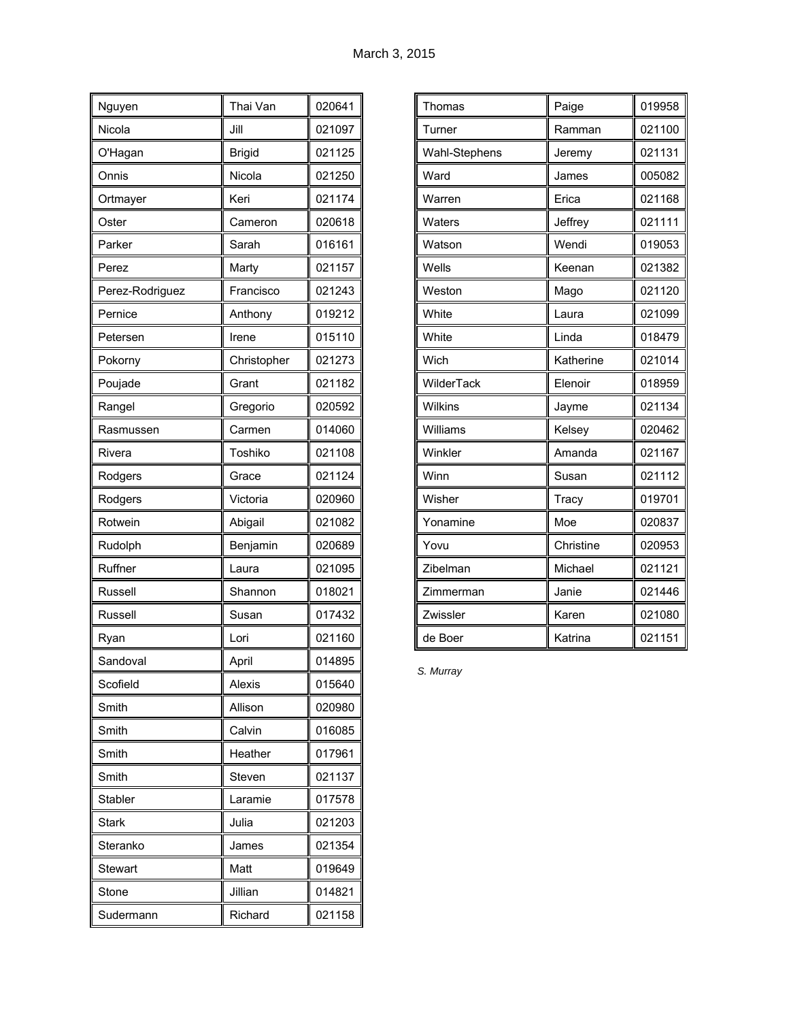| Nguyen          | Thai Van      | 020641 |
|-----------------|---------------|--------|
| Nicola          | Jill          | 021097 |
| O'Hagan         | <b>Brigid</b> | 021125 |
| Onnis           | Nicola        | 021250 |
| Ortmayer        | Keri          | 021174 |
| Oster           | Cameron       | 020618 |
| Parker          | Sarah         | 016161 |
| Perez           | Marty         | 021157 |
| Perez-Rodriguez | Francisco     | 021243 |
| Pernice         | Anthony       | 019212 |
| Petersen        | Irene         | 015110 |
| Pokorny         | Christopher   | 021273 |
| Poujade         | Grant         | 021182 |
| Rangel          | Gregorio      | 020592 |
| Rasmussen       | Carmen        | 014060 |
| Rivera          | Toshiko       | 021108 |
| Rodgers         | Grace         | 021124 |
| Rodgers         | Victoria      | 020960 |
| Rotwein         | Abigail       | 021082 |
| Rudolph         | Benjamin      | 020689 |
| Ruffner         | Laura         | 021095 |
| Russell         | Shannon       | 018021 |
| Russell         | Susan         | 017432 |
| Ryan            | Lori          | 021160 |
| Sandoval        | April         | 014895 |
| Scofield        | Alexis        | 015640 |
| Smith           | Allison       | 020980 |
| Smith           | Calvin        | 016085 |
| Smith           | Heather       | 017961 |
| Smith           | Steven        | 021137 |
| <b>Stabler</b>  | Laramie       | 017578 |
| <b>Stark</b>    | Julia         | 021203 |
| Steranko        | James         | 021354 |
| Stewart         | Matt          | 019649 |
| Stone           | Jillian       | 014821 |
| Sudermann       | Richard       | 021158 |

| Thomas         | Paige     | 019958 |
|----------------|-----------|--------|
| Turner         | Ramman    | 021100 |
| Wahl-Stephens  | Jeremy    | 021131 |
| Ward           | James     | 005082 |
| Warren         | Erica     | 021168 |
| Waters         | Jeffrey   | 021111 |
| Watson         | Wendi     | 019053 |
| Wells          | Keenan    | 021382 |
| Weston         | Mago      | 021120 |
| White          | Laura     | 021099 |
| White          | Linda     | 018479 |
| Wich           | Katherine | 021014 |
| WilderTack     | Elenoir   | 018959 |
| <b>Wilkins</b> | Jayme     | 021134 |
| Williams       | Kelsey    | 020462 |
| Winkler        | Amanda    | 021167 |
| Winn           | Susan     | 021112 |
| Wisher         | Tracy     | 019701 |
| Yonamine       | Moe       | 020837 |
| Yovu           | Christine | 020953 |
| Zibelman       | Michael   | 021121 |
| Zimmerman      | Janie     | 021446 |
| Zwissler       | Karen     | 021080 |
| de Boer        | Katrina   | 021151 |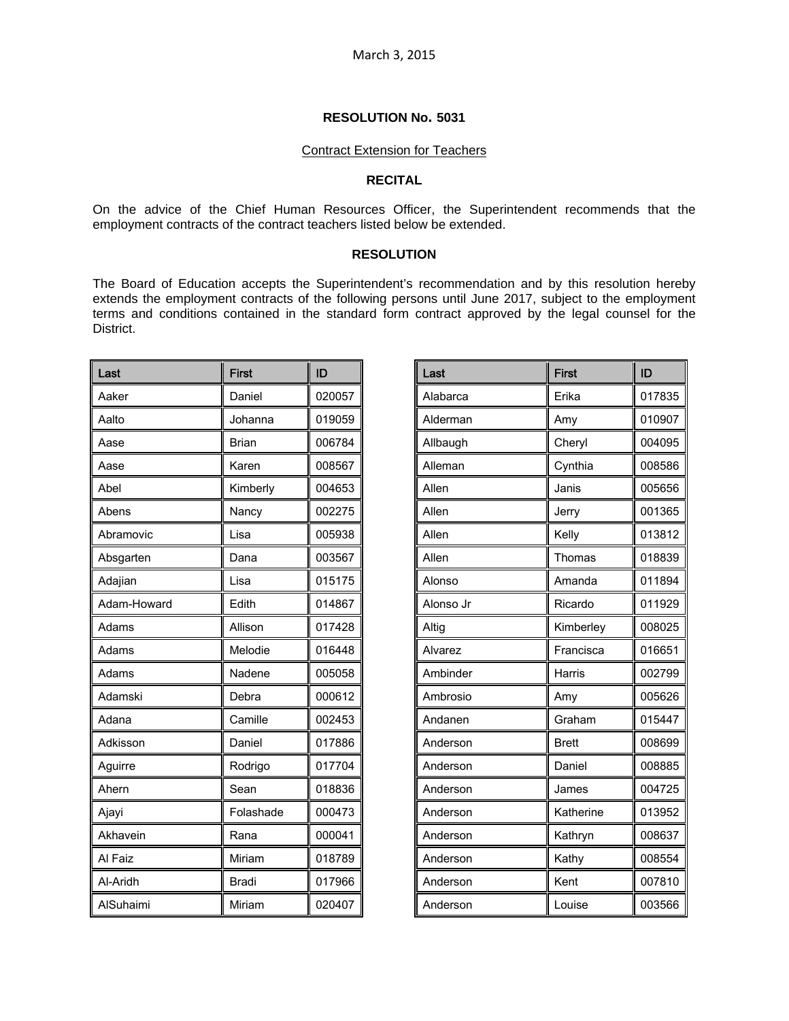#### Contract Extension for Teachers

#### **RECITAL**

On the advice of the Chief Human Resources Officer, the Superintendent recommends that the employment contracts of the contract teachers listed below be extended.

#### **RESOLUTION**

The Board of Education accepts the Superintendent's recommendation and by this resolution hereby extends the employment contracts of the following persons until June 2017, subject to the employment terms and conditions contained in the standard form contract approved by the legal counsel for the District.

| Last             | <b>First</b> | ID     |
|------------------|--------------|--------|
| Aaker            | Daniel       | 020057 |
| Aalto            | Johanna      | 019059 |
| Aase             | <b>Brian</b> | 006784 |
| Aase             | Karen        | 008567 |
| Abel             | Kimberly     | 004653 |
| Abens            | Nancy        | 002275 |
| Abramovic        | Lisa         | 005938 |
| Absgarten        | Dana         | 003567 |
| Adajian          | Lisa         | 015175 |
| Adam-Howard      | Edith        | 014867 |
| Adams            | Allison      | 017428 |
| Adams            | Melodie      | 016448 |
| Adams            | Nadene       | 005058 |
| Adamski          | Debra        | 000612 |
| Adana            | Camille      | 002453 |
| Adkisson         | Daniel       | 017886 |
| Aguirre          | Rodrigo      | 017704 |
| Ahern            | Sean         | 018836 |
| Ajayi            | Folashade    | 000473 |
| Akhavein         | Rana         | 000041 |
| Al Faiz          | Miriam       | 018789 |
| Al-Aridh         | Bradi        | 017966 |
| <b>AlSuhaimi</b> | Miriam       | 020407 |

| Last      | <b>First</b> | ID     |
|-----------|--------------|--------|
| Alabarca  | Erika        | 017835 |
| Alderman  | Amy          | 010907 |
| Allbaugh  | Cheryl       | 004095 |
| Alleman   | Cynthia      | 008586 |
| Allen     | Janis        | 005656 |
| Allen     | Jerry        | 001365 |
| Allen     | Kelly        | 013812 |
| Allen     | Thomas       | 018839 |
| Alonso    | Amanda       | 011894 |
| Alonso Jr | Ricardo      | 011929 |
| Altig     | Kimberley    | 008025 |
| Alvarez   | Francisca    | 016651 |
| Ambinder  | Harris       | 002799 |
| Ambrosio  | Amy          | 005626 |
| Andanen   | Graham       | 015447 |
| Anderson  | <b>Brett</b> | 008699 |
| Anderson  | Daniel       | 008885 |
| Anderson  | James        | 004725 |
| Anderson  | Katherine    | 013952 |
| Anderson  | Kathryn      | 008637 |
| Anderson  | Kathy        | 008554 |
| Anderson  | Kent         | 007810 |
| Anderson  | Louise       | 003566 |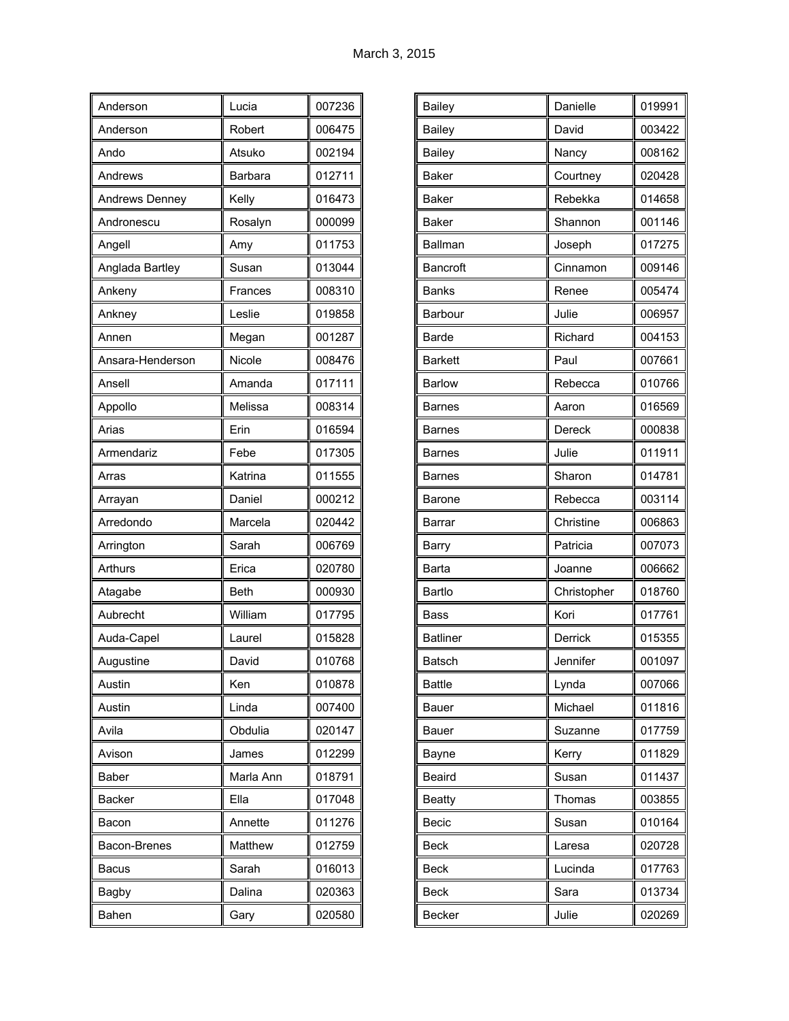| Anderson         | Lucia       | 007236 |
|------------------|-------------|--------|
| Anderson         | Robert      | 006475 |
| Ando             | Atsuko      | 002194 |
| Andrews          | Barbara     | 012711 |
| Andrews Denney   | Kelly       | 016473 |
| Andronescu       | Rosalyn     | 000099 |
| Angell           | Amy         | 011753 |
| Anglada Bartley  | Susan       | 013044 |
| Ankeny           | Frances     | 008310 |
| Ankney           | Leslie      | 019858 |
| Annen            | Megan       | 001287 |
| Ansara-Henderson | Nicole      | 008476 |
| Ansell           | Amanda      | 017111 |
| Appollo          | Melissa     | 008314 |
| Arias            | Erin        | 016594 |
| Armendariz       | Febe        | 017305 |
| Arras            | Katrina     | 011555 |
| Arrayan          | Daniel      | 000212 |
| Arredondo        | Marcela     | 020442 |
| Arrington        | Sarah       | 006769 |
| Arthurs          | Erica       | 020780 |
| Atagabe          | <b>Beth</b> | 000930 |
| Aubrecht         | William     | 017795 |
| Auda-Capel       | Laurel      | 015828 |
| Augustine        | David       | 010768 |
| Austin           | Ken         | 010878 |
| Austin           | Linda       | 007400 |
| Avila            | Obdulia     | 020147 |
| Avison           | James       | 012299 |
| Baber            | Marla Ann   | 018791 |
| Backer           | Ella        | 017048 |
| Bacon            | Annette     | 011276 |
| Bacon-Brenes     | Matthew     | 012759 |
| Bacus            | Sarah       | 016013 |
| Bagby            | Dalina      | 020363 |
| Bahen            | Gary        | 020580 |

| <b>Bailey</b>   | Danielle    | 019991 |
|-----------------|-------------|--------|
| <b>Bailey</b>   | David       | 003422 |
| <b>Bailey</b>   | Nancy       | 008162 |
| <b>Baker</b>    | Courtney    | 020428 |
| <b>Baker</b>    | Rebekka     | 014658 |
| <b>Baker</b>    | Shannon     | 001146 |
| Ballman         | Joseph      | 017275 |
| Bancroft        | Cinnamon    | 009146 |
| <b>Banks</b>    | Renee       | 005474 |
| Barbour         | Julie       | 006957 |
| Barde           | Richard     | 004153 |
| <b>Barkett</b>  | Paul        | 007661 |
| <b>Barlow</b>   | Rebecca     | 010766 |
| Barnes          | Aaron       | 016569 |
| Barnes          | Dereck      | 000838 |
| Barnes          | Julie       | 011911 |
| Barnes          | Sharon      | 014781 |
| Barone          | Rebecca     | 003114 |
| Barrar          | Christine   | 006863 |
| Barry           | Patricia    | 007073 |
| Barta           | Joanne      | 006662 |
| Bartlo          | Christopher | 018760 |
| <b>Bass</b>     | Kori        | 017761 |
| <b>Batliner</b> | Derrick     | 015355 |
| <b>Batsch</b>   | Jennifer    | 001097 |
| <b>Battle</b>   | Lynda       | 007066 |
| Bauer           | Michael     | 011816 |
| Bauer           | Suzanne     | 017759 |
| Bayne           | Kerry       | 011829 |
| Beaird          | Susan       | 011437 |
| <b>Beatty</b>   | Thomas      | 003855 |
| Becic           | Susan       | 010164 |
| <b>Beck</b>     | Laresa      | 020728 |
| <b>Beck</b>     | Lucinda     | 017763 |
| <b>Beck</b>     | Sara        | 013734 |
| Becker          | Julie       | 020269 |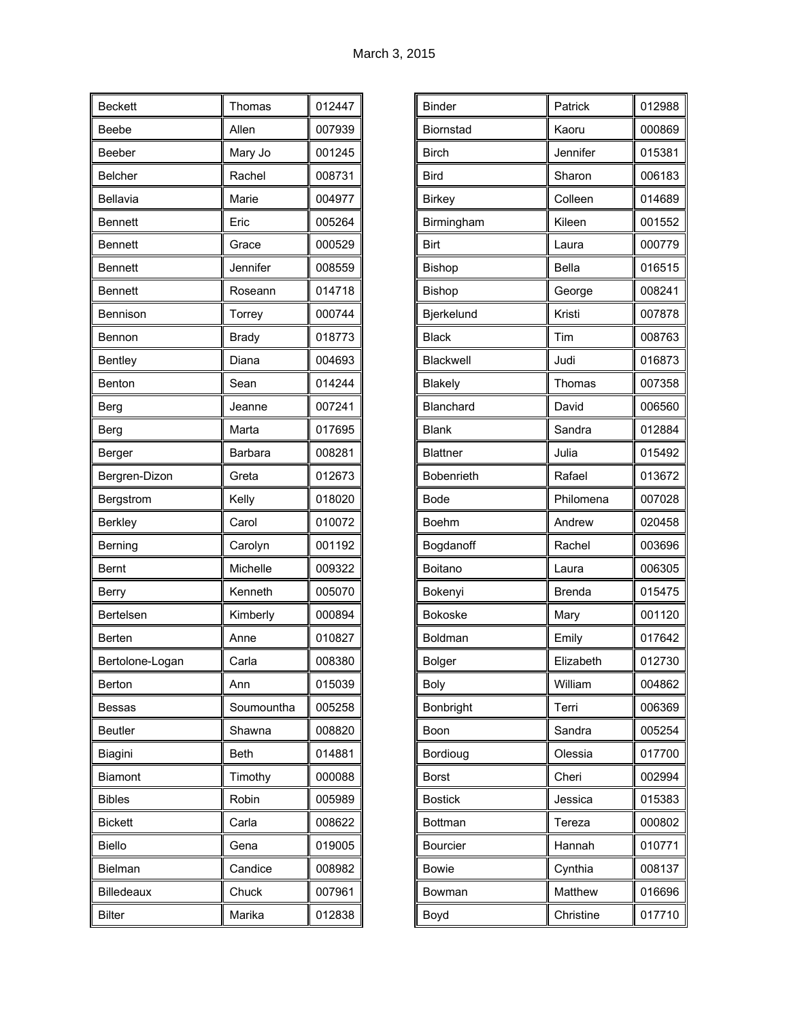| <b>Beckett</b>  | Thomas         | 012447 |
|-----------------|----------------|--------|
| <b>Beebe</b>    | Allen          | 007939 |
| Beeber          | Mary Jo        | 001245 |
| <b>Belcher</b>  | Rachel         | 008731 |
| Bellavia        | Marie          | 004977 |
| <b>Bennett</b>  | Eric           | 005264 |
| <b>Bennett</b>  | Grace          | 000529 |
| <b>Bennett</b>  | Jennifer       | 008559 |
| <b>Bennett</b>  | Roseann        | 014718 |
| Bennison        | Torrey         | 000744 |
| Bennon          | <b>Brady</b>   | 018773 |
| <b>Bentley</b>  | Diana          | 004693 |
| <b>Benton</b>   | Sean           | 014244 |
| <b>Berg</b>     | Jeanne         | 007241 |
| Berg            | Marta          | 017695 |
| Berger          | <b>Barbara</b> | 008281 |
| Bergren-Dizon   | Greta          | 012673 |
| Bergstrom       | Kelly          | 018020 |
| <b>Berkley</b>  | Carol          | 010072 |
| Berning         | Carolyn        | 001192 |
| <b>Bernt</b>    | Michelle       | 009322 |
| Berry           | Kenneth        | 005070 |
| Bertelsen       | Kimberly       | 000894 |
| Berten          | Anne           | 010827 |
| Bertolone-Logan | Carla          | 008380 |
| Berton          | Ann            | 015039 |
| Bessas          | Soumountha     | 005258 |
| Beutler         | Shawna         | 008820 |
| Biagini         | Beth           | 014881 |
| Biamont         | Timothy        | 000088 |
| <b>Bibles</b>   | Robin          | 005989 |
| <b>Bickett</b>  | Carla          | 008622 |
| Biello          | Gena           | 019005 |
| Bielman         | Candice        | 008982 |
| Billedeaux      | Chuck          | 007961 |
| <b>Bilter</b>   | Marika         | 012838 |

| <b>Binder</b>    | Patrick       | 012988 |
|------------------|---------------|--------|
| Biornstad        | Kaoru         | 000869 |
| <b>Birch</b>     | Jennifer      | 015381 |
| <b>Bird</b>      | Sharon        | 006183 |
| <b>Birkey</b>    | Colleen       | 014689 |
| Birmingham       | Kileen        | 001552 |
| Birt             | Laura         | 000779 |
| Bishop           | <b>Bella</b>  | 016515 |
| Bishop           | George        | 008241 |
| Bjerkelund       | Kristi        | 007878 |
| <b>Black</b>     | Tim           | 008763 |
| <b>Blackwell</b> | Judi          | 016873 |
| Blakely          | Thomas        | 007358 |
| Blanchard        | David         | 006560 |
| <b>Blank</b>     | Sandra        | 012884 |
| <b>Blattner</b>  | Julia         | 015492 |
| Bobenrieth       | Rafael        | 013672 |
| <b>Bode</b>      | Philomena     | 007028 |
| <b>Boehm</b>     | Andrew        | 020458 |
| Bogdanoff        | Rachel        | 003696 |
| Boitano          | Laura         | 006305 |
| Bokenyi          | <b>Brenda</b> | 015475 |
| <b>Bokoske</b>   | Mary          | 001120 |
| Boldman          | Emily         | 017642 |
| Bolger           | Elizabeth     | 012730 |
| <b>Boly</b>      | William       | 004862 |
| Bonbright        | Terri         | 006369 |
| Boon             | Sandra        | 005254 |
| Bordioug         | Olessia       | 017700 |
| <b>Borst</b>     | Cheri         | 002994 |
| <b>Bostick</b>   | Jessica       | 015383 |
| Bottman          | Tereza        | 000802 |
| Bourcier         | Hannah        | 010771 |
| <b>Bowie</b>     | Cynthia       | 008137 |
| Bowman           | Matthew       | 016696 |
| Boyd             | Christine     | 017710 |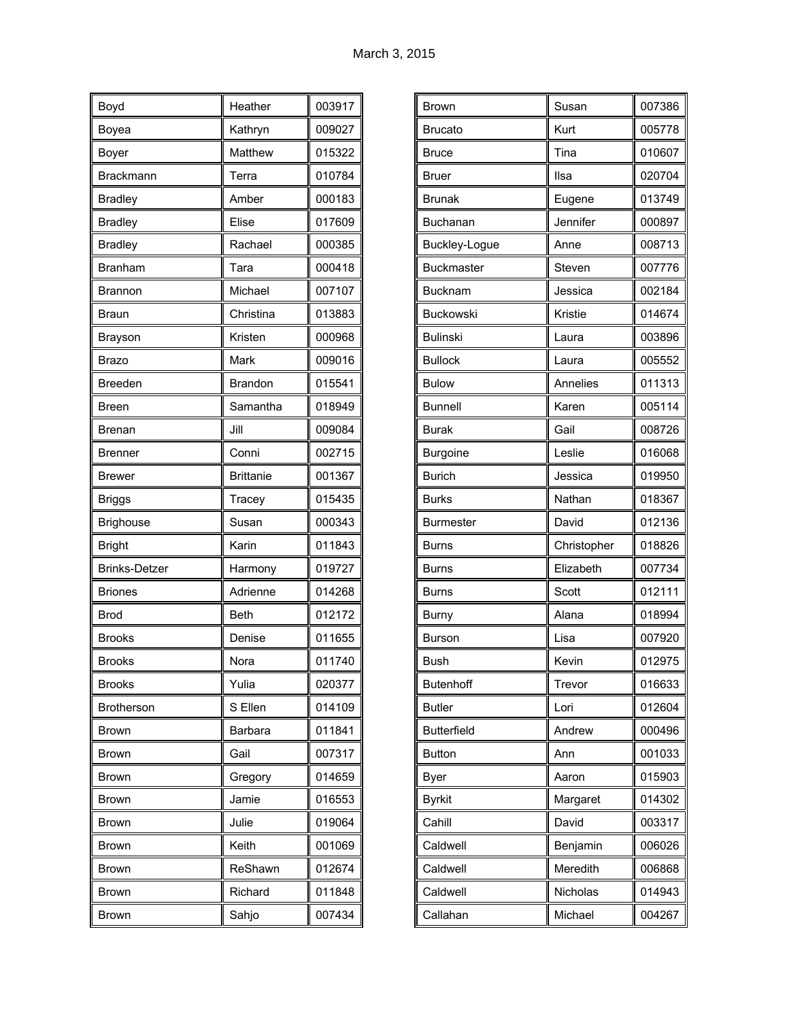| Boyd                 | Heather          | 003917 |
|----------------------|------------------|--------|
| Boyea                | Kathryn          | 009027 |
| Boyer                | Matthew          | 015322 |
| <b>Brackmann</b>     | Terra            | 010784 |
| <b>Bradley</b>       | Amber            | 000183 |
| <b>Bradley</b>       | Elise            | 017609 |
| <b>Bradley</b>       | Rachael          | 000385 |
| Branham              | Tara             | 000418 |
| Brannon              | Michael          | 007107 |
| Braun                | Christina        | 013883 |
| Brayson              | Kristen          | 000968 |
| Brazo                | Mark             | 009016 |
| <b>Breeden</b>       | <b>Brandon</b>   | 015541 |
| Breen                | Samantha         | 018949 |
| Brenan               | Jill             | 009084 |
| <b>Brenner</b>       | Conni            | 002715 |
| <b>Brewer</b>        | <b>Brittanie</b> | 001367 |
| <b>Briggs</b>        | Tracey           | 015435 |
| <b>Brighouse</b>     | Susan            | 000343 |
| <b>Bright</b>        | Karin            | 011843 |
| <b>Brinks-Detzer</b> | Harmony          | 019727 |
| <b>Briones</b>       | Adrienne         | 014268 |
| <b>Brod</b>          | <b>Beth</b>      | 012172 |
| <b>Brooks</b>        | Denise           | 011655 |
| <b>Brooks</b>        | Nora             | 011740 |
| <b>Brooks</b>        | Yulia            | 020377 |
| <b>Brotherson</b>    | S Ellen          | 014109 |
| <b>Brown</b>         | <b>Barbara</b>   | 011841 |
| Brown                | Gail             | 007317 |
| <b>Brown</b>         | Gregory          | 014659 |
| <b>Brown</b>         | Jamie            | 016553 |
| Brown                | Julie            | 019064 |
| <b>Brown</b>         | Keith            | 001069 |
| Brown                | ReShawn          | 012674 |
| <b>Brown</b>         | Richard          | 011848 |
| <b>Brown</b>         | Sahjo            | 007434 |

| Brown              | Susan       | 007386 |
|--------------------|-------------|--------|
| <b>Brucato</b>     | Kurt        | 005778 |
| <b>Bruce</b>       | Tina        | 010607 |
| Bruer              | Ilsa        | 020704 |
| <b>Brunak</b>      | Eugene      | 013749 |
| Buchanan           | Jennifer    | 000897 |
| Buckley-Logue      | Anne        | 008713 |
| <b>Buckmaster</b>  | Steven      | 007776 |
| <b>Bucknam</b>     | Jessica     | 002184 |
| Buckowski          | Kristie     | 014674 |
| <b>Bulinski</b>    | Laura       | 003896 |
| <b>Bullock</b>     | Laura       | 005552 |
| <b>Bulow</b>       | Annelies    | 011313 |
| <b>Bunnell</b>     | Karen       | 005114 |
| <b>Burak</b>       | Gail        | 008726 |
| Burgoine           | Leslie      | 016068 |
| <b>Burich</b>      | Jessica     | 019950 |
| <b>Burks</b>       | Nathan      | 018367 |
| <b>Burmester</b>   | David       | 012136 |
| <b>Burns</b>       | Christopher | 018826 |
| <b>Burns</b>       | Elizabeth   | 007734 |
| <b>Burns</b>       | Scott       | 012111 |
| <b>Burny</b>       | Alana       | 018994 |
| <b>Burson</b>      | Lisa        | 007920 |
| <b>Bush</b>        | Kevin       | 012975 |
| <b>Butenhoff</b>   | Trevor      | 016633 |
| <b>Butler</b>      | Lori        | 012604 |
| <b>Butterfield</b> | Andrew      | 000496 |
| <b>Button</b>      | Ann         | 001033 |
| Byer               | Aaron       | 015903 |
| <b>Byrkit</b>      | Margaret    | 014302 |
| Cahill             | David       | 003317 |
| Caldwell           | Benjamin    | 006026 |
| Caldwell           | Meredith    | 006868 |
|                    |             |        |
| Caldwell           | Nicholas    | 014943 |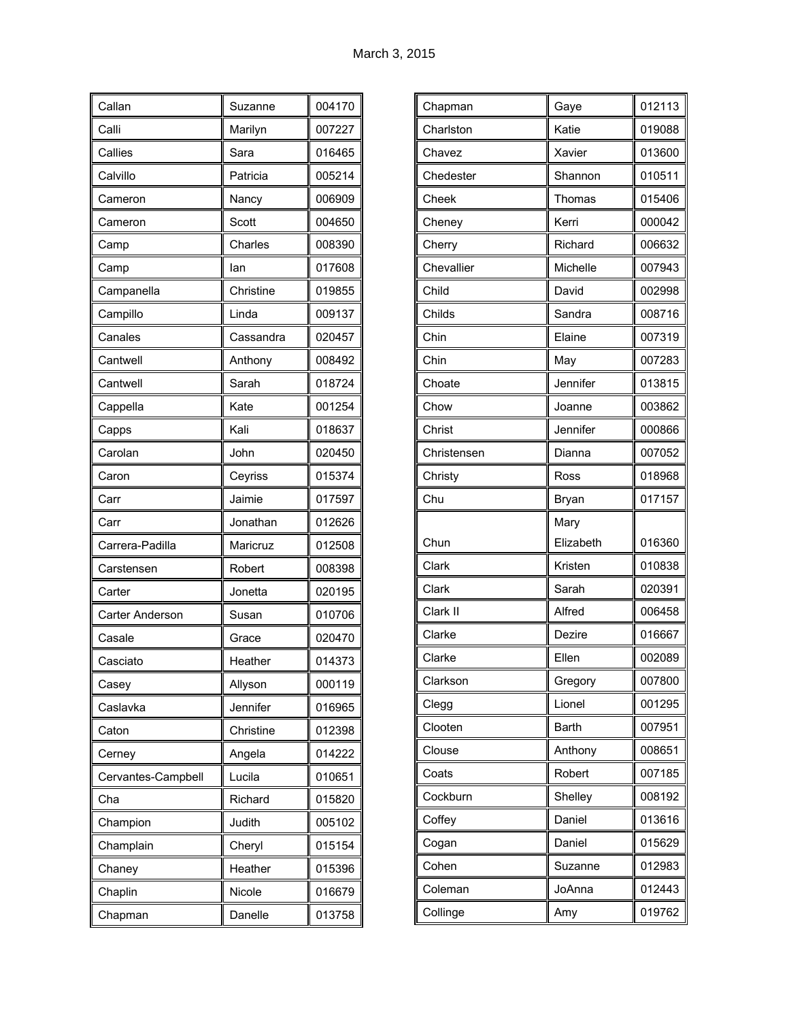| Callan                 | Suzanne   | 004170 |
|------------------------|-----------|--------|
| Calli                  | Marilyn   | 007227 |
| Callies                | Sara      | 016465 |
| Calvillo               | Patricia  | 005214 |
| Cameron                | Nancy     | 006909 |
| Cameron                | Scott     | 004650 |
| Camp                   | Charles   | 008390 |
| Camp                   | lan       | 017608 |
| Campanella             | Christine | 019855 |
| Campillo               | Linda     | 009137 |
| Canales                | Cassandra | 020457 |
| Cantwell               | Anthony   | 008492 |
| Cantwell               | Sarah     | 018724 |
| Cappella               | Kate      | 001254 |
| Capps                  | Kali      | 018637 |
| Carolan                | John      | 020450 |
| Caron                  | Ceyriss   | 015374 |
| Carr                   | Jaimie    | 017597 |
| Carr                   | Jonathan  | 012626 |
| Carrera-Padilla        | Maricruz  | 012508 |
| Carstensen             | Robert    | 008398 |
| Carter                 | Jonetta   | 020195 |
| <b>Carter Anderson</b> | Susan     | 010706 |
| Casale                 | Grace     | 020470 |
| Casciato               | Heather   | 014373 |
| Casey                  | Allyson   | 000119 |
| Caslavka               | Jennifer  | 016965 |
| Caton                  | Christine | 012398 |
| Cerney                 | Angela    | 014222 |
| Cervantes-Campbell     | Lucila    | 010651 |
| Cha                    | Richard   | 015820 |
| Champion               | Judith    | 005102 |
| Champlain              | Cheryl    | 015154 |
| Chaney                 | Heather   | 015396 |
| Chaplin                | Nicole    | 016679 |
| Chapman                | Danelle   | 013758 |

| Chapman     | Gaye         | 012113 |
|-------------|--------------|--------|
| Charlston   | Katie        | 019088 |
| Chavez      | Xavier       | 013600 |
| Chedester   | Shannon      | 010511 |
| Cheek       | Thomas       | 015406 |
| Cheney      | Kerri        | 000042 |
| Cherry      | Richard      | 006632 |
| Chevallier  | Michelle     | 007943 |
| Child       | David        | 002998 |
| Childs      | Sandra       | 008716 |
| Chin        | Elaine       | 007319 |
| Chin        | May          | 007283 |
| Choate      | Jennifer     | 013815 |
| Chow        | Joanne       | 003862 |
| Christ      | Jennifer     | 000866 |
| Christensen | Dianna       | 007052 |
| Christy     | Ross         | 018968 |
|             |              |        |
| Chu         | Bryan        | 017157 |
|             | Mary         |        |
| Chun        | Elizabeth    | 016360 |
| Clark       | Kristen      | 010838 |
| Clark       | Sarah        | 020391 |
| Clark II    | Alfred       | 006458 |
| Clarke      | Dezire       | 016667 |
| Clarke      | Ellen        | 002089 |
| Clarkson    | Gregory      | 007800 |
| Clegg       | Lionel       | 001295 |
| Clooten     | <b>Barth</b> | 007951 |
| Clouse      | Anthony      | 008651 |
| Coats       | Robert       | 007185 |
| Cockburn    | Shelley      | 008192 |
| Coffey      | Daniel       | 013616 |
| Cogan       | Daniel       | 015629 |
| Cohen       | Suzanne      | 012983 |
| Coleman     | JoAnna       | 012443 |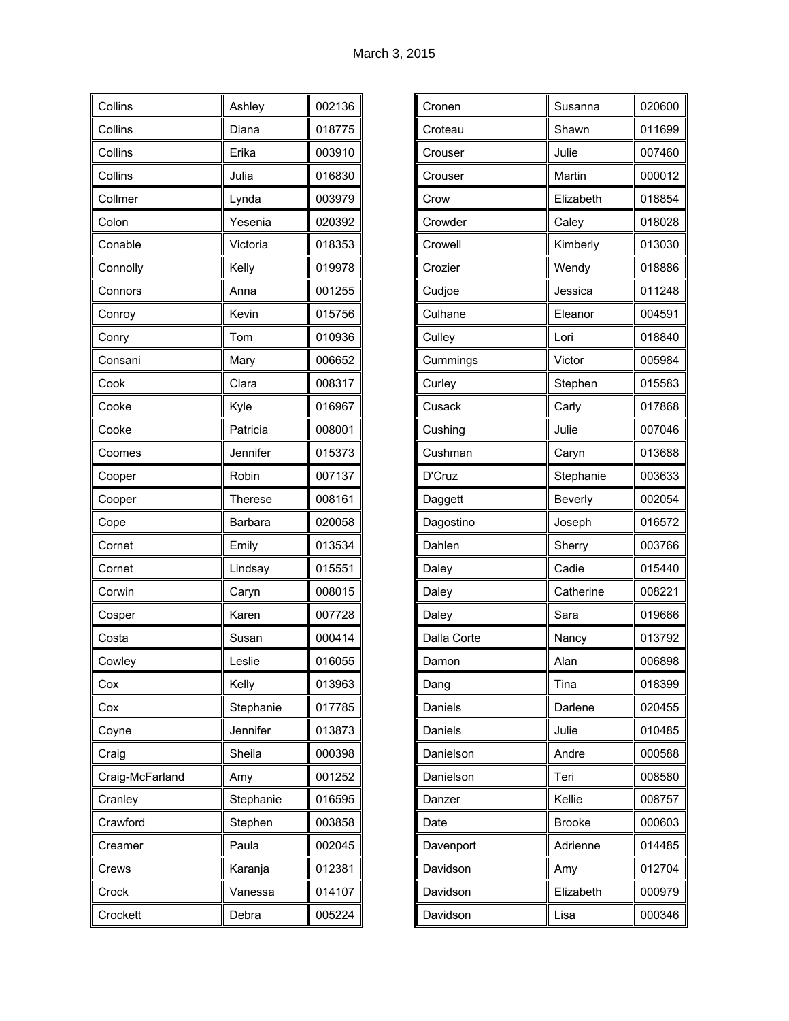| Collins         | Ashley         | 002136 |
|-----------------|----------------|--------|
| Collins         | Diana          | 018775 |
| Collins         | Erika          | 003910 |
| Collins         | Julia          | 016830 |
| Collmer         | Lynda          | 003979 |
| Colon           | Yesenia        | 020392 |
| Conable         | Victoria       | 018353 |
| Connolly        | Kelly          | 019978 |
| Connors         | Anna           | 001255 |
| Conroy          | Kevin          | 015756 |
| Conry           | Tom            | 010936 |
| Consani         | Mary           | 006652 |
| Cook            | Clara          | 008317 |
| Cooke           | Kyle           | 016967 |
| Cooke           | Patricia       | 008001 |
| Coomes          | Jennifer       | 015373 |
| Cooper          | Robin          | 007137 |
| Cooper          | <b>Therese</b> | 008161 |
| Cope            | Barbara        | 020058 |
| Cornet          | Emily          | 013534 |
| Cornet          | Lindsay        | 015551 |
| Corwin          | Caryn          | 008015 |
| Cosper          | Karen          | 007728 |
| Costa           | Susan          | 000414 |
| Cowley          | Leslie         | 016055 |
| Cox             | Kelly          | 013963 |
| Cox             | Stephanie      | 017785 |
| Coyne           | Jennifer       | 013873 |
| Craig           | Sheila         | 000398 |
| Craig-McFarland | Amy            | 001252 |
| Cranley         | Stephanie      | 016595 |
| Crawford        | Stephen        | 003858 |
| Creamer         | Paula          | 002045 |
| Crews           | Karanja        | 012381 |
| Crock           | Vanessa        | 014107 |
| Crockett        | Debra          | 005224 |

| Cronen      | Susanna       | 020600 |
|-------------|---------------|--------|
| Croteau     | Shawn         | 011699 |
| Crouser     | Julie         | 007460 |
| Crouser     | Martin        | 000012 |
| Crow        | Elizabeth     | 018854 |
| Crowder     | Caley         | 018028 |
| Crowell     | Kimberly      | 013030 |
| Crozier     | Wendy         | 018886 |
| Cudjoe      | Jessica       | 011248 |
| Culhane     | Eleanor       | 004591 |
| Culley      | Lori          | 018840 |
| Cummings    | Victor        | 005984 |
| Curley      | Stephen       | 015583 |
| Cusack      | Carly         | 017868 |
| Cushing     | Julie         | 007046 |
| Cushman     | Caryn         | 013688 |
| D'Cruz      | Stephanie     | 003633 |
|             |               |        |
| Daggett     | Beverly       | 002054 |
| Dagostino   | Joseph        | 016572 |
| Dahlen      | Sherry        | 003766 |
| Daley       | Cadie         | 015440 |
| Daley       | Catherine     | 008221 |
| Daley       | Sara          | 019666 |
| Dalla Corte | Nancy         | 013792 |
| Damon       | Alan          | 006898 |
| Dang        | Tina          | 018399 |
| Daniels     | Darlene       | 020455 |
| Daniels     | Julie         | 010485 |
| Danielson   | Andre         | 000588 |
| Danielson   | Teri          | 008580 |
| Danzer      | Kellie        | 008757 |
| Date        | <b>Brooke</b> | 000603 |
| Davenport   | Adrienne      | 014485 |
| Davidson    | Amy           | 012704 |
| Davidson    | Elizabeth     | 000979 |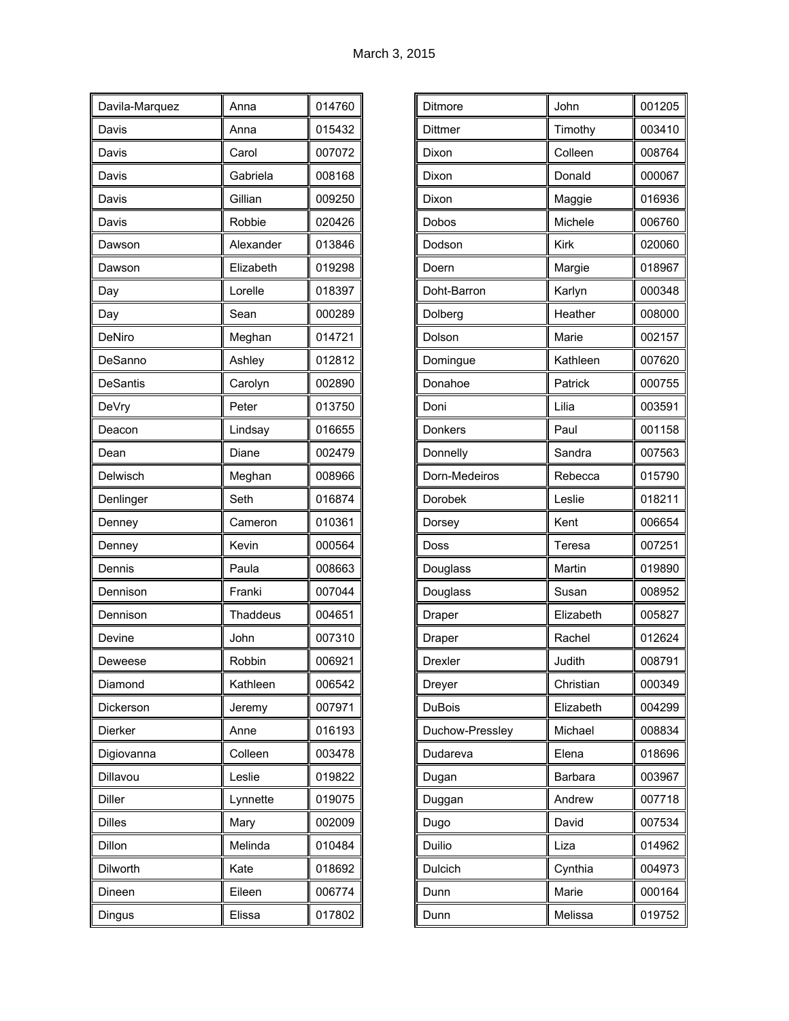| Davila-Marquez  | Anna            | 014760 |
|-----------------|-----------------|--------|
| Davis           | Anna            | 015432 |
| Davis           | Carol           | 007072 |
| Davis           | Gabriela        | 008168 |
| Davis           | Gillian         | 009250 |
| Davis           | Robbie          | 020426 |
| Dawson          | Alexander       | 013846 |
| Dawson          | Elizabeth       | 019298 |
| Day             | Lorelle         | 018397 |
| Day             | Sean            | 000289 |
| DeNiro          | Meghan          | 014721 |
| DeSanno         | Ashley          | 012812 |
| <b>DeSantis</b> | Carolyn         | 002890 |
| DeVry           | Peter           | 013750 |
| Deacon          | Lindsay         | 016655 |
| Dean            | Diane           | 002479 |
| Delwisch        | Meghan          | 008966 |
| Denlinger       | Seth            | 016874 |
| Denney          | Cameron         | 010361 |
| Denney          | Kevin           | 000564 |
| Dennis          | Paula           | 008663 |
| Dennison        | Franki          | 007044 |
| Dennison        | <b>Thaddeus</b> | 004651 |
| Devine          | John            | 007310 |
| Deweese         | Robbin          | 006921 |
| Diamond         | Kathleen        | 006542 |
| Dickerson       | Jeremy          | 007971 |
| Dierker         | Anne            | 016193 |
| Digiovanna      | Colleen         | 003478 |
| Dillavou        | Leslie          | 019822 |
| <b>Diller</b>   | Lynnette        | 019075 |
| <b>Dilles</b>   | Mary            | 002009 |
| Dillon          | Melinda         | 010484 |
| Dilworth        | Kate            | 018692 |
| Dineen          | Eileen          | 006774 |
| Dingus          | Elissa          | 017802 |

| Ditmore         | John      | 001205 |
|-----------------|-----------|--------|
| Dittmer         | Timothy   | 003410 |
| Dixon           | Colleen   | 008764 |
| Dixon           | Donald    | 000067 |
| Dixon           | Maggie    | 016936 |
| Dobos           | Michele   | 006760 |
| Dodson          | Kirk      | 020060 |
| Doern           | Margie    | 018967 |
| Doht-Barron     | Karlyn    | 000348 |
| Dolberg         | Heather   | 008000 |
| Dolson          | Marie     | 002157 |
| Domingue        | Kathleen  | 007620 |
| Donahoe         | Patrick   | 000755 |
| Doni            | Lilia     | 003591 |
| Donkers         | Paul      | 001158 |
| Donnelly        | Sandra    | 007563 |
| Dorn-Medeiros   | Rebecca   | 015790 |
| Dorobek         | Leslie    | 018211 |
| Dorsey          | Kent      | 006654 |
| Doss            | Teresa    | 007251 |
| Douglass        | Martin    | 019890 |
| Douglass        | Susan     | 008952 |
| Draper          | Elizabeth | 005827 |
| Draper          | Rachel    | 012624 |
| <b>Drexler</b>  | Judith    | 008791 |
| Dreyer          | Christian | 000349 |
| <b>DuBois</b>   | Elizabeth | 004299 |
| Duchow-Pressley | Michael   | 008834 |
| Dudareva        | Elena     | 018696 |
| Dugan           | Barbara   | 003967 |
| Duggan          | Andrew    | 007718 |
| Dugo            | David     | 007534 |
| Duilio          | Liza      | 014962 |
| Dulcich         | Cynthia   | 004973 |
| Dunn            | Marie     | 000164 |
| Dunn            | Melissa   | 019752 |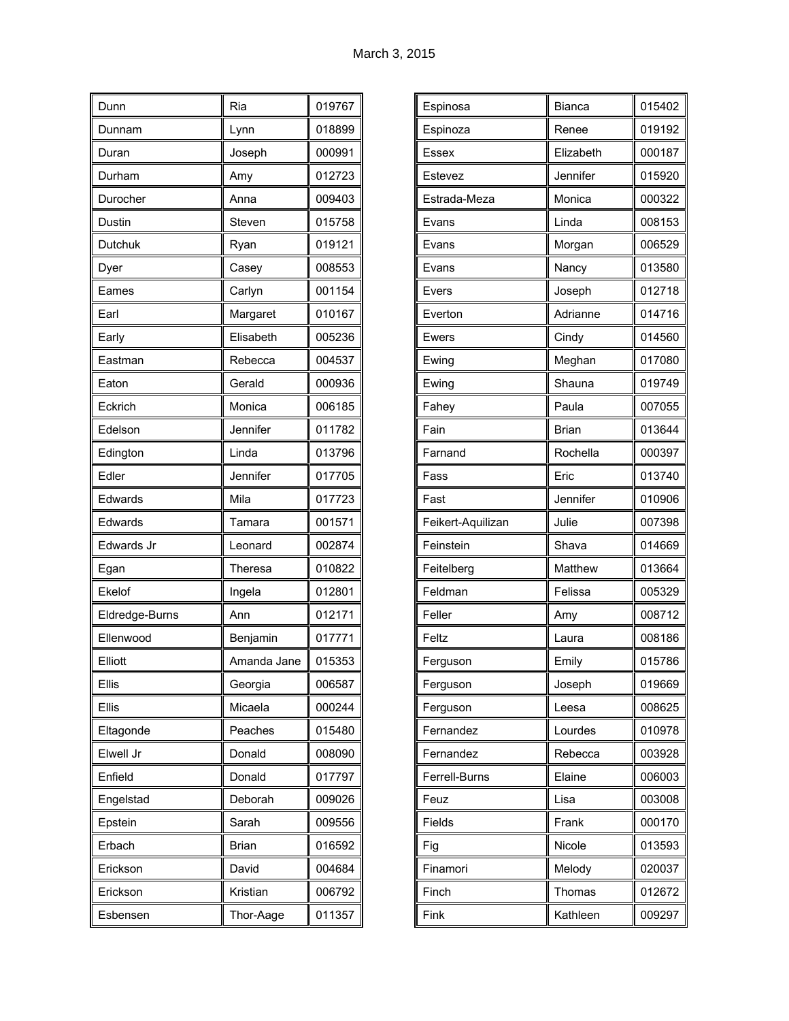| Dunn           | Ria         | 019767 |
|----------------|-------------|--------|
| Dunnam         | Lynn        | 018899 |
| Duran          | Joseph      | 000991 |
| Durham         | Amy         | 012723 |
| Durocher       | Anna        | 009403 |
| Dustin         | Steven      | 015758 |
| Dutchuk        | Ryan        | 019121 |
| Dyer           | Casey       | 008553 |
| Eames          | Carlyn      | 001154 |
| Earl           | Margaret    | 010167 |
| Early          | Elisabeth   | 005236 |
| Eastman        | Rebecca     | 004537 |
| Eaton          | Gerald      | 000936 |
| Eckrich        | Monica      | 006185 |
| Edelson        | Jennifer    | 011782 |
| Edington       | Linda       | 013796 |
| Edler          | Jennifer    | 017705 |
| Edwards        | Mila        | 017723 |
| Edwards        | Tamara      | 001571 |
| Edwards Jr     | Leonard     | 002874 |
| Egan           | Theresa     | 010822 |
| Ekelof         | Ingela      | 012801 |
| Eldredge-Burns | Ann         | 012171 |
| Ellenwood      | Benjamin    | 017771 |
| Elliott        | Amanda Jane | 015353 |
| Ellis          | Georgia     | 006587 |
| Ellis          | Micaela     | 000244 |
| Eltagonde      | Peaches     | 015480 |
| Elwell Jr      | Donald      | 008090 |
| Enfield        | Donald      | 017797 |
| Engelstad      | Deborah     | 009026 |
| Epstein        | Sarah       | 009556 |
| Erbach         | Brian       | 016592 |
| Erickson       | David       | 004684 |
| Erickson       | Kristian    | 006792 |
| Esbensen       | Thor-Aage   | 011357 |

| Bianca       | 015402 |
|--------------|--------|
| Renee        | 019192 |
| Elizabeth    | 000187 |
| Jennifer     | 015920 |
| Monica       | 000322 |
| Linda        | 008153 |
| Morgan       | 006529 |
| Nancy        | 013580 |
| Joseph       | 012718 |
| Adrianne     | 014716 |
| Cindy        | 014560 |
| Meghan       | 017080 |
| Shauna       | 019749 |
| Paula        | 007055 |
| <b>Brian</b> | 013644 |
| Rochella     | 000397 |
| Eric         | 013740 |
| Jennifer     | 010906 |
| Julie        | 007398 |
| Shava        | 014669 |
| Matthew      | 013664 |
| Felissa      | 005329 |
| Amy          | 008712 |
| Laura        | 008186 |
| Emily        | 015786 |
| Joseph       | 019669 |
| Leesa        | 008625 |
| Lourdes      | 010978 |
| Rebecca      | 003928 |
| Elaine       | 006003 |
| Lisa         | 003008 |
| Frank        | 000170 |
| Nicole       | 013593 |
| Melody       | 020037 |
| Thomas       | 012672 |
| Kathleen     | 009297 |
|              |        |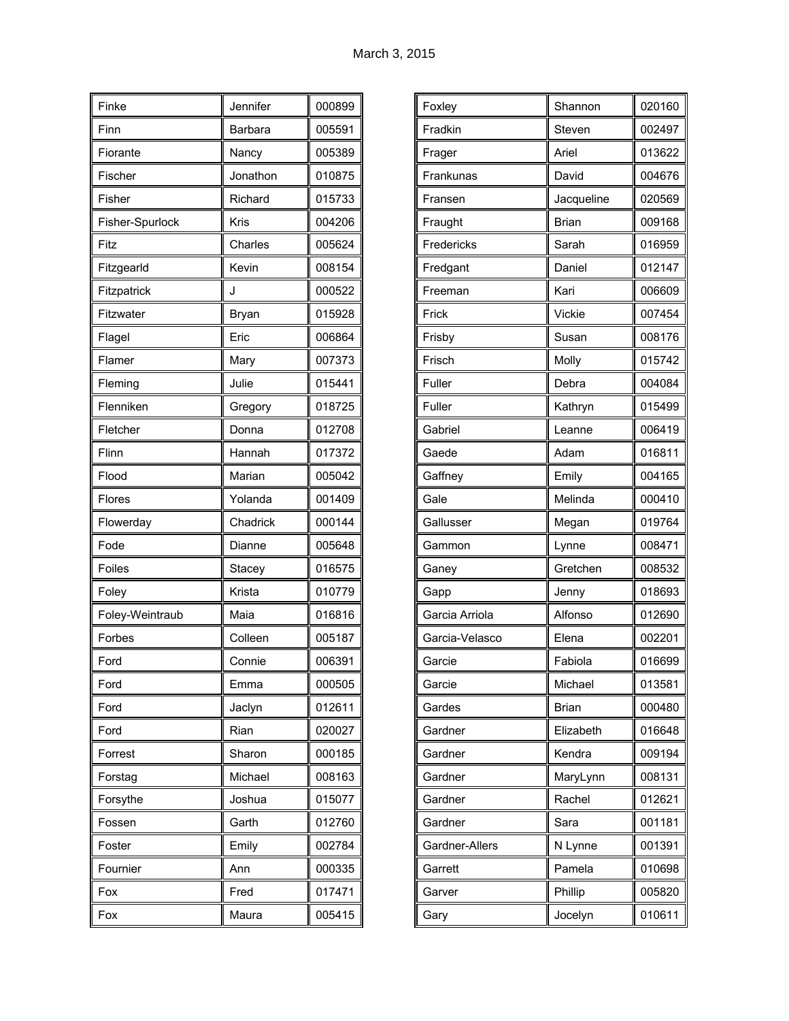| Finke           | Jennifer     | 000899 |
|-----------------|--------------|--------|
| Finn            | Barbara      | 005591 |
| Fiorante        | Nancy        | 005389 |
| Fischer         | Jonathon     | 010875 |
| Fisher          | Richard      | 015733 |
| Fisher-Spurlock | Kris         | 004206 |
| Fitz            | Charles      | 005624 |
| Fitzgearld      | Kevin        | 008154 |
| Fitzpatrick     | J            | 000522 |
| Fitzwater       | <b>Bryan</b> | 015928 |
| Flagel          | Eric         | 006864 |
| Flamer          | Mary         | 007373 |
| Fleming         | Julie        | 015441 |
| Flenniken       | Gregory      | 018725 |
| Fletcher        | Donna        | 012708 |
| Flinn           | Hannah       | 017372 |
| Flood           | Marian       | 005042 |
| Flores          | Yolanda      | 001409 |
| Flowerday       | Chadrick     | 000144 |
| Fode            | Dianne       | 005648 |
| Foiles          | Stacey       | 016575 |
| Foley           | Krista       | 010779 |
| Foley-Weintraub | Maia         | 016816 |
| Forbes          | Colleen      | 005187 |
| Ford            | Connie       | 006391 |
| Ford            | Emma         | 000505 |
| Ford            | Jaclyn       | 012611 |
| Ford            | Rian         | 020027 |
| Forrest         | Sharon       | 000185 |
| Forstag         | Michael      | 008163 |
| Forsythe        | Joshua       | 015077 |
| Fossen          | Garth        | 012760 |
| Foster          | Emily        | 002784 |
| Fournier        | Ann          | 000335 |
| Fox             | Fred         | 017471 |
| Fox             | Maura        | 005415 |

| Foxley         | Shannon      | 020160 |
|----------------|--------------|--------|
| Fradkin        | Steven       | 002497 |
| Frager         | Ariel        | 013622 |
| Frankunas      | David        | 004676 |
| Fransen        | Jacqueline   | 020569 |
| Fraught        | <b>Brian</b> | 009168 |
| Fredericks     | Sarah        | 016959 |
| Fredgant       | Daniel       | 012147 |
| Freeman        | Kari         | 006609 |
| Frick          | Vickie       | 007454 |
| Frisby         | Susan        | 008176 |
| Frisch         | Molly        | 015742 |
| Fuller         | Debra        | 004084 |
| Fuller         | Kathryn      | 015499 |
| Gabriel        | Leanne       | 006419 |
| Gaede          | Adam         | 016811 |
| Gaffney        | Emily        | 004165 |
| Gale           | Melinda      | 000410 |
| Gallusser      | Megan        | 019764 |
| Gammon         | Lynne        | 008471 |
| Ganey          | Gretchen     | 008532 |
| Gapp           | Jenny        | 018693 |
| Garcia Arriola | Alfonso      | 012690 |
| Garcia-Velasco | Elena        | 002201 |
| Garcie         | Fabiola      | 016699 |
| Garcie         | Michael      | 013581 |
| Gardes         | <b>Brian</b> | 000480 |
| Gardner        | Elizabeth    | 016648 |
| Gardner        | Kendra       | 009194 |
| Gardner        | MaryLynn     | 008131 |
| Gardner        | Rachel       | 012621 |
| Gardner        | Sara         | 001181 |
| Gardner-Allers | N Lynne      | 001391 |
| Garrett        | Pamela       | 010698 |
| Garver         | Phillip      | 005820 |
| Gary           | Jocelyn      | 010611 |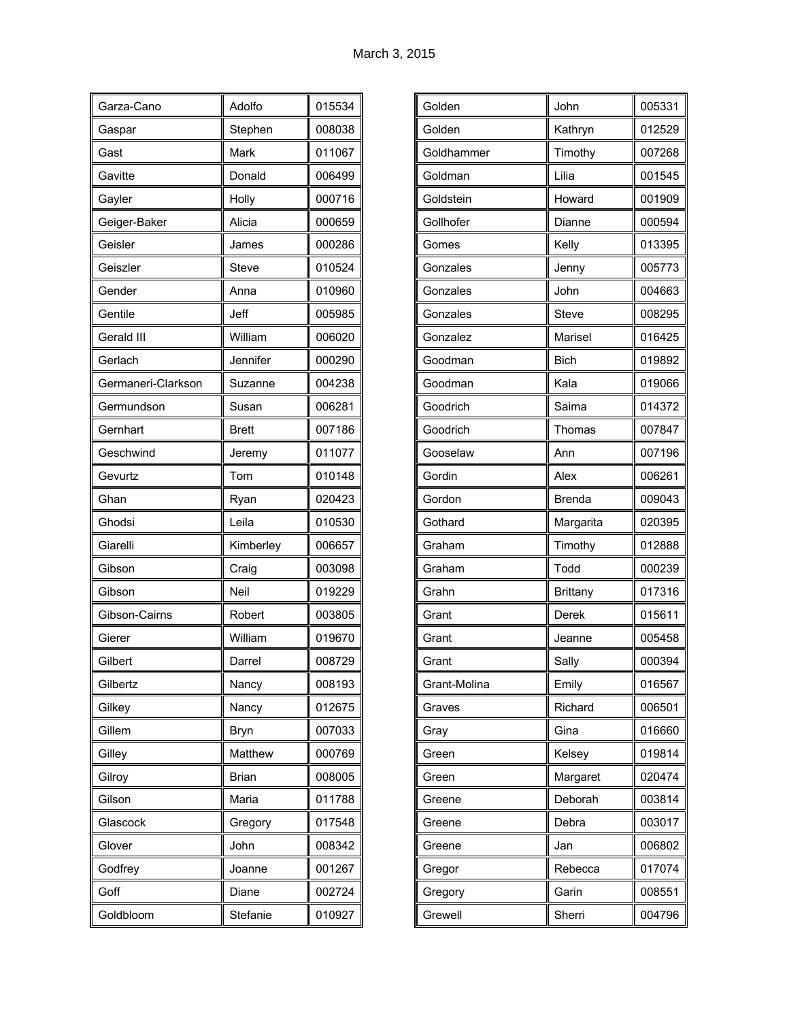| Garza-Cano         | Adolfo       | 015534 |
|--------------------|--------------|--------|
| Gaspar             | Stephen      | 008038 |
| Gast               | Mark         | 011067 |
| Gavitte            | Donald       | 006499 |
| Gayler             | Holly        | 000716 |
| Geiger-Baker       | Alicia       | 000659 |
| Geisler            | James        | 000286 |
| Geiszler           | Steve        | 010524 |
| Gender             | Anna         | 010960 |
| Gentile            | Jeff         | 005985 |
| Gerald III         | William      | 006020 |
| Gerlach            | Jennifer     | 000290 |
| Germaneri-Clarkson | Suzanne      | 004238 |
| Germundson         | Susan        | 006281 |
| Gernhart           | <b>Brett</b> | 007186 |
| Geschwind          | Jeremy       | 011077 |
| Gevurtz            | Tom          | 010148 |
| Ghan               | Ryan         | 020423 |
| Ghodsi             | Leila        | 010530 |
| Giarelli           | Kimberley    | 006657 |
| Gibson             | Craig        | 003098 |
| Gibson             | Neil         | 019229 |
| Gibson-Cairns      | Robert       | 003805 |
| Gierer             | William      | 019670 |
| Gilbert            | Darrel       | 008729 |
| Gilbertz           | Nancy        | 008193 |
| Gilkey             | Nancy        | 012675 |
| Gillem             | <b>Bryn</b>  | 007033 |
| Gilley             | Matthew      | 000769 |
| Gilroy             | <b>Brian</b> | 008005 |
| Gilson             | Maria        | 011788 |
| Glascock           | Gregory      | 017548 |
| Glover             | John         | 008342 |
| Godfrey            | Joanne       | 001267 |
| Goff               | Diane        | 002724 |
| Goldbloom          | Stefanie     | 010927 |

| Golden       | John            | 005331 |
|--------------|-----------------|--------|
| Golden       | Kathryn         | 012529 |
| Goldhammer   | Timothy         | 007268 |
| Goldman      | Lilia           | 001545 |
| Goldstein    | Howard          | 001909 |
| Gollhofer    | Dianne          | 000594 |
| Gomes        | Kelly           | 013395 |
| Gonzales     | Jenny           | 005773 |
| Gonzales     | John            | 004663 |
| Gonzales     | Steve           | 008295 |
| Gonzalez     | Marisel         | 016425 |
| Goodman      | <b>Bich</b>     | 019892 |
| Goodman      | Kala            | 019066 |
| Goodrich     | Saima           | 014372 |
| Goodrich     | Thomas          | 007847 |
| Gooselaw     | Ann             | 007196 |
| Gordin       | Alex            | 006261 |
| Gordon       | Brenda          | 009043 |
| Gothard      | Margarita       | 020395 |
| Graham       | Timothy         | 012888 |
| Graham       | Todd            | 000239 |
| Grahn        | <b>Brittany</b> | 017316 |
| Grant        | Derek           | 015611 |
| Grant        | Jeanne          | 005458 |
| Grant        | Sally           | 000394 |
| Grant-Molina | Emily           | 016567 |
| Graves       | Richard         | 006501 |
| Gray         | Gina            | 016660 |
| Green        | Kelsey          | 019814 |
| Green        | Margaret        | 020474 |
| Greene       | Deborah         | 003814 |
| Greene       | Debra           | 003017 |
| Greene       | Jan             | 006802 |
| Gregor       | Rebecca         | 017074 |
| Gregory      | Garin           | 008551 |
| Grewell      | Sherri          | 004796 |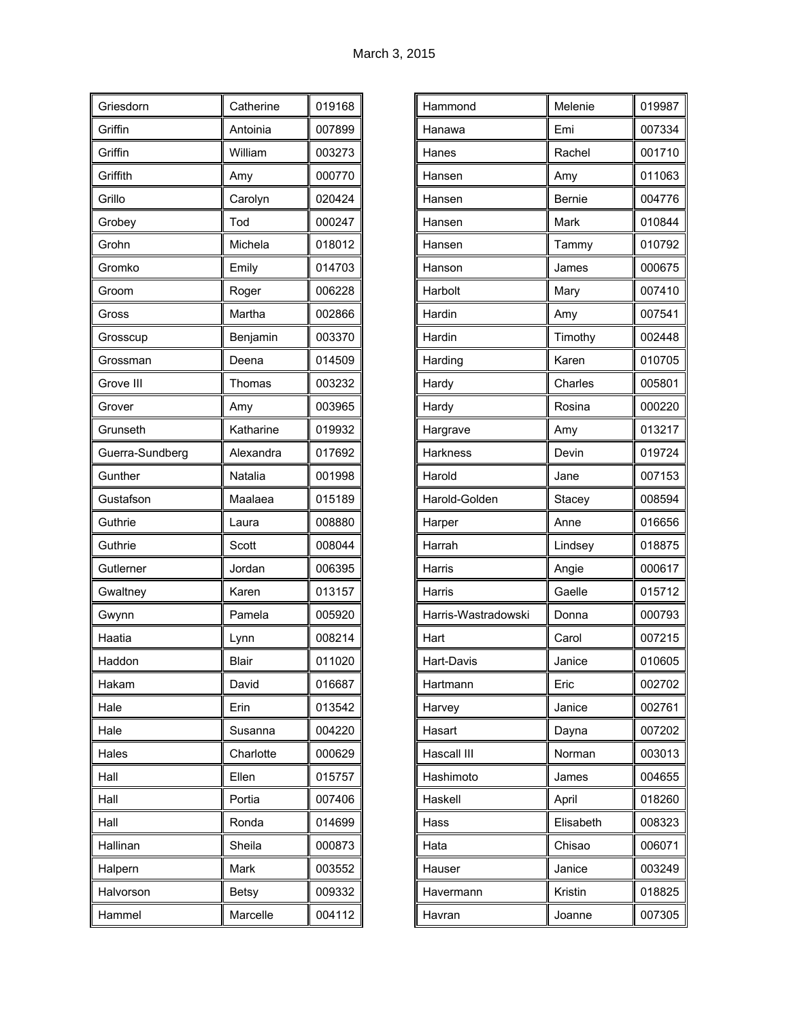| Griesdorn       | Catherine    | 019168 |
|-----------------|--------------|--------|
| Griffin         | Antoinia     | 007899 |
| Griffin         | William      | 003273 |
| Griffith        | Amy          | 000770 |
| Grillo          | Carolyn      | 020424 |
| Grobey          | Tod          | 000247 |
| Grohn           | Michela      | 018012 |
| Gromko          | Emily        | 014703 |
| Groom           | Roger        | 006228 |
| Gross           | Martha       | 002866 |
| Grosscup        | Benjamin     | 003370 |
| Grossman        | Deena        | 014509 |
| Grove III       | Thomas       | 003232 |
| Grover          | Amy          | 003965 |
| Grunseth        | Katharine    | 019932 |
| Guerra-Sundberg | Alexandra    | 017692 |
| Gunther         | Natalia      | 001998 |
| Gustafson       | Maalaea      | 015189 |
| Guthrie         | Laura        | 008880 |
| Guthrie         | Scott        | 008044 |
| Gutlerner       | Jordan       | 006395 |
| Gwaltney        | Karen        | 013157 |
| Gwynn           | Pamela       | 005920 |
| Haatia          | Lynn         | 008214 |
| Haddon          | <b>Blair</b> | 011020 |
| Hakam           | David        | 016687 |
| Hale            | Erin         | 013542 |
| Hale            | Susanna      | 004220 |
| Hales           | Charlotte    | 000629 |
| Hall            | Ellen        | 015757 |
| Hall            | Portia       | 007406 |
| Hall            | Ronda        | 014699 |
| Hallinan        | Sheila       | 000873 |
| Halpern         | Mark         | 003552 |
| Halvorson       | <b>Betsy</b> | 009332 |
| Hammel          | Marcelle     | 004112 |

| Hammond             | Melenie       | 019987 |
|---------------------|---------------|--------|
| Hanawa              | Emi           | 007334 |
| Hanes               | Rachel        | 001710 |
| Hansen              | Amy           | 011063 |
| Hansen              | <b>Bernie</b> | 004776 |
| Hansen              | Mark          | 010844 |
| Hansen              | Tammy         | 010792 |
| Hanson              | James         | 000675 |
| Harbolt             | Mary          | 007410 |
| Hardin              | Amy           | 007541 |
| Hardin              | Timothy       | 002448 |
| Harding             | Karen         | 010705 |
| Hardy               | Charles       | 005801 |
| Hardy               | Rosina        | 000220 |
| Hargrave            | Amy           | 013217 |
| <b>Harkness</b>     | Devin         | 019724 |
| Harold              | Jane          | 007153 |
| Harold-Golden       | Stacey        | 008594 |
| Harper              | Anne          | 016656 |
| Harrah              | Lindsey       | 018875 |
| Harris              | Angie         | 000617 |
| Harris              | Gaelle        | 015712 |
| Harris-Wastradowski | Donna         | 000793 |
| Hart                | Carol         | 007215 |
| Hart-Davis          | Janice        | 010605 |
| Hartmann            | Eric          | 002702 |
| Harvey              | Janice        | 002761 |
| Hasart              | Dayna         | 007202 |
| Hascall III         | Norman        | 003013 |
| Hashimoto           | James         | 004655 |
| Haskell             | April         | 018260 |
| Hass                | Elisabeth     | 008323 |
| Hata                | Chisao        | 006071 |
| Hauser              | Janice        | 003249 |
| Havermann           | Kristin       | 018825 |
| Havran              | Joanne        | 007305 |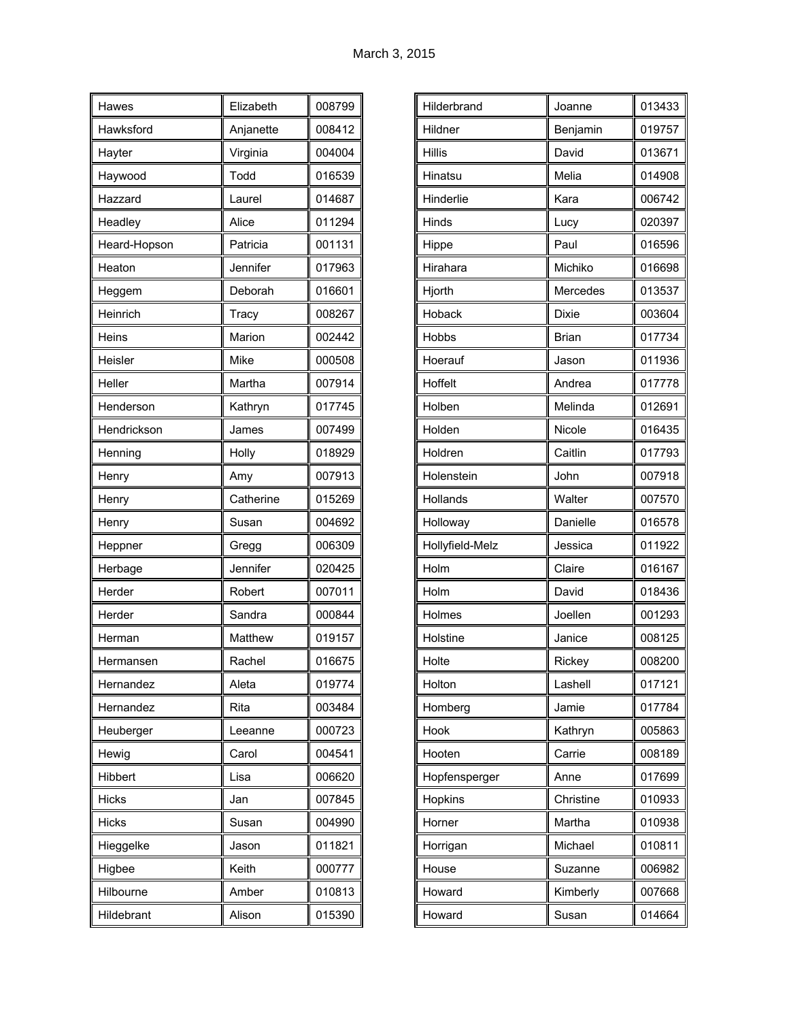| Hawes        | Elizabeth | 008799 |
|--------------|-----------|--------|
| Hawksford    | Anjanette | 008412 |
| Hayter       | Virginia  | 004004 |
| Haywood      | Todd      | 016539 |
| Hazzard      | Laurel    | 014687 |
| Headley      | Alice     | 011294 |
| Heard-Hopson | Patricia  | 001131 |
| Heaton       | Jennifer  | 017963 |
| Heggem       | Deborah   | 016601 |
| Heinrich     | Tracy     | 008267 |
| Heins        | Marion    | 002442 |
| Heisler      | Mike      | 000508 |
| Heller       | Martha    | 007914 |
| Henderson    | Kathryn   | 017745 |
| Hendrickson  | James     | 007499 |
| Henning      | Holly     | 018929 |
| Henry        | Amy       | 007913 |
| Henry        | Catherine | 015269 |
| Henry        | Susan     | 004692 |
| Heppner      | Gregg     | 006309 |
| Herbage      | Jennifer  | 020425 |
| Herder       | Robert    | 007011 |
| Herder       | Sandra    | 000844 |
| Herman       | Matthew   | 019157 |
| Hermansen    | Rachel    | 016675 |
| Hernandez    | Aleta     | 019774 |
| Hernandez    | Rita      | 003484 |
| Heuberger    | Leeanne   | 000723 |
| Hewig        | Carol     | 004541 |
| Hibbert      | Lisa      | 006620 |
| <b>Hicks</b> | Jan       | 007845 |
| <b>Hicks</b> | Susan     | 004990 |
| Hieggelke    | Jason     | 011821 |
| Higbee       | Keith     | 000777 |
| Hilbourne    | Amber     | 010813 |
| Hildebrant   | Alison    | 015390 |

| Hilderbrand     | Joanne       | 013433 |
|-----------------|--------------|--------|
| Hildner         | Benjamin     | 019757 |
| <b>Hillis</b>   | David        | 013671 |
| Hinatsu         | Melia        | 014908 |
| Hinderlie       | Kara         | 006742 |
| Hinds           | Lucy         | 020397 |
| Hippe           | Paul         | 016596 |
| Hirahara        | Michiko      | 016698 |
| Hjorth          | Mercedes     | 013537 |
| Hoback          | Dixie        | 003604 |
| Hobbs           | <b>Brian</b> | 017734 |
| Hoerauf         | Jason        | 011936 |
| Hoffelt         | Andrea       | 017778 |
| Holben          | Melinda      | 012691 |
| Holden          | Nicole       | 016435 |
| Holdren         | Caitlin      | 017793 |
| Holenstein      | John         | 007918 |
| Hollands        | Walter       | 007570 |
| Holloway        | Danielle     | 016578 |
| Hollyfield-Melz | Jessica      | 011922 |
| Holm            | Claire       | 016167 |
| Holm            | David        | 018436 |
| Holmes          | Joellen      | 001293 |
| Holstine        | Janice       | 008125 |
| Holte           | Rickey       | 008200 |
| Holton          | Lashell      | 017121 |
| Homberg         | Jamie        | 017784 |
| Hook            | Kathryn      | 005863 |
| Hooten          | Carrie       | 008189 |
| Hopfensperger   | Anne         | 017699 |
| Hopkins         | Christine    | 010933 |
| Horner          | Martha       | 010938 |
| Horrigan        | Michael      | 010811 |
| House           | Suzanne      | 006982 |
| Howard          | Kimberly     | 007668 |
| Howard          | Susan        | 014664 |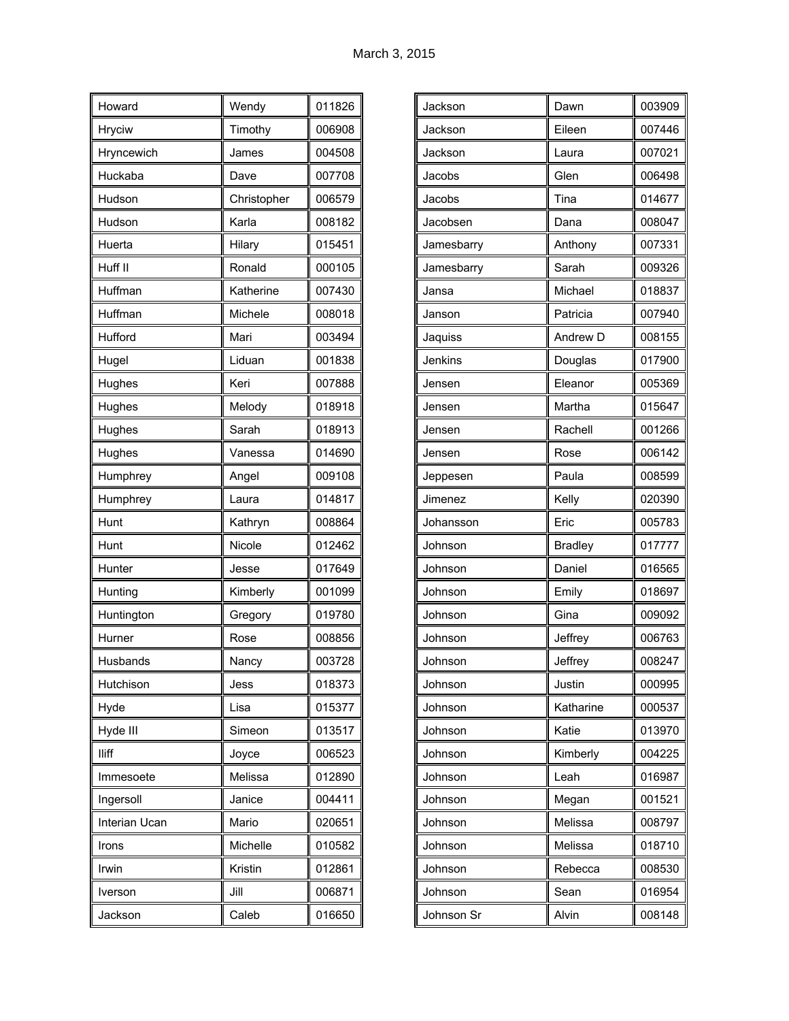| Howard        | Wendy       | 011826 |
|---------------|-------------|--------|
| <b>Hryciw</b> | Timothy     | 006908 |
| Hryncewich    | James       | 004508 |
| Huckaba       | Dave        | 007708 |
| Hudson        | Christopher | 006579 |
| Hudson        | Karla       | 008182 |
| Huerta        | Hilary      | 015451 |
| Huff II       | Ronald      | 000105 |
| Huffman       | Katherine   | 007430 |
| Huffman       | Michele     | 008018 |
| Hufford       | Mari        | 003494 |
| Hugel         | Liduan      | 001838 |
| Hughes        | Keri        | 007888 |
| Hughes        | Melody      | 018918 |
| Hughes        | Sarah       | 018913 |
| Hughes        | Vanessa     | 014690 |
| Humphrey      | Angel       | 009108 |
| Humphrey      | Laura       | 014817 |
| Hunt          | Kathryn     | 008864 |
| Hunt          | Nicole      | 012462 |
| Hunter        | Jesse       | 017649 |
| Hunting       | Kimberly    | 001099 |
| Huntington    | Gregory     | 019780 |
| Hurner        | Rose        | 008856 |
| Husbands      | Nancy       | 003728 |
| Hutchison     | Jess        | 018373 |
| Hyde          | Lisa        | 015377 |
| Hyde III      | Simeon      | 013517 |
| lliff         | Joyce       | 006523 |
| Immesoete     | Melissa     | 012890 |
| Ingersoll     | Janice      | 004411 |
| Interian Ucan | Mario       | 020651 |
| Irons         | Michelle    | 010582 |
| Irwin         | Kristin     | 012861 |
| Iverson       | Jill        | 006871 |
| Jackson       | Caleb       | 016650 |

| Jackson    | Dawn           | 003909 |
|------------|----------------|--------|
| Jackson    | Eileen         | 007446 |
| Jackson    | Laura          | 007021 |
| Jacobs     | Glen           | 006498 |
| Jacobs     | Tina           | 014677 |
| Jacobsen   | Dana           | 008047 |
| Jamesbarry | Anthony        | 007331 |
| Jamesbarry | Sarah          | 009326 |
| Jansa      | Michael        | 018837 |
| Janson     | Patricia       | 007940 |
| Jaquiss    | Andrew D       | 008155 |
| Jenkins    | Douglas        | 017900 |
| Jensen     | Eleanor        | 005369 |
| Jensen     | Martha         | 015647 |
| Jensen     | Rachell        | 001266 |
| Jensen     | Rose           | 006142 |
| Jeppesen   | Paula          | 008599 |
| Jimenez    | Kelly          | 020390 |
| Johansson  | Eric           | 005783 |
| Johnson    | <b>Bradley</b> | 017777 |
| Johnson    | Daniel         | 016565 |
| Johnson    | Emily          | 018697 |
| Johnson    | Gina           | 009092 |
| Johnson    | Jeffrey        | 006763 |
| Johnson    | Jeffrey        | 008247 |
| Johnson    | Justin         | 000995 |
| Johnson    | Katharine      | 000537 |
| Johnson    | Katie          | 013970 |
| Johnson    | Kimberly       | 004225 |
| Johnson    | Leah           | 016987 |
| Johnson    | Megan          | 001521 |
| Johnson    | Melissa        | 008797 |
| Johnson    | Melissa        | 018710 |
| Johnson    | Rebecca        | 008530 |
| Johnson    | Sean           | 016954 |
| Johnson Sr | Alvin          | 008148 |
|            |                |        |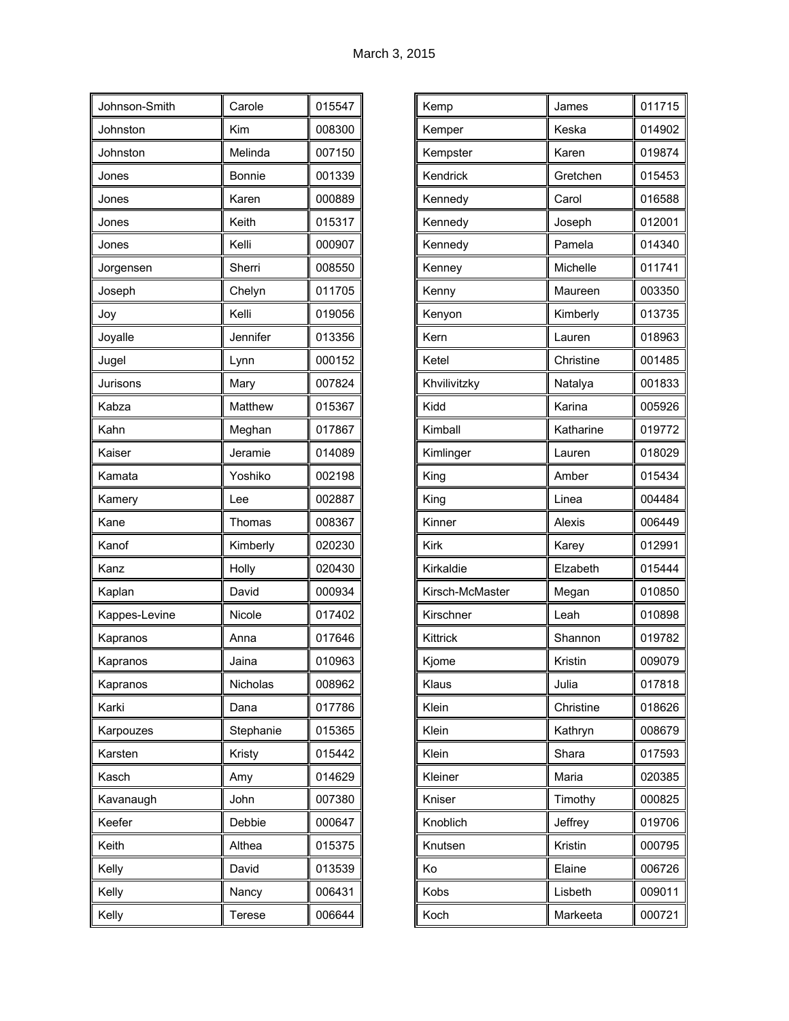| Johnson-Smith | Carole    | 015547 |
|---------------|-----------|--------|
| Johnston      | Kim       | 008300 |
| Johnston      | Melinda   | 007150 |
| Jones         | Bonnie    | 001339 |
| Jones         | Karen     | 000889 |
| Jones         | Keith     | 015317 |
| Jones         | Kelli     | 000907 |
| Jorgensen     | Sherri    | 008550 |
| Joseph        | Chelyn    | 011705 |
| Joy           | Kelli     | 019056 |
| Joyalle       | Jennifer  | 013356 |
| Jugel         | Lynn      | 000152 |
| Jurisons      | Mary      | 007824 |
| Kabza         | Matthew   | 015367 |
| Kahn          | Meghan    | 017867 |
| Kaiser        | Jeramie   | 014089 |
| Kamata        | Yoshiko   | 002198 |
| Kamery        | Lee       | 002887 |
| Kane          | Thomas    | 008367 |
| Kanof         | Kimberly  | 020230 |
| Kanz          | Holly     | 020430 |
| Kaplan        | David     | 000934 |
| Kappes-Levine | Nicole    | 017402 |
| Kapranos      | Anna      | 017646 |
| Kapranos      | Jaina     | 010963 |
| Kapranos      | Nicholas  | 008962 |
| Karki         | Dana      | 017786 |
| Karpouzes     | Stephanie | 015365 |
| Karsten       | Kristy    | 015442 |
| Kasch         | Amy       | 014629 |
| Kavanaugh     | John      | 007380 |
| Keefer        | Debbie    | 000647 |
| Keith         | Althea    | 015375 |
| Kelly         | David     | 013539 |
| Kelly         | Nancy     | 006431 |
| Kelly         | Terese    | 006644 |

| Kemp            | James         | 011715 |
|-----------------|---------------|--------|
|                 |               |        |
| Kemper          | Keska         | 014902 |
| Kempster        | Karen         | 019874 |
| Kendrick        | Gretchen      | 015453 |
| Kennedy         | Carol         | 016588 |
| Kennedy         | Joseph        | 012001 |
| Kennedy         | Pamela        | 014340 |
| Kenney          | Michelle      | 011741 |
| Kenny           | Maureen       | 003350 |
| Kenyon          | Kimberly      | 013735 |
| Kern            | Lauren        | 018963 |
| Ketel           | Christine     | 001485 |
| Khvilivitzky    | Natalya       | 001833 |
| Kidd            | Karina        | 005926 |
| Kimball         | Katharine     | 019772 |
| Kimlinger       | Lauren        | 018029 |
| King            | Amber         | 015434 |
| King            | Linea         | 004484 |
| Kinner          | <b>Alexis</b> | 006449 |
| Kirk            | Karey         | 012991 |
| Kirkaldie       | Elzabeth      | 015444 |
| Kirsch-McMaster | Megan         | 010850 |
| Kirschner       | Leah          | 010898 |
| Kittrick        | Shannon       | 019782 |
| Kjome           | Kristin       | 009079 |
| Klaus           | Julia         | 017818 |
| Klein           | Christine     | 018626 |
| Klein           | Kathryn       | 008679 |
| Klein           | Shara         | 017593 |
| Kleiner         | Maria         | 020385 |
| Kniser          | Timothy       | 000825 |
| Knoblich        | Jeffrey       | 019706 |
| Knutsen         | Kristin       | 000795 |
| Ko              | Elaine        | 006726 |
| Kobs            | Lisbeth       | 009011 |
| Koch            | Markeeta      | 000721 |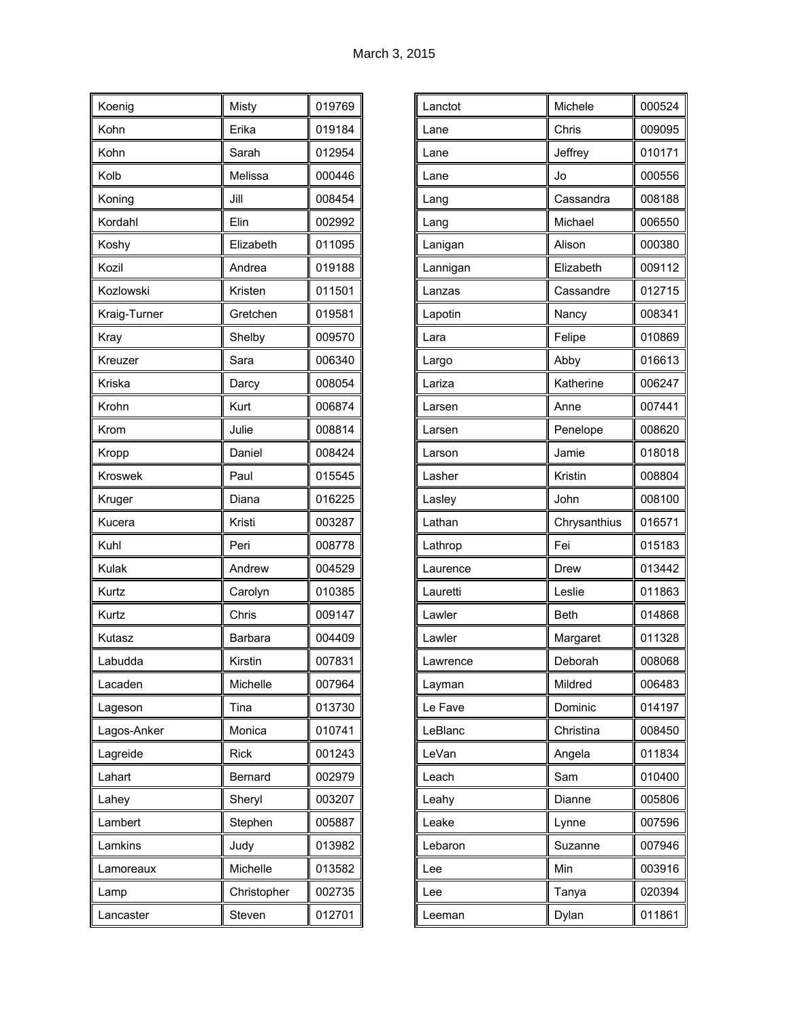| Koenig       | Misty       | 019769 |
|--------------|-------------|--------|
| Kohn         | Erika       | 019184 |
| Kohn         | Sarah       | 012954 |
| Kolb         | Melissa     | 000446 |
| Koning       | Jill        | 008454 |
| Kordahl      | Elin        | 002992 |
| Koshy        | Elizabeth   | 011095 |
| Kozil        | Andrea      | 019188 |
| Kozlowski    | Kristen     | 011501 |
| Kraig-Turner | Gretchen    | 019581 |
| Kray         | Shelby      | 009570 |
| Kreuzer      | Sara        | 006340 |
| Kriska       | Darcy       | 008054 |
| Krohn        | Kurt        | 006874 |
| Krom         | Julie       | 008814 |
| Kropp        | Daniel      | 008424 |
| Kroswek      | Paul        | 015545 |
| Kruger       | Diana       | 016225 |
| Kucera       | Kristi      | 003287 |
| Kuhl         | Peri        | 008778 |
| Kulak        | Andrew      | 004529 |
| Kurtz        | Carolyn     | 010385 |
| Kurtz        | Chris       | 009147 |
| Kutasz       | Barbara     | 004409 |
| Labudda      | Kirstin     | 007831 |
| Lacaden      | Michelle    | 007964 |
| Lageson      | Tina        | 013730 |
| Lagos-Anker  | Monica      | 010741 |
| Lagreide     | <b>Rick</b> | 001243 |
| Lahart       | Bernard     | 002979 |
| Lahey        | Sheryl      | 003207 |
| Lambert      | Stephen     | 005887 |
| Lamkins      | Judy        | 013982 |
| Lamoreaux    | Michelle    | 013582 |
| Lamp         | Christopher | 002735 |
| Lancaster    | Steven      | 012701 |

| Lanctot  | Michele      | 000524 |
|----------|--------------|--------|
| Lane     | Chris        | 009095 |
| Lane     | Jeffrey      | 010171 |
| Lane     | Jo           | 000556 |
| Lang     | Cassandra    | 008188 |
| Lang     | Michael      | 006550 |
| Lanigan  | Alison       | 000380 |
| Lannigan | Elizabeth    | 009112 |
| Lanzas   | Cassandre    | 012715 |
| Lapotin  | Nancy        | 008341 |
| Lara     | Felipe       | 010869 |
| Largo    | Abby         | 016613 |
| Lariza   | Katherine    | 006247 |
| Larsen   | Anne         | 007441 |
| Larsen   | Penelope     | 008620 |
| Larson   | Jamie        | 018018 |
| Lasher   | Kristin      | 008804 |
| Lasley   | John         | 008100 |
|          |              |        |
| Lathan   | Chrysanthius | 016571 |
| Lathrop  | Fei          | 015183 |
| Laurence | Drew         | 013442 |
| Lauretti | Leslie       | 011863 |
| Lawler   | <b>Beth</b>  | 014868 |
| Lawler   | Margaret     | 011328 |
| Lawrence | Deborah      | 008068 |
| Layman   | Mildred      | 006483 |
| Le Fave  | Dominic      | 014197 |
| LeBlanc  | Christina    | 008450 |
| LeVan    | Angela       | 011834 |
| Leach    | Sam          | 010400 |
| Leahy    | Dianne       | 005806 |
| Leake    | Lynne        | 007596 |
| Lebaron  | Suzanne      | 007946 |
| Lee      | Min          | 003916 |
| Lee      | Tanya        | 020394 |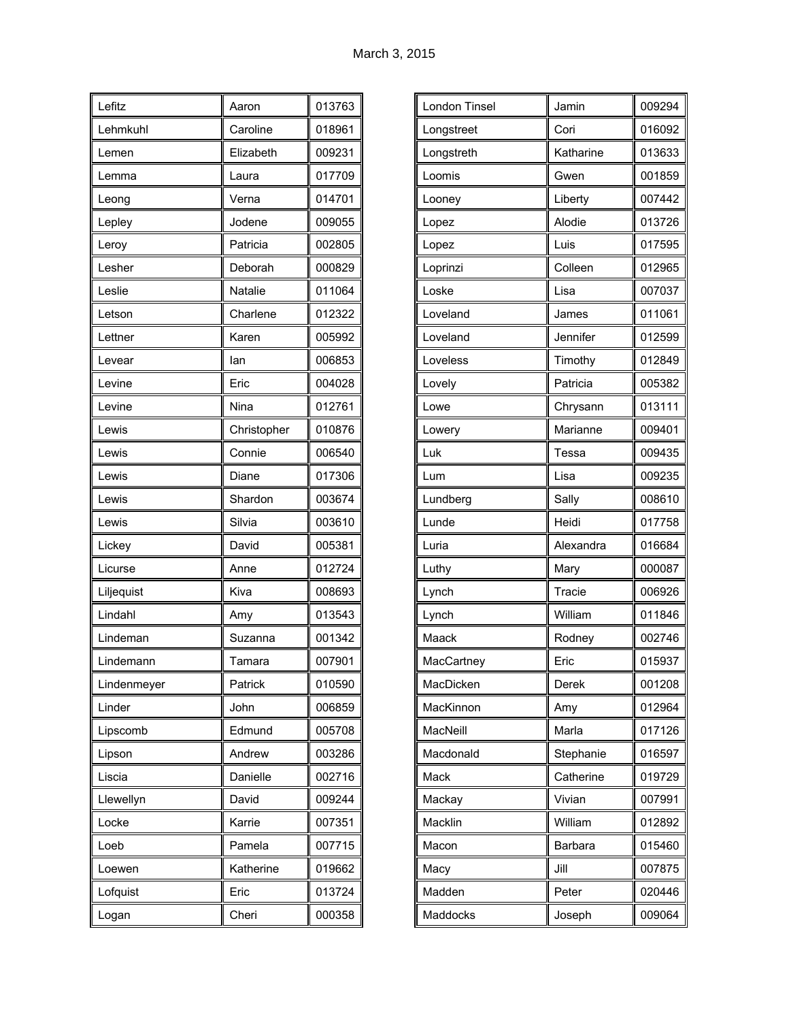| Lefitz      | Aaron       | 013763 |
|-------------|-------------|--------|
| Lehmkuhl    | Caroline    | 018961 |
| Lemen       | Elizabeth   | 009231 |
| Lemma       | Laura       | 017709 |
| Leong       | Verna       | 014701 |
| Lepley      | Jodene      | 009055 |
| Leroy       | Patricia    | 002805 |
| Lesher      | Deborah     | 000829 |
| Leslie      | Natalie     | 011064 |
| Letson      | Charlene    | 012322 |
| Lettner     | Karen       | 005992 |
| Levear      | lan         | 006853 |
| Levine      | Eric        | 004028 |
| Levine      | Nina        | 012761 |
| Lewis       | Christopher | 010876 |
| Lewis       | Connie      | 006540 |
| Lewis       | Diane       | 017306 |
| Lewis       | Shardon     | 003674 |
| Lewis       | Silvia      | 003610 |
| Lickey      | David       | 005381 |
| Licurse     | Anne        | 012724 |
| Liljequist  | Kiva        | 008693 |
| Lindahl     | Amy         | 013543 |
| Lindeman    | Suzanna     | 001342 |
| Lindemann   | Tamara      | 007901 |
| Lindenmeyer | Patrick     | 010590 |
| Linder      | John        | 006859 |
| Lipscomb    | Edmund      | 005708 |
| Lipson      | Andrew      | 003286 |
| Liscia      | Danielle    | 002716 |
| Llewellyn   | David       | 009244 |
| Locke       | Karrie      | 007351 |
| Loeb        | Pamela      | 007715 |
| Loewen      | Katherine   | 019662 |
| Lofquist    | Eric        | 013724 |
| Logan       | Cheri       | 000358 |

| London Tinsel | Jamin     | 009294 |
|---------------|-----------|--------|
| Longstreet    | Cori      | 016092 |
| Longstreth    | Katharine | 013633 |
| Loomis        | Gwen      | 001859 |
| Looney        | Liberty   | 007442 |
| Lopez         | Alodie    | 013726 |
| Lopez         | Luis      | 017595 |
| Loprinzi      | Colleen   | 012965 |
| Loske         | Lisa      | 007037 |
| Loveland      | James     | 011061 |
| Loveland      | Jennifer  | 012599 |
| Loveless      | Timothy   | 012849 |
| Lovely        | Patricia  | 005382 |
| Lowe          | Chrysann  | 013111 |
| Lowery        | Marianne  | 009401 |
| Luk           | Tessa     | 009435 |
| Lum           | Lisa      | 009235 |
| Lundberg      | Sally     | 008610 |
| Lunde         | Heidi     | 017758 |
| Luria         | Alexandra | 016684 |
| Luthy         | Mary      | 000087 |
| Lynch         | Tracie    | 006926 |
| Lynch         | William   | 011846 |
| Maack         | Rodney    | 002746 |
| MacCartney    | Eric      | 015937 |
| MacDicken     | Derek     | 001208 |
| MacKinnon     | Amy       | 012964 |
| MacNeill      | Marla     | 017126 |
| Macdonald     | Stephanie | 016597 |
| Mack          | Catherine | 019729 |
| Mackay        | Vivian    | 007991 |
| Macklin       | William   | 012892 |
| Macon         | Barbara   | 015460 |
| Масу          | Jill      | 007875 |
| Madden        | Peter     | 020446 |
| Maddocks      | Joseph    | 009064 |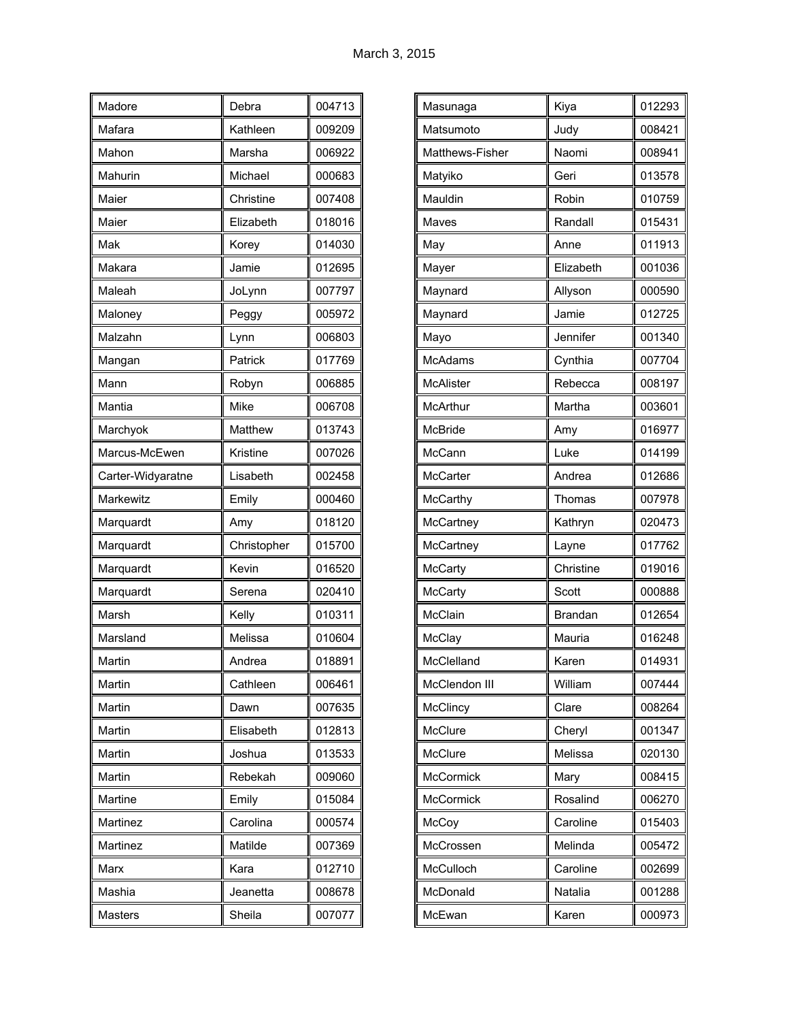| Madore            | Debra       | 004713 |
|-------------------|-------------|--------|
| Mafara            | Kathleen    | 009209 |
| Mahon             | Marsha      | 006922 |
| Mahurin           | Michael     | 000683 |
| Maier             | Christine   | 007408 |
| Maier             | Elizabeth   | 018016 |
| Mak               | Korey       | 014030 |
| Makara            | Jamie       | 012695 |
| Maleah            | JoLynn      | 007797 |
| Maloney           | Peggy       | 005972 |
| Malzahn           | Lynn        | 006803 |
| Mangan            | Patrick     | 017769 |
| Mann              | Robyn       | 006885 |
| Mantia            | Mike        | 006708 |
| Marchyok          | Matthew     | 013743 |
| Marcus-McEwen     | Kristine    | 007026 |
| Carter-Widyaratne | Lisabeth    | 002458 |
| Markewitz         | Emily       | 000460 |
| Marquardt         | Amy         | 018120 |
| Marquardt         | Christopher | 015700 |
| Marquardt         | Kevin       | 016520 |
| Marquardt         | Serena      | 020410 |
| Marsh             | Kelly       | 010311 |
| Marsland          | Melissa     | 010604 |
| Martin            | Andrea      | 018891 |
| Martin            | Cathleen    | 006461 |
| Martin            | Dawn        | 007635 |
| Martin            | Elisabeth   | 012813 |
| Martin            | Joshua      | 013533 |
| Martin            | Rebekah     | 009060 |
| Martine           | Emily       | 015084 |
| Martinez          | Carolina    | 000574 |
| Martinez          | Matilde     | 007369 |
| Marx              | Kara        | 012710 |
| Mashia            | Jeanetta    | 008678 |
| Masters           | Sheila      | 007077 |

| Masunaga         | Kiya           | 012293 |
|------------------|----------------|--------|
| Matsumoto        | Judy           | 008421 |
| Matthews-Fisher  | Naomi          | 008941 |
| Matyiko          | Geri           | 013578 |
| Mauldin          | Robin          | 010759 |
| <b>Maves</b>     | Randall        | 015431 |
| May              | Anne           | 011913 |
| Mayer            | Elizabeth      | 001036 |
| Maynard          | Allyson        | 000590 |
| Maynard          | Jamie          | 012725 |
| Mayo             | Jennifer       | 001340 |
| <b>McAdams</b>   | Cynthia        | 007704 |
| <b>McAlister</b> | Rebecca        | 008197 |
| McArthur         | Martha         | 003601 |
| <b>McBride</b>   | Amy            | 016977 |
| McCann           | Luke           | 014199 |
| McCarter         | Andrea         | 012686 |
| McCarthy         | Thomas         | 007978 |
| McCartney        | Kathryn        | 020473 |
| McCartney        | Layne          | 017762 |
| McCarty          | Christine      | 019016 |
| McCarty          | Scott          | 000888 |
| McClain          | <b>Brandan</b> | 012654 |
| McClay           | Mauria         | 016248 |
| McClelland       | Karen          | 014931 |
| McClendon III    | William        | 007444 |
| McClincy         | Clare          | 008264 |
| McClure          | Cheryl         | 001347 |
| McClure          | Melissa        | 020130 |
| <b>McCormick</b> | Mary           | 008415 |
| <b>McCormick</b> | Rosalind       | 006270 |
| McCoy            | Caroline       | 015403 |
| McCrossen        | Melinda        | 005472 |
| McCulloch        | Caroline       | 002699 |
| McDonald         | Natalia        | 001288 |
| McEwan           | Karen          | 000973 |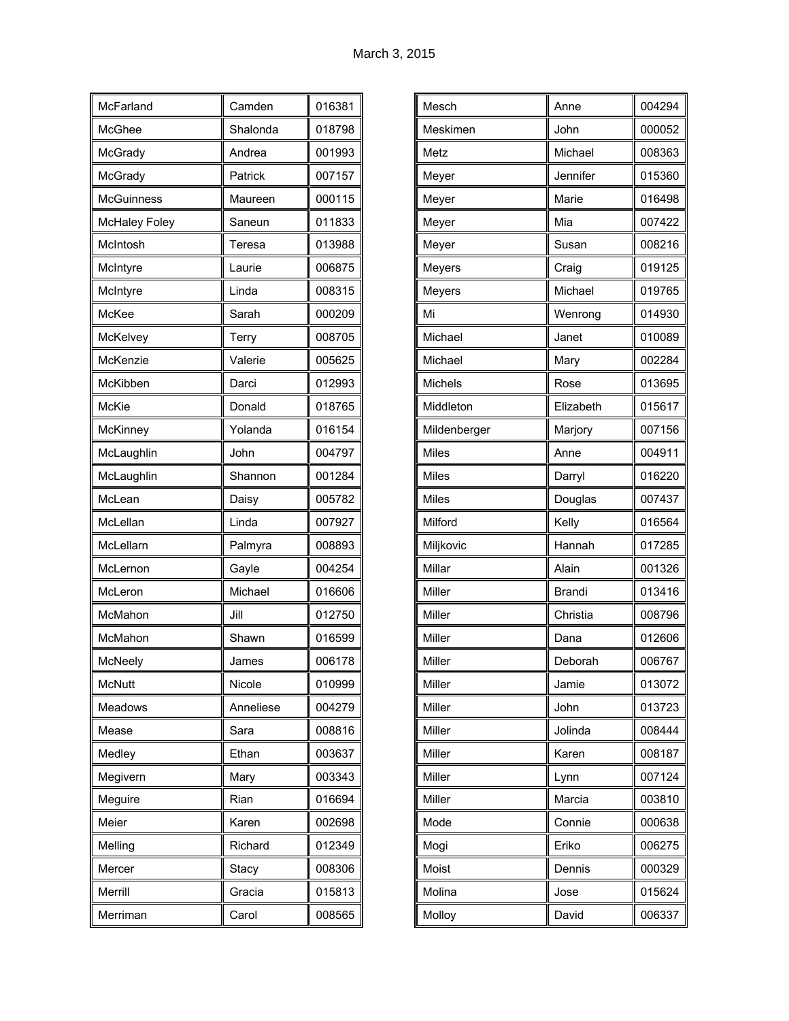| McFarland            | Camden    | 016381 |
|----------------------|-----------|--------|
| McGhee               | Shalonda  | 018798 |
| McGrady              | Andrea    | 001993 |
| McGrady              | Patrick   | 007157 |
| <b>McGuinness</b>    | Maureen   | 000115 |
| <b>McHaley Foley</b> | Saneun    | 011833 |
| McIntosh             | Teresa    | 013988 |
| McIntyre             | Laurie    | 006875 |
| McIntyre             | Linda     | 008315 |
| McKee                | Sarah     | 000209 |
| McKelvey             | Terry     | 008705 |
| McKenzie             | Valerie   | 005625 |
| McKibben             | Darci     | 012993 |
| <b>McKie</b>         | Donald    | 018765 |
| McKinney             | Yolanda   | 016154 |
| McLaughlin           | John      | 004797 |
| McLaughlin           | Shannon   | 001284 |
| McLean               | Daisy     | 005782 |
| McLellan             | Linda     | 007927 |
| McLellarn            | Palmyra   | 008893 |
| McLernon             | Gayle     | 004254 |
| McLeron              | Michael   | 016606 |
| McMahon              | Jill      | 012750 |
| McMahon              | Shawn     | 016599 |
| McNeely              | James     | 006178 |
| McNutt               | Nicole    | 010999 |
| Meadows              | Anneliese | 004279 |
| Mease                | Sara      | 008816 |
| Medley               | Ethan     | 003637 |
| Megivern             | Mary      | 003343 |
| Meguire              | Rian      | 016694 |
| Meier                | Karen     | 002698 |
| Melling              | Richard   | 012349 |
| Mercer               | Stacy     | 008306 |
| Merrill              | Gracia    | 015813 |
| Merriman             | Carol     | 008565 |

| Mesch          | Anne      | 004294 |
|----------------|-----------|--------|
| Meskimen       | John      | 000052 |
| Metz           | Michael   | 008363 |
| Meyer          | Jennifer  | 015360 |
| Meyer          | Marie     | 016498 |
| Meyer          | Mia       | 007422 |
| Meyer          | Susan     | 008216 |
| Meyers         | Craig     | 019125 |
| Meyers         | Michael   | 019765 |
| Mi             | Wenrong   | 014930 |
| Michael        | Janet     | 010089 |
| Michael        | Mary      | 002284 |
| <b>Michels</b> | Rose      | 013695 |
| Middleton      | Elizabeth | 015617 |
| Mildenberger   | Marjory   | 007156 |
| <b>Miles</b>   | Anne      | 004911 |
| <b>Miles</b>   | Darryl    | 016220 |
| <b>Miles</b>   | Douglas   | 007437 |
| Milford        | Kelly     | 016564 |
| Miljkovic      | Hannah    | 017285 |
| Millar         | Alain     | 001326 |
| Miller         | Brandi    | 013416 |
| Miller         | Christia  | 008796 |
| Miller         | Dana      | 012606 |
| Miller         | Deborah   | 006767 |
| Miller         | Jamie     | 013072 |
| Miller         | John      | 013723 |
| Miller         | Jolinda   | 008444 |
| Miller         | Karen     | 008187 |
| Miller         | Lynn      | 007124 |
| Miller         | Marcia    | 003810 |
| Mode           | Connie    | 000638 |
| Mogi           | Eriko     | 006275 |
| Moist          | Dennis    | 000329 |
| Molina         | Jose      | 015624 |
| Molloy         | David     | 006337 |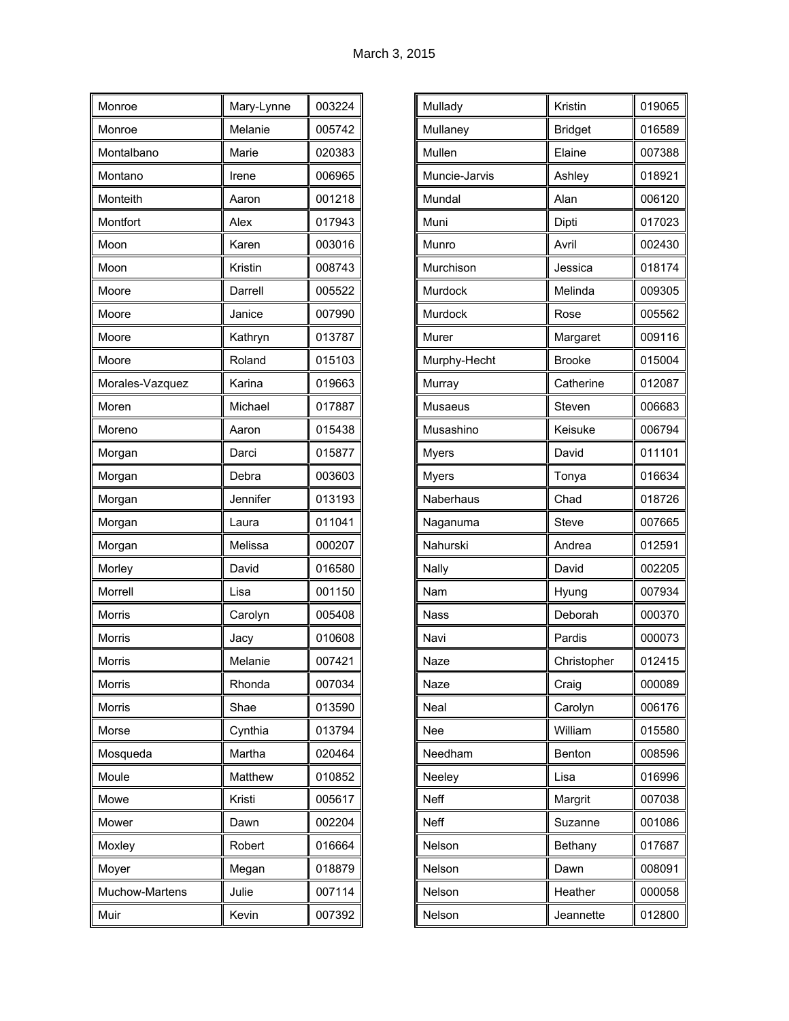| Monroe          | Mary-Lynne | 003224 |
|-----------------|------------|--------|
| Monroe          | Melanie    | 005742 |
| Montalbano      | Marie      | 020383 |
| Montano         | Irene      | 006965 |
| Monteith        | Aaron      | 001218 |
| Montfort        | Alex       | 017943 |
| Moon            | Karen      | 003016 |
| Moon            | Kristin    | 008743 |
| Moore           | Darrell    | 005522 |
| Moore           | Janice     | 007990 |
| Moore           | Kathryn    | 013787 |
| Moore           | Roland     | 015103 |
| Morales-Vazquez | Karina     | 019663 |
| Moren           | Michael    | 017887 |
| Moreno          | Aaron      | 015438 |
| Morgan          | Darci      | 015877 |
| Morgan          | Debra      | 003603 |
| Morgan          | Jennifer   | 013193 |
| Morgan          | Laura      | 011041 |
| Morgan          | Melissa    | 000207 |
| Morley          | David      | 016580 |
| Morrell         | Lisa       | 001150 |
| <b>Morris</b>   | Carolyn    | 005408 |
| Morris          | Jacy       | 010608 |
| <b>Morris</b>   | Melanie    | 007421 |
| Morris          | Rhonda     | 007034 |
| Morris          | Shae       | 013590 |
| Morse           | Cynthia    | 013794 |
| Mosqueda        | Martha     | 020464 |
| Moule           | Matthew    | 010852 |
| Mowe            | Kristi     | 005617 |
| Mower           | Dawn       | 002204 |
| Moxley          | Robert     | 016664 |
| Moyer           | Megan      | 018879 |
| Muchow-Martens  | Julie      | 007114 |
| Muir            | Kevin      | 007392 |

| Mullady       | Kristin        | 019065 |
|---------------|----------------|--------|
| Mullaney      | <b>Bridget</b> | 016589 |
| Mullen        | Elaine         | 007388 |
| Muncie-Jarvis | Ashley         | 018921 |
| Mundal        | Alan           | 006120 |
| Muni          | Dipti          | 017023 |
| Munro         | Avril          | 002430 |
| Murchison     | Jessica        | 018174 |
| Murdock       | Melinda        | 009305 |
| Murdock       | Rose           | 005562 |
| Murer         | Margaret       | 009116 |
| Murphy-Hecht  | <b>Brooke</b>  | 015004 |
| Murray        | Catherine      | 012087 |
| Musaeus       | Steven         | 006683 |
| Musashino     | Keisuke        | 006794 |
| <b>Myers</b>  | David          | 011101 |
| <b>Myers</b>  | Tonya          | 016634 |
| Naberhaus     | Chad           | 018726 |
| Naganuma      | Steve          | 007665 |
| Nahurski      | Andrea         | 012591 |
| Nally         | David          | 002205 |
| Nam           | Hyung          | 007934 |
| <b>Nass</b>   | Deborah        | 000370 |
| Navi          | Pardis         | 000073 |
| Naze          | Christopher    | 012415 |
| Naze          | Craig          | 000089 |
| Neal          | Carolyn        | 006176 |
| Nee           | William        | 015580 |
| Needham       | Benton         | 008596 |
| Neeley        | Lisa           | 016996 |
| Neff          | Margrit        | 007038 |
| Neff          | Suzanne        | 001086 |
| Nelson        | Bethany        | 017687 |
| Nelson        | Dawn           | 008091 |
| Nelson        | Heather        | 000058 |
| Nelson        | Jeannette      | 012800 |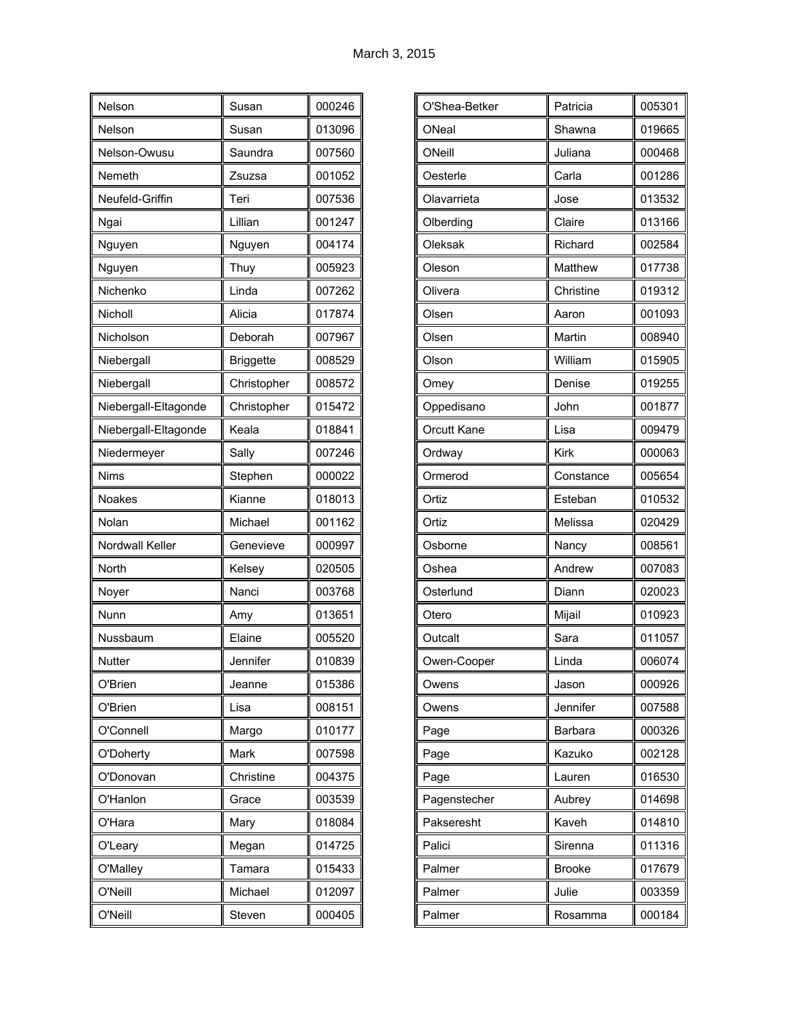| Nelson               | Susan            | 000246 |
|----------------------|------------------|--------|
| Nelson               | Susan            | 013096 |
| Nelson-Owusu         | Saundra          | 007560 |
| Nemeth               | Zsuzsa           | 001052 |
| Neufeld-Griffin      | Teri             | 007536 |
| Ngai                 | Lillian          | 001247 |
| Nguyen               | Nguyen           | 004174 |
| Nguyen               | Thuy             | 005923 |
| Nichenko             | Linda            | 007262 |
| Nicholl              | Alicia           | 017874 |
| Nicholson            | Deborah          | 007967 |
| Niebergall           | <b>Briggette</b> | 008529 |
| Niebergall           | Christopher      | 008572 |
| Niebergall-Eltagonde | Christopher      | 015472 |
| Niebergall-Eltagonde | Keala            | 018841 |
| Niedermeyer          | Sally            | 007246 |
| <b>Nims</b>          | Stephen          | 000022 |
| <b>Noakes</b>        | Kianne           | 018013 |
| Nolan                | Michael          | 001162 |
| Nordwall Keller      | Genevieve        | 000997 |
| North                | Kelsey           | 020505 |
| Noyer                | Nanci            | 003768 |
| Nunn                 | Amy              | 013651 |
| Nussbaum             | Elaine           | 005520 |
| Nutter               | Jennifer         | 010839 |
| O'Brien              | Jeanne           | 015386 |
| O'Brien              | Lisa             | 008151 |
| O'Connell            | Margo            | 010177 |
| O'Doherty            | Mark             | 007598 |
| O'Donovan            | Christine        | 004375 |
| O'Hanlon             | Grace            | 003539 |
| O'Hara               | Mary             | 018084 |
| O'Leary              | Megan            | 014725 |
| O'Malley             | Tamara           | 015433 |
| O'Neill              | Michael          | 012097 |
| O'Neill              | Steven           | 000405 |

| O'Shea-Betker      | Patricia  | 005301 |
|--------------------|-----------|--------|
| ONeal              | Shawna    | 019665 |
| ONeill             | Juliana   | 000468 |
| Oesterle           | Carla     | 001286 |
| Olavarrieta        | Jose      | 013532 |
| Olberding          | Claire    | 013166 |
| Oleksak            | Richard   | 002584 |
| Oleson             | Matthew   | 017738 |
| Olivera            | Christine | 019312 |
| Olsen              | Aaron     | 001093 |
| Olsen              | Martin    | 008940 |
| Olson              | William   | 015905 |
| Omey               | Denise    | 019255 |
| Oppedisano         | John      | 001877 |
| <b>Orcutt Kane</b> | Lisa      | 009479 |
| Ordway             | Kirk      | 000063 |
| Ormerod            | Constance | 005654 |
| Ortiz              | Esteban   | 010532 |
| Ortiz              | Melissa   | 020429 |
| Osborne            | Nancy     | 008561 |
| Oshea              | Andrew    | 007083 |
| Osterlund          | Diann     | 020023 |
| Otero              | Mijail    | 010923 |
| Outcalt            | Sara      | 011057 |
| Owen-Cooper        | Linda     | 006074 |
| Owens              | Jason     | 000926 |
| Owens              | Jennifer  | 007588 |
| Page               | Barbara   | 000326 |
| Page               | Kazuko    | 002128 |
| Page               | Lauren    | 016530 |
| Pagenstecher       | Aubrey    | 014698 |
| Pakseresht         | Kaveh     | 014810 |
| Palici             | Sirenna   | 011316 |
| Palmer             | Brooke    | 017679 |
| Palmer             | Julie     | 003359 |
| Palmer             | Rosamma   | 000184 |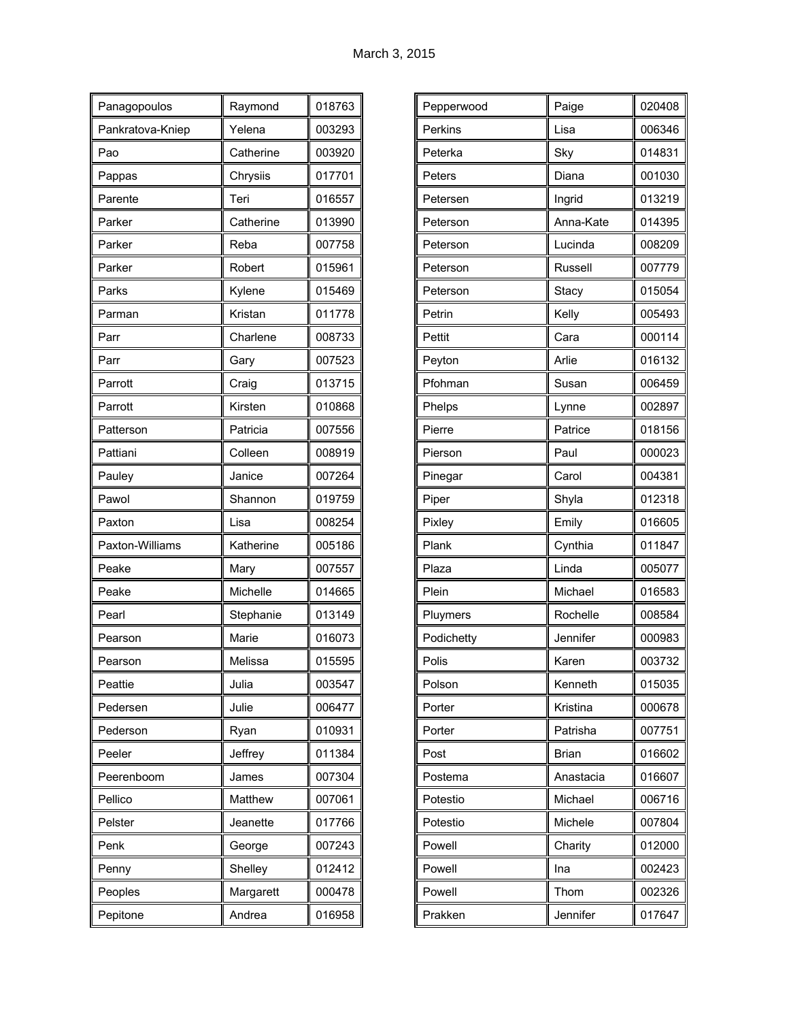| Panagopoulos     | Raymond   | 018763 |
|------------------|-----------|--------|
| Pankratova-Kniep | Yelena    | 003293 |
| Pao              | Catherine | 003920 |
| Pappas           | Chrysiis  | 017701 |
| Parente          | Teri      | 016557 |
| Parker           | Catherine | 013990 |
| Parker           | Reba      | 007758 |
| Parker           | Robert    | 015961 |
| Parks            | Kylene    | 015469 |
| Parman           | Kristan   | 011778 |
| Parr             | Charlene  | 008733 |
| Parr             | Gary      | 007523 |
| Parrott          | Craig     | 013715 |
| Parrott          | Kirsten   | 010868 |
| Patterson        | Patricia  | 007556 |
| Pattiani         | Colleen   | 008919 |
| Pauley           | Janice    | 007264 |
| Pawol            | Shannon   | 019759 |
| Paxton           | Lisa      | 008254 |
| Paxton-Williams  | Katherine | 005186 |
| Peake            | Mary      | 007557 |
| Peake            | Michelle  | 014665 |
| Pearl            | Stephanie | 013149 |
| Pearson          | Marie     | 016073 |
| Pearson          | Melissa   | 015595 |
| Peattie          | Julia     | 003547 |
| Pedersen         | Julie     | 006477 |
| Pederson         | Ryan      | 010931 |
| Peeler           | Jeffrey   | 011384 |
| Peerenboom       | James     | 007304 |
| Pellico          | Matthew   | 007061 |
| Pelster          | Jeanette  | 017766 |
| Penk             | George    | 007243 |
| Penny            | Shelley   | 012412 |
| Peoples          | Margarett | 000478 |
| Pepitone         | Andrea    | 016958 |

| Pepperwood | Paige     | 020408 |
|------------|-----------|--------|
| Perkins    | Lisa      | 006346 |
| Peterka    | Sky       | 014831 |
| Peters     | Diana     | 001030 |
| Petersen   | Ingrid    | 013219 |
| Peterson   | Anna-Kate | 014395 |
| Peterson   | Lucinda   | 008209 |
| Peterson   | Russell   | 007779 |
| Peterson   | Stacy     | 015054 |
| Petrin     | Kelly     | 005493 |
| Pettit     | Cara      | 000114 |
| Peyton     | Arlie     | 016132 |
| Pfohman    | Susan     | 006459 |
| Phelps     | Lynne     | 002897 |
| Pierre     | Patrice   | 018156 |
| Pierson    | Paul      | 000023 |
| Pinegar    | Carol     | 004381 |
| Piper      | Shyla     | 012318 |
| Pixley     | Emily     | 016605 |
| Plank      | Cynthia   | 011847 |
| Plaza      | Linda     | 005077 |
| Plein      | Michael   | 016583 |
| Pluymers   | Rochelle  | 008584 |
| Podichetty | Jennifer  | 000983 |
| Polis      | Karen     | 003732 |
| Polson     | Kenneth   | 015035 |
| Porter     | Kristina  | 000678 |
| Porter     | Patrisha  | 007751 |
| Post       | Brian     | 016602 |
| Postema    | Anastacia | 016607 |
| Potestio   | Michael   | 006716 |
| Potestio   | Michele   | 007804 |
| Powell     | Charity   | 012000 |
| Powell     | Ina       | 002423 |
| Powell     | Thom      | 002326 |
| Prakken    | Jennifer  | 017647 |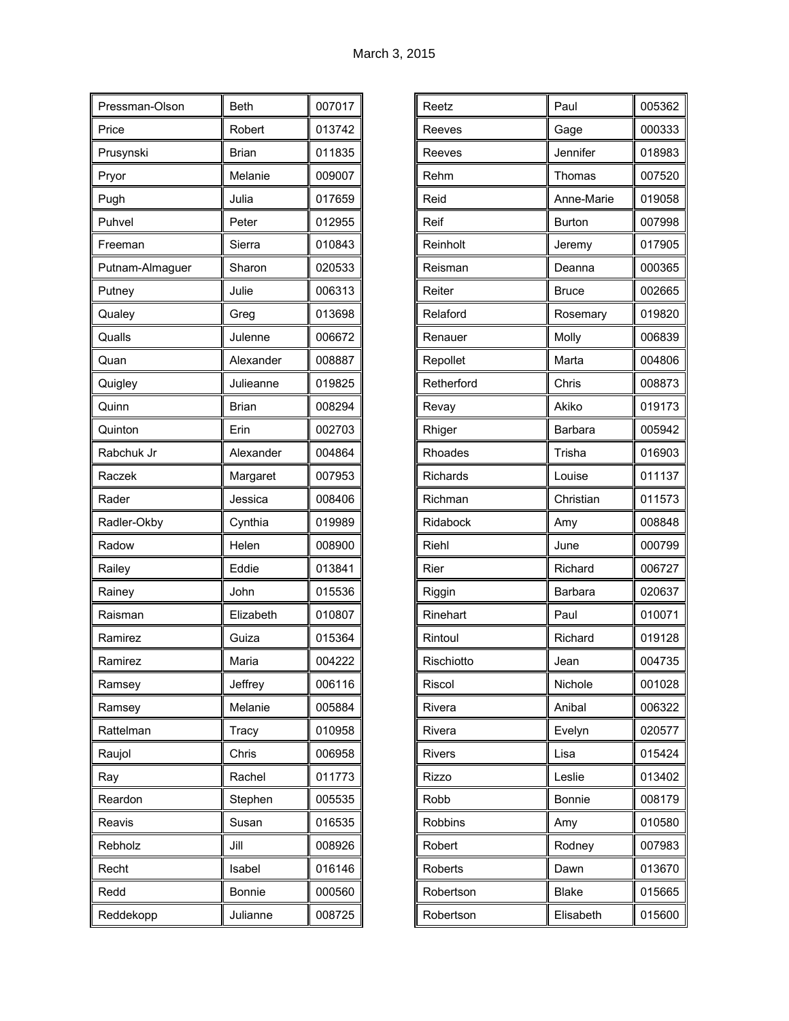| Pressman-Olson  | <b>Beth</b>  | 007017 |
|-----------------|--------------|--------|
| Price           | Robert       | 013742 |
| Prusynski       | <b>Brian</b> | 011835 |
| Pryor           | Melanie      | 009007 |
| Pugh            | Julia        | 017659 |
| Puhvel          | Peter        | 012955 |
| Freeman         | Sierra       | 010843 |
| Putnam-Almaguer | Sharon       | 020533 |
| Putney          | Julie        | 006313 |
| Qualey          | Greg         | 013698 |
| Qualls          | Julenne      | 006672 |
| Quan            | Alexander    | 008887 |
| Quigley         | Julieanne    | 019825 |
| Quinn           | <b>Brian</b> | 008294 |
| Quinton         | Erin         | 002703 |
| Rabchuk Jr      | Alexander    | 004864 |
| Raczek          | Margaret     | 007953 |
| Rader           | Jessica      | 008406 |
| Radler-Okby     | Cynthia      | 019989 |
| Radow           | Helen        | 008900 |
| Railey          | Eddie        | 013841 |
| Rainey          | John         | 015536 |
| Raisman         | Elizabeth    | 010807 |
| Ramirez         | Guiza        | 015364 |
| Ramirez         | Maria        | 004222 |
| Ramsey          | Jeffrey      | 006116 |
| Ramsey          | Melanie      | 005884 |
| Rattelman       | Tracy        | 010958 |
| Raujol          | Chris        | 006958 |
| Ray             | Rachel       | 011773 |
| Reardon         | Stephen      | 005535 |
| Reavis          | Susan        | 016535 |
| Rebholz         | Jill         | 008926 |
| Recht           | Isabel       | 016146 |
| Redd            | Bonnie       | 000560 |
| Reddekopp       | Julianne     | 008725 |

| Paul          | 005362 |
|---------------|--------|
| Gage          | 000333 |
| Jennifer      | 018983 |
| Thomas        | 007520 |
| Anne-Marie    | 019058 |
| <b>Burton</b> | 007998 |
| Jeremy        | 017905 |
| Deanna        | 000365 |
| <b>Bruce</b>  | 002665 |
| Rosemary      | 019820 |
| Molly         | 006839 |
| Marta         | 004806 |
| Chris         | 008873 |
| Akiko         | 019173 |
| Barbara       | 005942 |
| Trisha        | 016903 |
| Louise        | 011137 |
| Christian     | 011573 |
| Amy           | 008848 |
| June          | 000799 |
| Richard       | 006727 |
| Barbara       | 020637 |
| Paul          | 010071 |
| Richard       | 019128 |
| Jean          | 004735 |
| Nichole       | 001028 |
| Anibal        | 006322 |
| Evelyn        | 020577 |
| Lisa          | 015424 |
| Leslie        | 013402 |
| Bonnie        | 008179 |
| Amy           | 010580 |
| Rodney        | 007983 |
| Dawn          | 013670 |
| <b>Blake</b>  | 015665 |
| Elisabeth     | 015600 |
|               |        |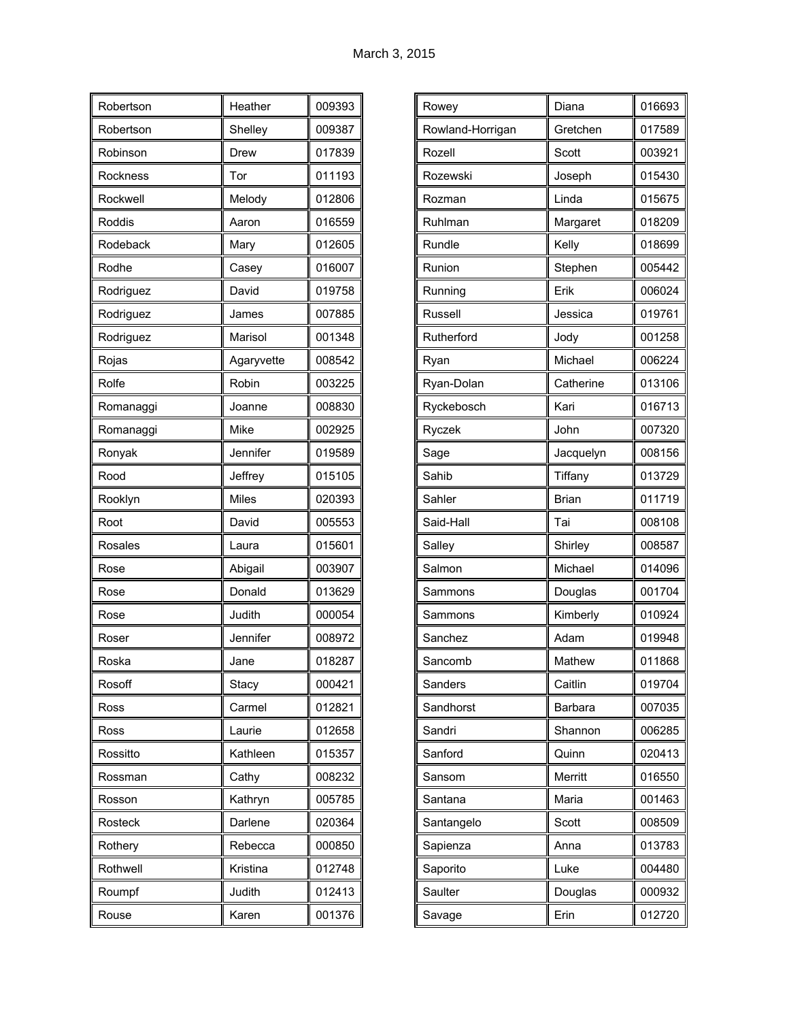| Robertson | Heather      | 009393 |
|-----------|--------------|--------|
| Robertson | Shelley      | 009387 |
| Robinson  | Drew         | 017839 |
| Rockness  | Tor          | 011193 |
| Rockwell  | Melody       | 012806 |
| Roddis    | Aaron        | 016559 |
| Rodeback  | Mary         | 012605 |
| Rodhe     | Casey        | 016007 |
| Rodriguez | David        | 019758 |
| Rodriguez | James        | 007885 |
| Rodriguez | Marisol      | 001348 |
| Rojas     | Agaryvette   | 008542 |
| Rolfe     | Robin        | 003225 |
| Romanaggi | Joanne       | 008830 |
| Romanaggi | Mike         | 002925 |
| Ronyak    | Jennifer     | 019589 |
| Rood      | Jeffrey      | 015105 |
| Rooklyn   | <b>Miles</b> | 020393 |
| Root      | David        | 005553 |
| Rosales   | Laura        | 015601 |
| Rose      | Abigail      | 003907 |
| Rose      | Donald       | 013629 |
| Rose      | Judith       | 000054 |
| Roser     | Jennifer     | 008972 |
| Roska     | Jane         | 018287 |
| Rosoff    | Stacy        | 000421 |
| Ross      | Carmel       | 012821 |
| Ross      | Laurie       | 012658 |
| Rossitto  | Kathleen     | 015357 |
| Rossman   | Cathy        | 008232 |
| Rosson    | Kathryn      | 005785 |
| Rosteck   | Darlene      | 020364 |
| Rothery   | Rebecca      | 000850 |
| Rothwell  | Kristina     | 012748 |
| Roumpf    | Judith       | 012413 |
| Rouse     | Karen        | 001376 |

| Rowey            | Diana        | 016693 |
|------------------|--------------|--------|
| Rowland-Horrigan | Gretchen     | 017589 |
| Rozell           | Scott        | 003921 |
| Rozewski         | Joseph       | 015430 |
| Rozman           | Linda        | 015675 |
| Ruhlman          | Margaret     | 018209 |
| Rundle           | Kelly        | 018699 |
| Runion           | Stephen      | 005442 |
| Running          | Erik         | 006024 |
| Russell          | Jessica      | 019761 |
| Rutherford       | Jody         | 001258 |
| Ryan             | Michael      | 006224 |
| Ryan-Dolan       | Catherine    | 013106 |
| Ryckebosch       | Kari         | 016713 |
| Ryczek           | John         | 007320 |
| Sage             | Jacquelyn    | 008156 |
| Sahib            | Tiffany      | 013729 |
| Sahler           | <b>Brian</b> | 011719 |
| Said-Hall        | Tai          | 008108 |
| Salley           | Shirley      | 008587 |
| Salmon           | Michael      | 014096 |
| Sammons          | Douglas      | 001704 |
| Sammons          | Kimberly     | 010924 |
| Sanchez          | Adam         | 019948 |
| Sancomb          | Mathew       | 011868 |
| Sanders          | Caitlin      | 019704 |
| Sandhorst        | Barbara      | 007035 |
| Sandri           | Shannon      | 006285 |
| Sanford          | Quinn        | 020413 |
| Sansom           | Merritt      | 016550 |
| Santana          | Maria        | 001463 |
| Santangelo       | Scott        | 008509 |
| Sapienza         | Anna         | 013783 |
| Saporito         | Luke         | 004480 |
| Saulter          | Douglas      | 000932 |
| Savage           | Erin         | 012720 |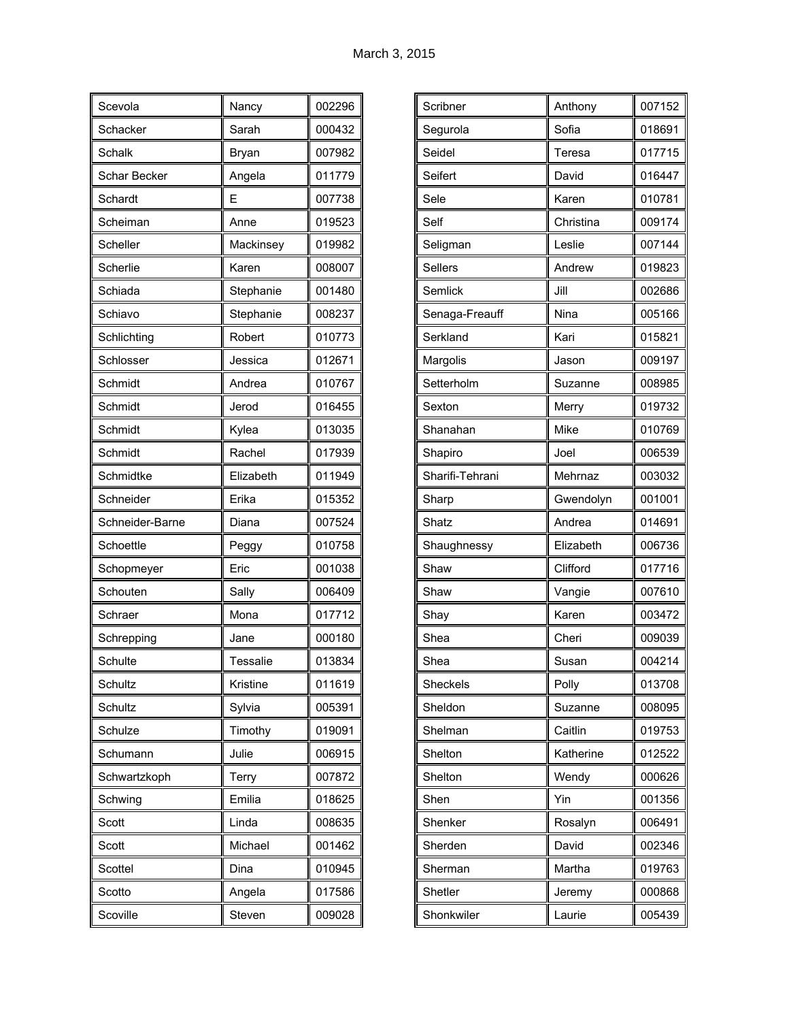| Scevola         | Nancy     | 002296 |
|-----------------|-----------|--------|
| Schacker        | Sarah     | 000432 |
| Schalk          | Bryan     | 007982 |
| Schar Becker    | Angela    | 011779 |
| Schardt         | Ε         | 007738 |
| Scheiman        | Anne      | 019523 |
| Scheller        | Mackinsey | 019982 |
| Scherlie        | Karen     | 008007 |
| Schiada         | Stephanie | 001480 |
| Schiavo         | Stephanie | 008237 |
| Schlichting     | Robert    | 010773 |
| Schlosser       | Jessica   | 012671 |
| Schmidt         | Andrea    | 010767 |
| Schmidt         | Jerod     | 016455 |
| Schmidt         | Kylea     | 013035 |
| Schmidt         | Rachel    | 017939 |
| Schmidtke       | Elizabeth | 011949 |
| Schneider       | Erika     | 015352 |
| Schneider-Barne | Diana     | 007524 |
| Schoettle       | Peggy     | 010758 |
| Schopmeyer      | Eric      | 001038 |
| Schouten        | Sally     | 006409 |
| Schraer         | Mona      | 017712 |
| Schrepping      | Jane      | 000180 |
| Schulte         | Tessalie  | 013834 |
| Schultz         | Kristine  | 011619 |
| Schultz         | Sylvia    | 005391 |
| Schulze         | Timothy   | 019091 |
| Schumann        | Julie     | 006915 |
| Schwartzkoph    | Terry     | 007872 |
| Schwing         | Emilia    | 018625 |
| Scott           | Linda     | 008635 |
| Scott           | Michael   | 001462 |
| Scottel         | Dina      | 010945 |
| Scotto          | Angela    | 017586 |
| Scoville        | Steven    | 009028 |

| Scribner        | Anthony   | 007152 |
|-----------------|-----------|--------|
| Segurola        | Sofia     | 018691 |
| Seidel          | Teresa    | 017715 |
| Seifert         | David     | 016447 |
| Sele            | Karen     | 010781 |
| Self            | Christina | 009174 |
| Seligman        | Leslie    | 007144 |
| Sellers         | Andrew    | 019823 |
| Semlick         | Jill      | 002686 |
| Senaga-Freauff  | Nina      | 005166 |
| Serkland        | Kari      | 015821 |
| Margolis        | Jason     | 009197 |
| Setterholm      | Suzanne   | 008985 |
| Sexton          | Merry     | 019732 |
| Shanahan        | Mike      | 010769 |
| Shapiro         | Joel      | 006539 |
| Sharifi-Tehrani | Mehrnaz   | 003032 |
| Sharp           | Gwendolyn | 001001 |
| Shatz           | Andrea    | 014691 |
| Shaughnessy     | Elizabeth | 006736 |
| Shaw            | Clifford  | 017716 |
| Shaw            | Vangie    | 007610 |
| Shay            | Karen     | 003472 |
| Shea            | Cheri     | 009039 |
| Shea            | Susan     | 004214 |
| Sheckels        | Polly     | 013708 |
| Sheldon         | Suzanne   | 008095 |
| Shelman         | Caitlin   | 019753 |
| Shelton         | Katherine | 012522 |
| Shelton         | Wendy     | 000626 |
| Shen            | Yin       | 001356 |
| Shenker         | Rosalyn   | 006491 |
| Sherden         | David     | 002346 |
| Sherman         | Martha    | 019763 |
| Shetler         | Jeremy    | 000868 |
| Shonkwiler      | Laurie    | 005439 |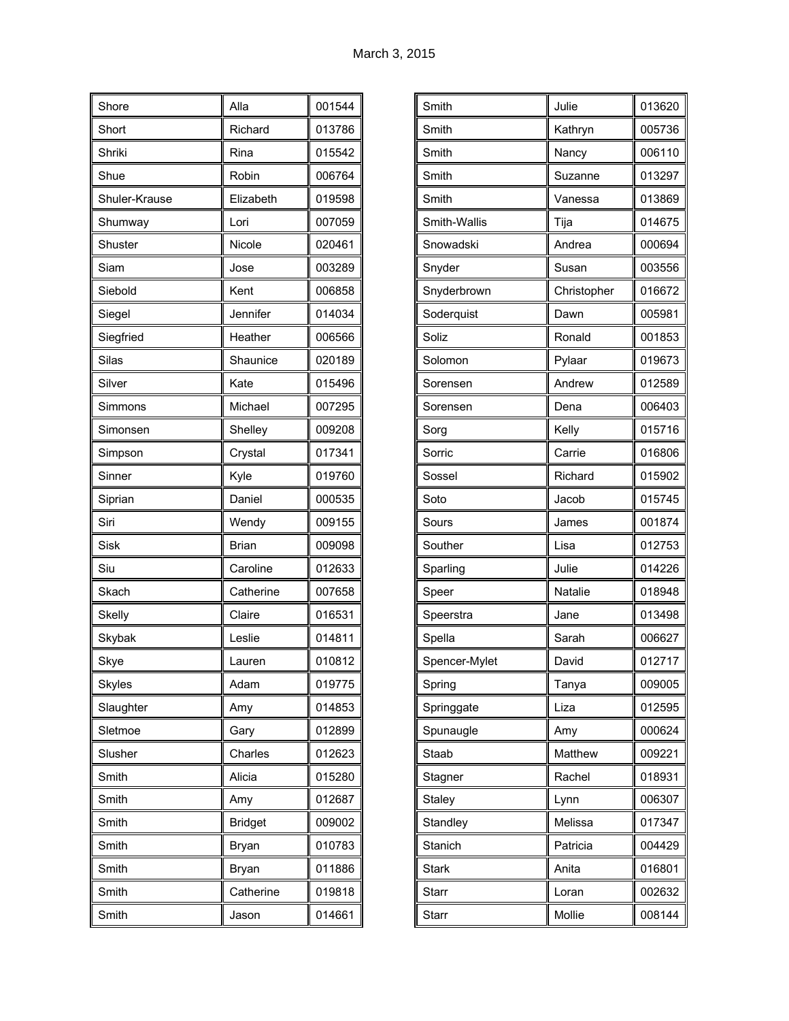| Shore         | Alla           | 001544 |
|---------------|----------------|--------|
| Short         | Richard        | 013786 |
| Shriki        | Rina           | 015542 |
| Shue          | Robin          | 006764 |
| Shuler-Krause | Elizabeth      | 019598 |
| Shumway       | Lori           | 007059 |
| Shuster       | Nicole         | 020461 |
| Siam          | Jose           | 003289 |
| Siebold       | Kent           | 006858 |
| Siegel        | Jennifer       | 014034 |
| Siegfried     | Heather        | 006566 |
| Silas         | Shaunice       | 020189 |
| Silver        | Kate           | 015496 |
| Simmons       | Michael        | 007295 |
| Simonsen      | Shelley        | 009208 |
| Simpson       | Crystal        | 017341 |
| Sinner        | Kyle           | 019760 |
| Siprian       | Daniel         | 000535 |
| Siri          | Wendy          | 009155 |
| Sisk          | <b>Brian</b>   | 009098 |
| Siu           | Caroline       | 012633 |
| Skach         | Catherine      | 007658 |
| Skelly        | Claire         | 016531 |
| Skybak        | Leslie         | 014811 |
| Skye          | Lauren         | 010812 |
| <b>Skyles</b> | Adam           | 019775 |
| Slaughter     | Amy            | 014853 |
| Sletmoe       | Gary           | 012899 |
| Slusher       | Charles        | 012623 |
| Smith         | Alicia         | 015280 |
| Smith         | Amy            | 012687 |
| Smith         | <b>Bridget</b> | 009002 |
| Smith         | <b>Bryan</b>   | 010783 |
| Smith         | Bryan          | 011886 |
| Smith         | Catherine      | 019818 |
| Smith         | Jason          | 014661 |

| Smith         | Julie       | 013620 |
|---------------|-------------|--------|
| Smith         | Kathryn     | 005736 |
| Smith         | Nancy       | 006110 |
| Smith         | Suzanne     | 013297 |
| Smith         | Vanessa     | 013869 |
| Smith-Wallis  | Tija        | 014675 |
| Snowadski     | Andrea      | 000694 |
| Snyder        | Susan       | 003556 |
| Snyderbrown   | Christopher | 016672 |
| Soderquist    | Dawn        | 005981 |
| Soliz         | Ronald      | 001853 |
| Solomon       | Pylaar      | 019673 |
| Sorensen      | Andrew      | 012589 |
| Sorensen      | Dena        | 006403 |
| Sorg          | Kelly       | 015716 |
| Sorric        | Carrie      | 016806 |
| Sossel        | Richard     | 015902 |
| Soto          | Jacob       | 015745 |
| Sours         | James       | 001874 |
| Souther       | Lisa        | 012753 |
| Sparling      | Julie       | 014226 |
| Speer         | Natalie     | 018948 |
| Speerstra     | Jane        | 013498 |
| Spella        | Sarah       | 006627 |
| Spencer-Mylet | David       | 012717 |
| Spring        | Tanya       | 009005 |
| Springgate    | Liza        | 012595 |
| Spunaugle     | Amy         | 000624 |
| Staab         | Matthew     | 009221 |
| Stagner       | Rachel      | 018931 |
| <b>Staley</b> | Lynn        | 006307 |
| Standley      | Melissa     | 017347 |
| Stanich       | Patricia    | 004429 |
| Stark         | Anita       | 016801 |
| Starr         | Loran       | 002632 |
| Starr         | Mollie      | 008144 |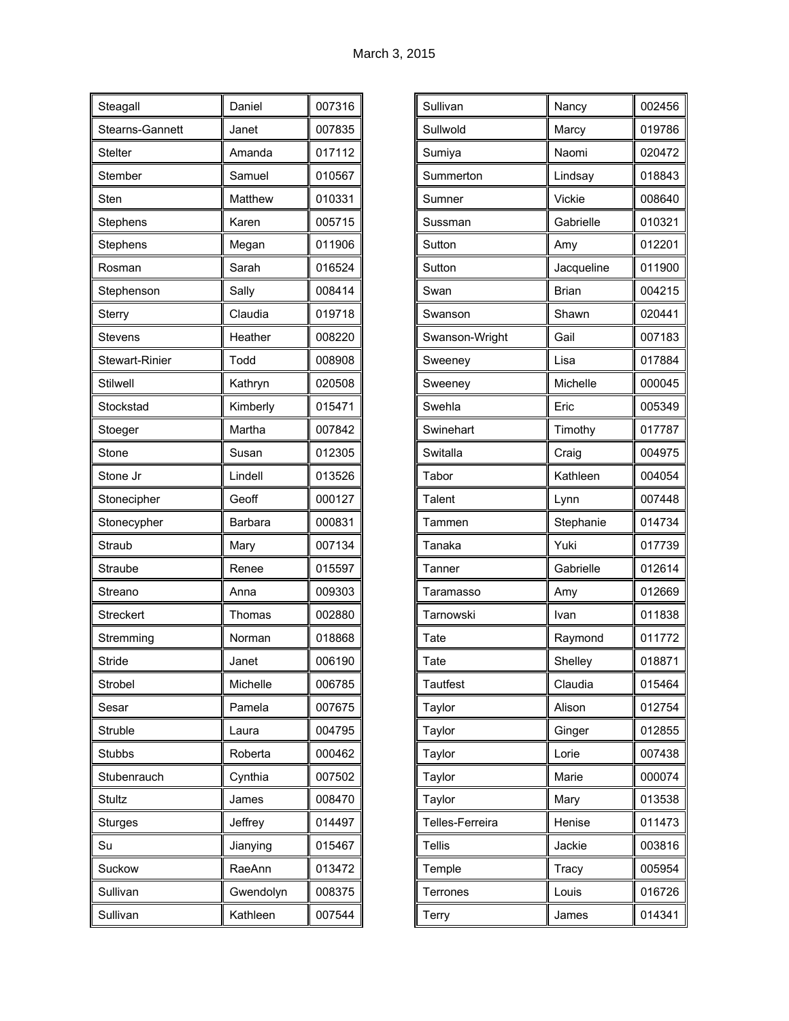| Steagall              | Daniel    | 007316 |
|-----------------------|-----------|--------|
| Stearns-Gannett       | Janet     | 007835 |
| <b>Stelter</b>        | Amanda    | 017112 |
| Stember               | Samuel    | 010567 |
| Sten                  | Matthew   | 010331 |
| Stephens              | Karen     | 005715 |
| Stephens              | Megan     | 011906 |
| Rosman                | Sarah     | 016524 |
| Stephenson            | Sally     | 008414 |
| Sterry                | Claudia   | 019718 |
| <b>Stevens</b>        | Heather   | 008220 |
| <b>Stewart-Rinier</b> | Todd      | 008908 |
| <b>Stilwell</b>       | Kathryn   | 020508 |
| Stockstad             | Kimberly  | 015471 |
| Stoeger               | Martha    | 007842 |
| Stone                 | Susan     | 012305 |
| Stone Jr              | Lindell   | 013526 |
| Stonecipher           | Geoff     | 000127 |
| Stonecypher           | Barbara   | 000831 |
| Straub                | Mary      | 007134 |
| Straube               | Renee     | 015597 |
| Streano               | Anna      | 009303 |
| <b>Streckert</b>      | Thomas    | 002880 |
| Stremming             | Norman    | 018868 |
| Stride                | Janet     | 006190 |
| Strobel               | Michelle  | 006785 |
| Sesar                 | Pamela    | 007675 |
| Struble               | Laura     | 004795 |
| Stubbs                | Roberta   | 000462 |
| Stubenrauch           | Cynthia   | 007502 |
| Stultz                | James     | 008470 |
| <b>Sturges</b>        | Jeffrey   | 014497 |
| Su                    | Jianying  | 015467 |
| Suckow                | RaeAnn    | 013472 |
| Sullivan              | Gwendolyn | 008375 |
| Sullivan              | Kathleen  | 007544 |

| Sullivan        | Nancy        | 002456 |
|-----------------|--------------|--------|
| Sullwold        |              | 019786 |
|                 | Marcy        |        |
| Sumiya          | Naomi        | 020472 |
| Summerton       | Lindsay      | 018843 |
| Sumner          | Vickie       | 008640 |
| Sussman         | Gabrielle    | 010321 |
| Sutton          | Amy          | 012201 |
| Sutton          | Jacqueline   | 011900 |
| Swan            | <b>Brian</b> | 004215 |
| Swanson         | Shawn        | 020441 |
| Swanson-Wright  | Gail         | 007183 |
| Sweeney         | Lisa         | 017884 |
| Sweeney         | Michelle     | 000045 |
| Swehla          | Eric         | 005349 |
| Swinehart       | Timothy      | 017787 |
| Switalla        | Craig        | 004975 |
| Tabor           | Kathleen     | 004054 |
| Talent          | Lynn         | 007448 |
| Tammen          | Stephanie    | 014734 |
| Tanaka          | Yuki         | 017739 |
| Tanner          | Gabrielle    | 012614 |
| Taramasso       | Amy          | 012669 |
| Tarnowski       | Ivan         | 011838 |
| Tate            | Raymond      | 011772 |
| Tate            | Shelley      | 018871 |
| <b>Tautfest</b> | Claudia      | 015464 |
| Taylor          | Alison       | 012754 |
| Taylor          | Ginger       | 012855 |
| Taylor          | Lorie        | 007438 |
| Taylor          | Marie        | 000074 |
| Taylor          | Mary         | 013538 |
| Telles-Ferreira | Henise       | 011473 |
| <b>Tellis</b>   | Jackie       | 003816 |
| Temple          | Tracy        | 005954 |
| Terrones        | Louis        | 016726 |
| Terry           | James        | 014341 |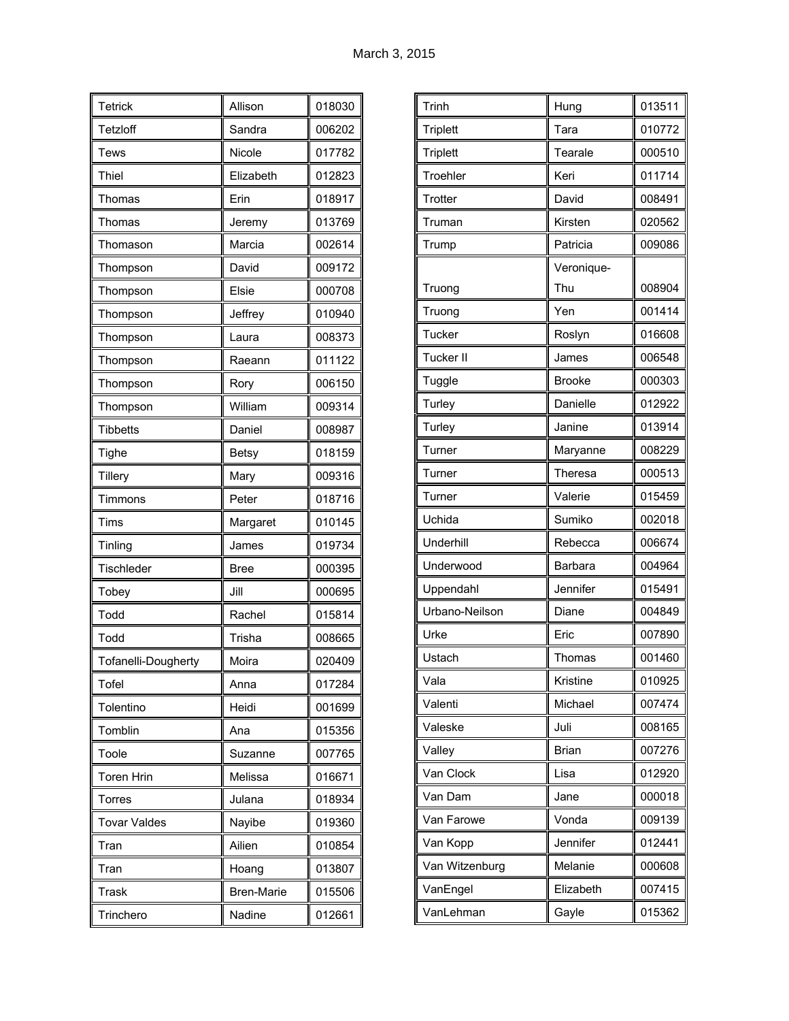| Tetrick             | Allison           | 018030 |
|---------------------|-------------------|--------|
| Tetzloff            | Sandra            | 006202 |
| Tews                | Nicole            | 017782 |
| Thiel               | Elizabeth         | 012823 |
| Thomas              | Erin              | 018917 |
| Thomas              | Jeremy            | 013769 |
| Thomason            | Marcia            | 002614 |
| Thompson            | David             | 009172 |
| Thompson            | Elsie             | 000708 |
| Thompson            | Jeffrey           | 010940 |
| Thompson            | Laura             | 008373 |
| Thompson            | Raeann            | 011122 |
| Thompson            | Rory              | 006150 |
| Thompson            | William           | 009314 |
| <b>Tibbetts</b>     | Daniel            | 008987 |
| Tighe               | Betsy             | 018159 |
| <b>Tillery</b>      | Mary              | 009316 |
| Timmons             | Peter             | 018716 |
| Tims                | Margaret          | 010145 |
| Tinling             | James             | 019734 |
| Tischleder          | Bree              | 000395 |
| Tobey               | Jill              | 000695 |
| Todd                | Rachel            | 015814 |
| Todd                | Trisha            | 008665 |
| Tofanelli-Dougherty | Moira             | 020409 |
| Tofel               | Anna              | 017284 |
| Tolentino           | Heidi             | 001699 |
| Tomblin             | Ana               | 015356 |
| Toole               | Suzanne           | 007765 |
| <b>Toren Hrin</b>   | Melissa           | 016671 |
| Torres              | Julana            | 018934 |
| <b>Tovar Valdes</b> | Nayibe            | 019360 |
| Tran                | Ailien            | 010854 |
| Tran                | Hoang             | 013807 |
| Trask               | <b>Bren-Marie</b> | 015506 |
| Trinchero           | Nadine            | 012661 |

| Trinh           | Hung          | 013511 |
|-----------------|---------------|--------|
| <b>Triplett</b> | Tara          | 010772 |
| <b>Triplett</b> | Tearale       | 000510 |
| Troehler        | Keri          | 011714 |
| Trotter         | David         | 008491 |
| Truman          | Kirsten       | 020562 |
| Trump           | Patricia      | 009086 |
|                 | Veronique-    |        |
| Truong          | Thu           | 008904 |
| Truong          | Yen           | 001414 |
| Tucker          | Roslyn        | 016608 |
| Tucker II       | James         | 006548 |
| Tuggle          | <b>Brooke</b> | 000303 |
| Turley          | Danielle      | 012922 |
| Turley          | Janine        | 013914 |
| Turner          | Maryanne      | 008229 |
| Turner          | Theresa       | 000513 |
| Turner          | Valerie       | 015459 |
| Uchida          | Sumiko        | 002018 |
| Underhill       | Rebecca       | 006674 |
| Underwood       | Barbara       | 004964 |
| Uppendahl       | Jennifer      | 015491 |
| Urbano-Neilson  | Diane         | 004849 |
| Urke            | Eric          | 007890 |
| Ustach          | Thomas        | 001460 |
| Vala            | Kristine      | 010925 |
| Valenti         | Michael       | 007474 |
| Valeske         | Juli          | 008165 |
| Valley          | <b>Brian</b>  | 007276 |
| Van Clock       | Lisa          | 012920 |
| Van Dam         | Jane          | 000018 |
| Van Farowe      | Vonda         | 009139 |
| Van Kopp        | Jennifer      | 012441 |
| Van Witzenburg  | Melanie       | 000608 |
| VanEngel        |               |        |
|                 | Elizabeth     | 007415 |
|                 |               |        |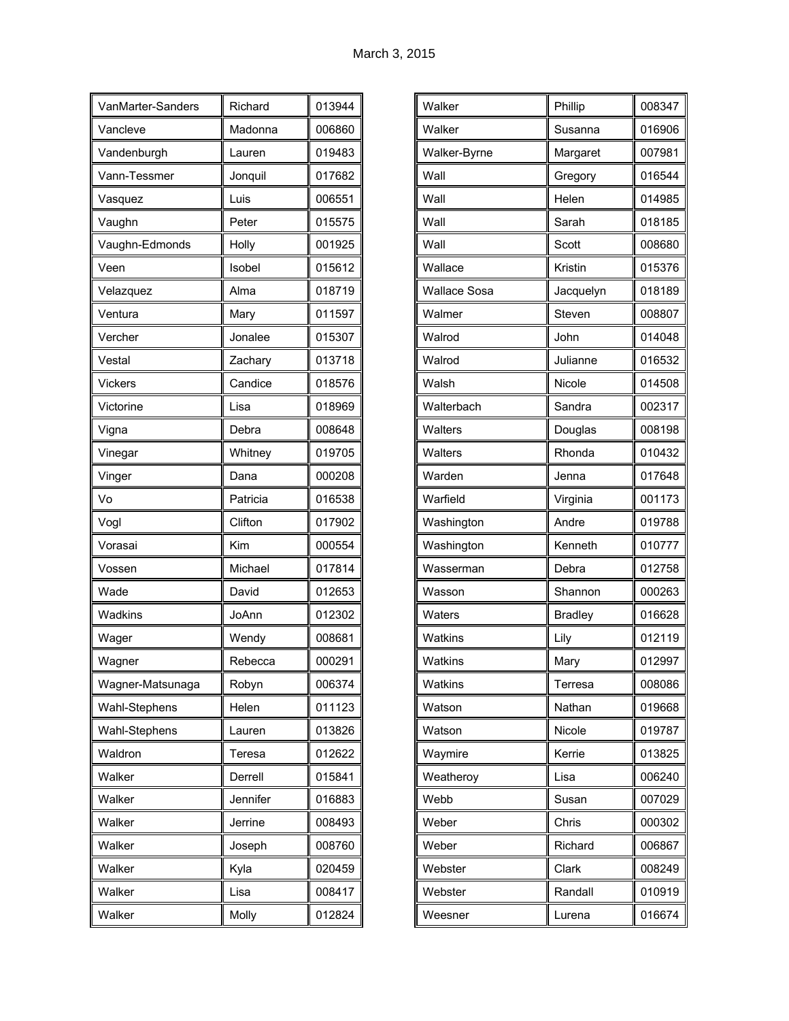| VanMarter-Sanders | Richard  | 013944 |
|-------------------|----------|--------|
| Vancleve          | Madonna  | 006860 |
| Vandenburgh       | Lauren   | 019483 |
| Vann-Tessmer      | Jonquil  | 017682 |
| Vasquez           | Luis     | 006551 |
| Vaughn            | Peter    | 015575 |
| Vaughn-Edmonds    | Holly    | 001925 |
| Veen              | Isobel   | 015612 |
| Velazquez         | Alma     | 018719 |
| Ventura           | Mary     | 011597 |
| Vercher           | Jonalee  | 015307 |
| Vestal            | Zachary  | 013718 |
| <b>Vickers</b>    | Candice  | 018576 |
| Victorine         | Lisa     | 018969 |
| Vigna             | Debra    | 008648 |
| Vinegar           | Whitney  | 019705 |
| Vinger            | Dana     | 000208 |
| Vo                | Patricia | 016538 |
| Vogl              | Clifton  | 017902 |
| Vorasai           | Kim      | 000554 |
| Vossen            | Michael  | 017814 |
| Wade              | David    | 012653 |
| Wadkins           | JoAnn    | 012302 |
| Wager             | Wendy    | 008681 |
| Wagner            | Rebecca  | 000291 |
| Wagner-Matsunaga  | Robyn    | 006374 |
| Wahl-Stephens     | Helen    | 011123 |
| Wahl-Stephens     | Lauren   | 013826 |
| Waldron           | Teresa   | 012622 |
| Walker            | Derrell  | 015841 |
| Walker            | Jennifer | 016883 |
| Walker            | Jerrine  | 008493 |
| Walker            | Joseph   | 008760 |
| Walker            | Kyla     | 020459 |
| Walker            | Lisa     | 008417 |
| Walker            | Molly    | 012824 |

| Walker              | Phillip        | 008347 |
|---------------------|----------------|--------|
| Walker              | Susanna        | 016906 |
| Walker-Byrne        | Margaret       | 007981 |
| Wall                | Gregory        | 016544 |
| Wall                | Helen          | 014985 |
| Wall                | Sarah          | 018185 |
| Wall                | Scott          | 008680 |
| Wallace             | Kristin        | 015376 |
| <b>Wallace Sosa</b> | Jacquelyn      | 018189 |
| Walmer              | Steven         | 008807 |
| Walrod              | John           | 014048 |
| Walrod              | Julianne       | 016532 |
| Walsh               | Nicole         | 014508 |
| Walterbach          | Sandra         | 002317 |
| Walters             | Douglas        | 008198 |
| Walters             | Rhonda         | 010432 |
| Warden              | Jenna          | 017648 |
| Warfield            | Virginia       | 001173 |
| Washington          | Andre          | 019788 |
| Washington          | Kenneth        | 010777 |
| Wasserman           | Debra          | 012758 |
| Wasson              | Shannon        | 000263 |
| Waters              | <b>Bradley</b> | 016628 |
| Watkins             | Lily           | 012119 |
| Watkins             | Mary           | 012997 |
| Watkins             | Terresa        | 008086 |
| Watson              | Nathan         | 019668 |
| Watson              | Nicole         | 019787 |
| Waymire             | Kerrie         | 013825 |
| Weatheroy           | Lisa           | 006240 |
| Webb                | Susan          | 007029 |
| Weber               | Chris          | 000302 |
| Weber               | Richard        | 006867 |
| Webster             | Clark          | 008249 |
| Webster             | Randall        | 010919 |
| Weesner             | Lurena         | 016674 |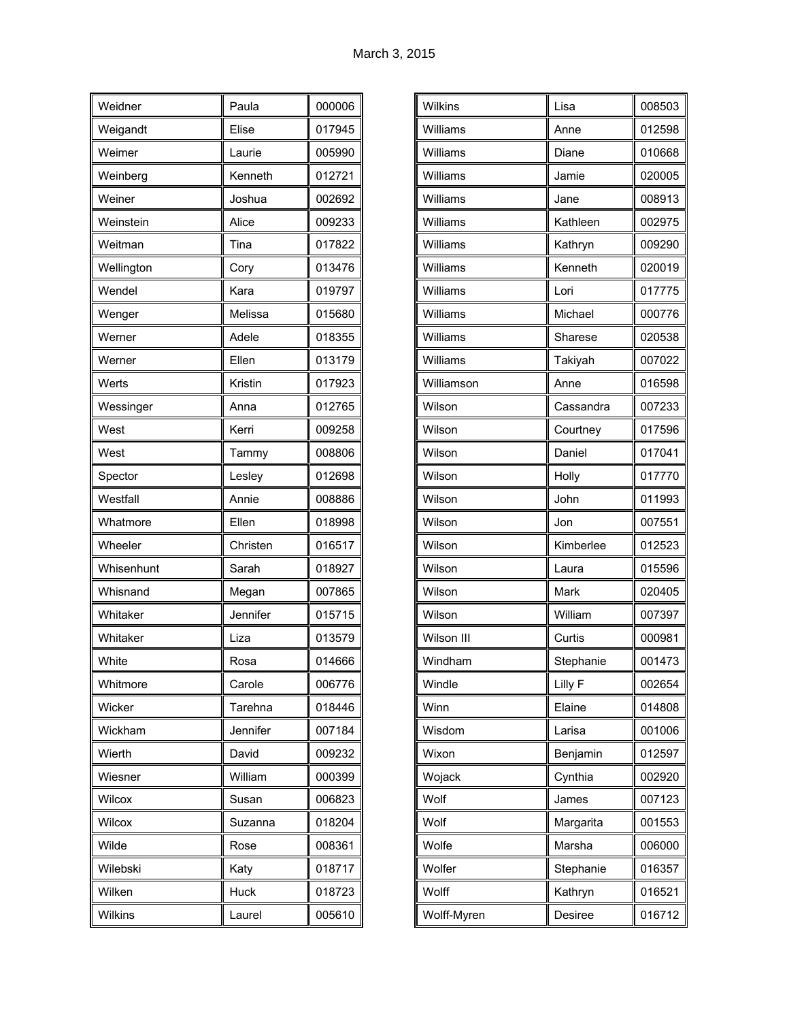| Weidner        | Paula    | 000006 |
|----------------|----------|--------|
| Weigandt       | Elise    | 017945 |
| Weimer         | Laurie   | 005990 |
| Weinberg       | Kenneth  | 012721 |
| Weiner         | Joshua   | 002692 |
| Weinstein      | Alice    | 009233 |
| Weitman        | Tina     | 017822 |
| Wellington     | Cory     | 013476 |
| Wendel         | Kara     | 019797 |
| Wenger         | Melissa  | 015680 |
| Werner         | Adele    | 018355 |
| Werner         | Ellen    | 013179 |
| Werts          | Kristin  | 017923 |
| Wessinger      | Anna     | 012765 |
| West           | Kerri    | 009258 |
| West           | Tammy    | 008806 |
| Spector        | Lesley   | 012698 |
| Westfall       | Annie    | 008886 |
| Whatmore       | Ellen    | 018998 |
| Wheeler        | Christen | 016517 |
| Whisenhunt     | Sarah    | 018927 |
| Whisnand       | Megan    | 007865 |
| Whitaker       | Jennifer | 015715 |
| Whitaker       | Liza     | 013579 |
| White          | Rosa     | 014666 |
| Whitmore       | Carole   | 006776 |
| Wicker         | Tarehna  | 018446 |
| Wickham        | Jennifer | 007184 |
| Wierth         | David    | 009232 |
| Wiesner        | William  | 000399 |
| Wilcox         | Susan    | 006823 |
| Wilcox         | Suzanna  | 018204 |
| Wilde          | Rose     | 008361 |
| Wilebski       | Katy     | 018717 |
| Wilken         | Huck     | 018723 |
| <b>Wilkins</b> | Laurel   | 005610 |

| Wilkins    | Lisa      | 008503 |
|------------|-----------|--------|
| Williams   | Anne      | 012598 |
| Williams   | Diane     | 010668 |
| Williams   | Jamie     | 020005 |
| Williams   | Jane      | 008913 |
| Williams   | Kathleen  | 002975 |
| Williams   | Kathryn   | 009290 |
| Williams   | Kenneth   | 020019 |
| Williams   | Lori      | 017775 |
| Williams   | Michael   | 000776 |
| Williams   | Sharese   | 020538 |
| Williams   | Takiyah   | 007022 |
| Williamson | Anne      | 016598 |
| Wilson     | Cassandra | 007233 |
| Wilson     | Courtney  | 017596 |
| Wilson     | Daniel    | 017041 |
| Wilson     | Holly     | 017770 |
|            |           | 011993 |
| Wilson     | John      |        |
| Wilson     | Jon       | 007551 |
| Wilson     | Kimberlee | 012523 |
| Wilson     | Laura     | 015596 |
| Wilson     | Mark      | 020405 |
| Wilson     | William   | 007397 |
| Wilson III | Curtis    | 000981 |
| Windham    | Stephanie | 001473 |
| Windle     | Lilly F   | 002654 |
| Winn       | Elaine    | 014808 |
| Wisdom     | Larisa    | 001006 |
| Wixon      | Benjamin  | 012597 |
| Wojack     | Cynthia   | 002920 |
| Wolf       | James     | 007123 |
| Wolf       | Margarita | 001553 |
| Wolfe      | Marsha    | 006000 |
| Wolfer     | Stephanie | 016357 |
| Wolff      | Kathryn   | 016521 |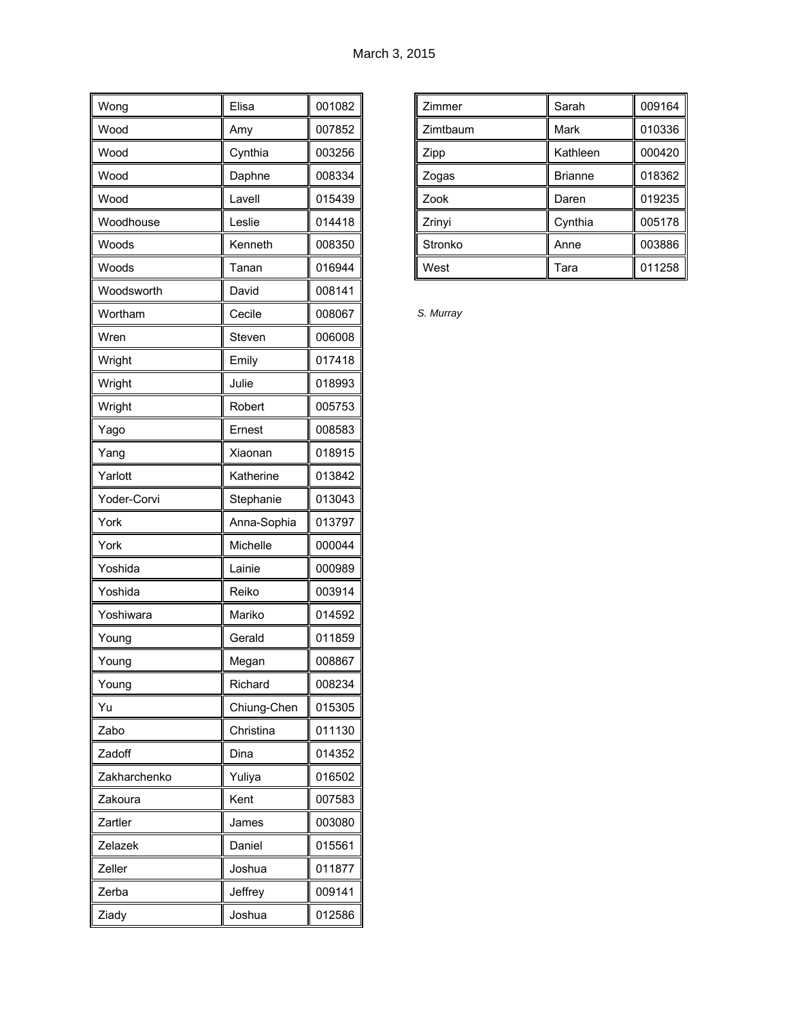| Wong         | Elisa       | 001082 |
|--------------|-------------|--------|
| Wood         | Amy         | 007852 |
| Wood         | Cynthia     | 003256 |
| Wood         | Daphne      | 008334 |
| Wood         | Lavell      | 015439 |
| Woodhouse    | Leslie      | 014418 |
| Woods        | Kenneth     | 008350 |
| Woods        | Tanan       | 016944 |
| Woodsworth   | David       | 008141 |
| Wortham      | Cecile      | 008067 |
| Wren         | Steven      | 006008 |
| Wright       | Emily       | 017418 |
| Wright       | Julie       | 018993 |
| Wright       | Robert      | 005753 |
| Yago         | Ernest      | 008583 |
| Yang         | Xiaonan     | 018915 |
| Yarlott      | Katherine   | 013842 |
| Yoder-Corvi  | Stephanie   | 013043 |
| York         | Anna-Sophia | 013797 |
| York         | Michelle    | 000044 |
| Yoshida      | Lainie      | 000989 |
| Yoshida      | Reiko       | 003914 |
| Yoshiwara    | Mariko      | 014592 |
| Young        | Gerald      | 011859 |
| Young        | Megan       | 008867 |
| Young        | Richard     | 008234 |
| Yu           | Chiung-Chen | 015305 |
| Zabo         | Christina   | 011130 |
| Zadoff       | Dina        | 014352 |
| Zakharchenko | Yuliya      | 016502 |
| Zakoura      | Kent        | 007583 |
| Zartler      | James       | 003080 |
| Zelazek      | Daniel      | 015561 |
| Zeller       | Joshua      | 011877 |
| Zerba        | Jeffrey     | 009141 |
| Ziady        | Joshua      | 012586 |

| Zimmer   | Sarah          | 009164 |
|----------|----------------|--------|
| Zimtbaum | Mark           | 010336 |
| Zipp     | Kathleen       | 000420 |
| Zogas    | <b>Brianne</b> | 018362 |
| Zook     | Daren          | 019235 |
| Zrinyi   | Cynthia        | 005178 |
| Stronko  | Anne           | 003886 |
| West     | Tara           | 011258 |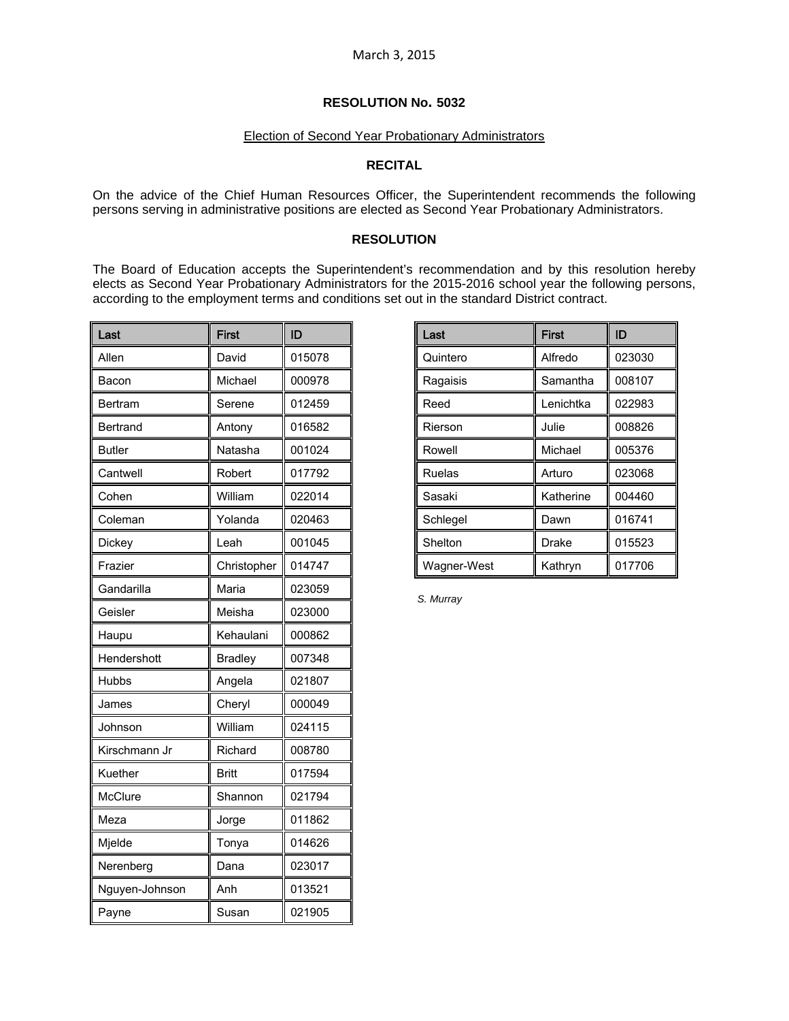# Election of Second Year Probationary Administrators

# **RECITAL**

On the advice of the Chief Human Resources Officer, the Superintendent recommends the following persons serving in administrative positions are elected as Second Year Probationary Administrators.

### **RESOLUTION**

The Board of Education accepts the Superintendent's recommendation and by this resolution hereby elects as Second Year Probationary Administrators for the 2015-2016 school year the following persons, according to the employment terms and conditions set out in the standard District contract.

| Last           | <b>First</b>   | ID     |  |
|----------------|----------------|--------|--|
| Allen          | David          | 015078 |  |
| Bacon          | Michael        | 000978 |  |
| Bertram        | Serene         | 012459 |  |
| Bertrand       | Antony         | 016582 |  |
| Butler         | Natasha        | 001024 |  |
| Cantwell       | Robert         | 017792 |  |
| Cohen          | William        | 022014 |  |
| Coleman        | Yolanda        | 020463 |  |
| Dickey         | Leah           | 001045 |  |
| Frazier        | Christopher    | 014747 |  |
| Gandarilla     | Maria          | 023059 |  |
| Geisler        | Meisha         | 023000 |  |
| Haupu          | Kehaulani      | 000862 |  |
| Hendershott    | <b>Bradley</b> | 007348 |  |
| Hubbs          | Angela         | 021807 |  |
| James          | Cheryl         | 000049 |  |
| Johnson        | William        | 024115 |  |
| Kirschmann Jr  | Richard        | 008780 |  |
| Kuether        | Britt          | 017594 |  |
| McClure        | Shannon        | 021794 |  |
| Meza           | Jorge          | 011862 |  |
| Mjelde         | Tonya          | 014626 |  |
| Nerenberg      | Dana           | 023017 |  |
| Nguyen-Johnson | Anh            | 013521 |  |
| Payne          | Susan          | 021905 |  |

| Last              | <b>First</b> | ID     |  |
|-------------------|--------------|--------|--|
| Quintero          | Alfredo      | 023030 |  |
| Ragaisis          | Samantha     | 008107 |  |
| Lenichtka<br>Reed |              | 022983 |  |
| Rierson           | Julie        | 008826 |  |
| Rowell            | Michael      | 005376 |  |
| Ruelas            | Arturo       | 023068 |  |
| Sasaki            | Katherine    | 004460 |  |
| Schlegel          | Dawn         | 016741 |  |
| Shelton           | Drake        | 015523 |  |
| Wagner-West       | Kathryn      | 017706 |  |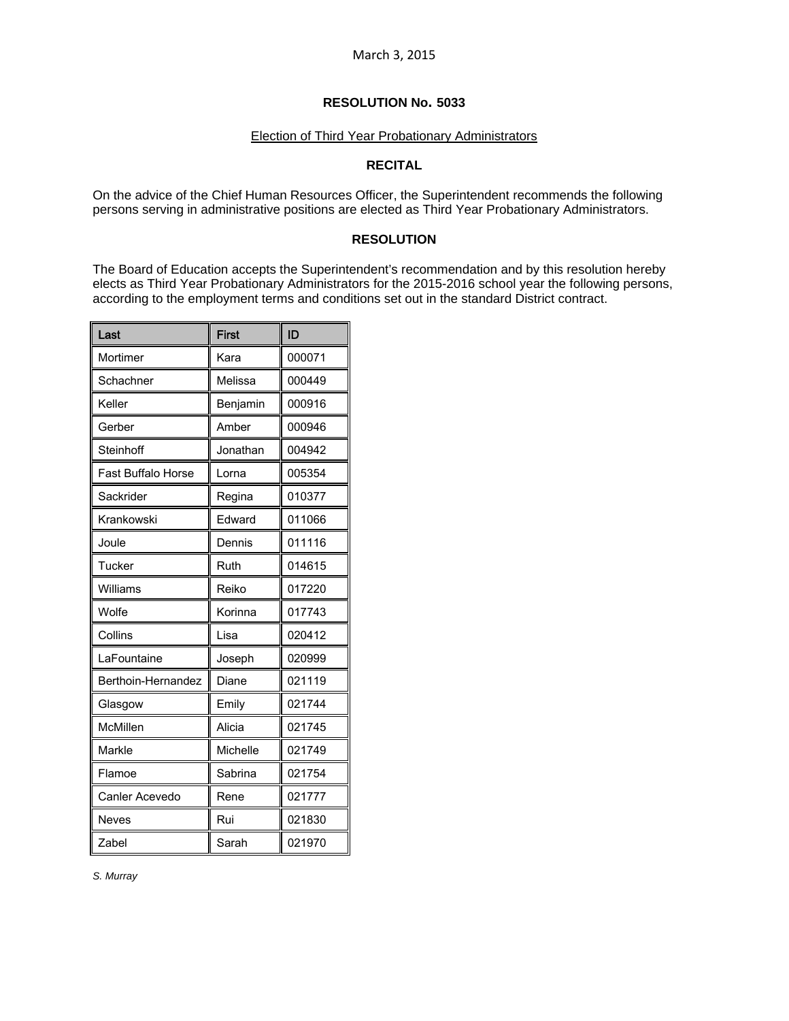### Election of Third Year Probationary Administrators

# **RECITAL**

On the advice of the Chief Human Resources Officer, the Superintendent recommends the following persons serving in administrative positions are elected as Third Year Probationary Administrators.

## **RESOLUTION**

The Board of Education accepts the Superintendent's recommendation and by this resolution hereby elects as Third Year Probationary Administrators for the 2015-2016 school year the following persons, according to the employment terms and conditions set out in the standard District contract.

| Last                      | <b>First</b> | ID     |
|---------------------------|--------------|--------|
| Mortimer                  | Kara         | 000071 |
| Schachner                 | Melissa      | 000449 |
| Keller                    | Benjamin     | 000916 |
| Gerber                    | Amber        | 000946 |
| Steinhoff                 | Jonathan     | 004942 |
| <b>Fast Buffalo Horse</b> | Lorna        | 005354 |
| Sackrider                 | Regina       | 010377 |
| Krankowski                | Edward       | 011066 |
| Joule                     | Dennis       | 011116 |
| Tucker                    | Ruth         | 014615 |
| Williams                  | Reiko        | 017220 |
| Wolfe                     | Korinna      | 017743 |
| Collins                   | Lisa         | 020412 |
| LaFountaine               | Joseph       | 020999 |
| Berthoin-Hernandez        | Diane        | 021119 |
| Glasgow                   | Emily        | 021744 |
| McMillen                  | Alicia       | 021745 |
| Markle                    | Michelle     | 021749 |
| Flamoe                    | Sabrina      | 021754 |
| Canler Acevedo            | Rene         | 021777 |
| <b>Neves</b>              | Rui          | 021830 |
| Zabel                     | Sarah        | 021970 |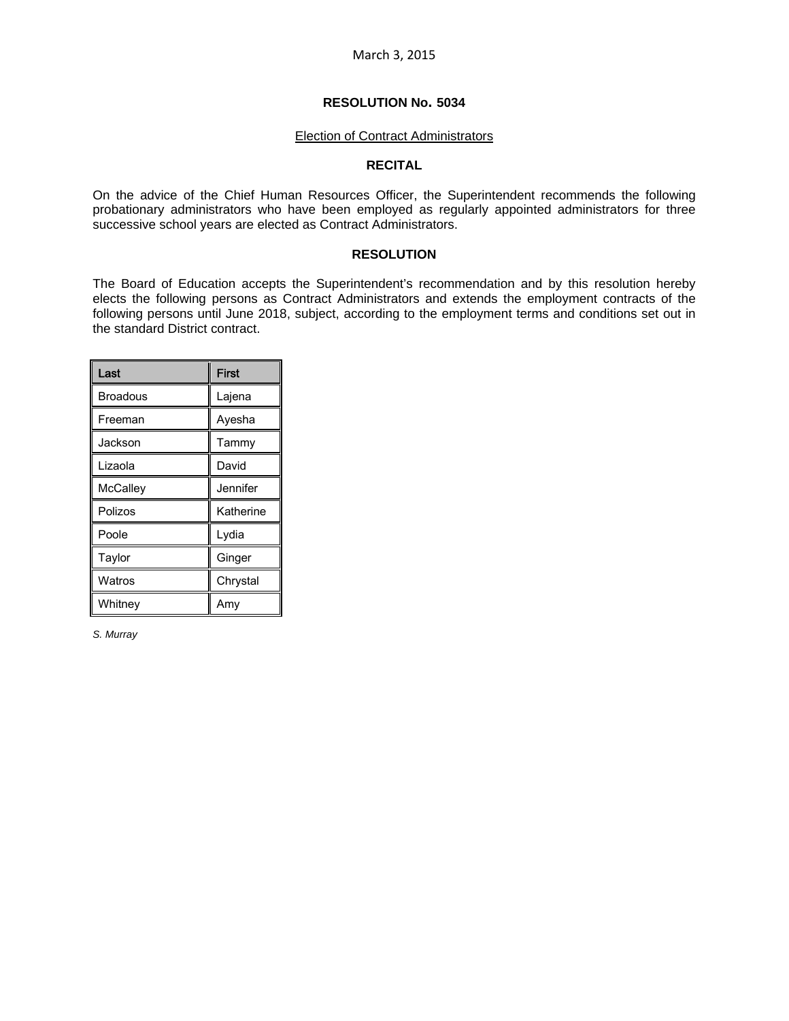#### Election of Contract Administrators

#### **RECITAL**

On the advice of the Chief Human Resources Officer, the Superintendent recommends the following probationary administrators who have been employed as regularly appointed administrators for three successive school years are elected as Contract Administrators.

#### **RESOLUTION**

The Board of Education accepts the Superintendent's recommendation and by this resolution hereby elects the following persons as Contract Administrators and extends the employment contracts of the following persons until June 2018, subject, according to the employment terms and conditions set out in the standard District contract.

| Last            | <b>First</b> |
|-----------------|--------------|
| <b>Broadous</b> | Lajena       |
| Freeman         | Ayesha       |
| Jackson         | Tammy        |
| Lizaola         | David        |
| <b>McCalley</b> | Jennifer     |
| Polizos         | Katherine    |
| Poole           | Lydia        |
| Taylor          | Ginger       |
| Watros          | Chrystal     |
| Whitney         | Amy          |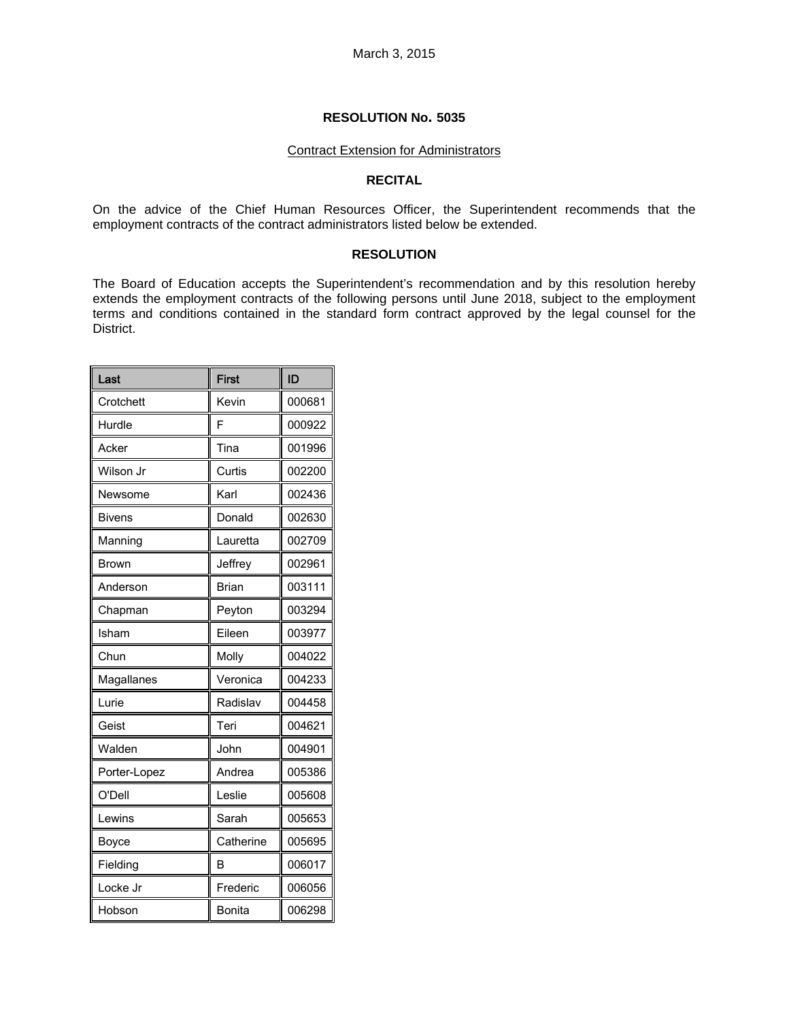#### Contract Extension for Administrators

#### **RECITAL**

On the advice of the Chief Human Resources Officer, the Superintendent recommends that the employment contracts of the contract administrators listed below be extended.

#### **RESOLUTION**

The Board of Education accepts the Superintendent's recommendation and by this resolution hereby extends the employment contracts of the following persons until June 2018, subject to the employment terms and conditions contained in the standard form contract approved by the legal counsel for the District.

| Last         | <b>First</b>  | ID     |
|--------------|---------------|--------|
| Crotchett    | Kevin         | 000681 |
| Hurdle       | F             | 000922 |
| Acker        | Tina          | 001996 |
| Wilson Jr    | Curtis        | 002200 |
| Newsome      | Karl          | 002436 |
| Bivens       | Donald        | 002630 |
| Manning      | Lauretta      | 002709 |
| <b>Brown</b> | Jeffrey       | 002961 |
| Anderson     | <b>Brian</b>  | 003111 |
| Chapman      | Peyton        | 003294 |
| Isham        | Eileen        | 003977 |
| Chun         | Molly         | 004022 |
| Magallanes   | Veronica      | 004233 |
| Lurie        | Radislav      | 004458 |
| Geist        | Teri          | 004621 |
| Walden       | John          | 004901 |
| Porter-Lopez | Andrea        | 005386 |
| O'Dell       | Leslie        | 005608 |
| Lewins       | Sarah         | 005653 |
| Boyce        | Catherine     | 005695 |
| Fielding     | R             | 006017 |
| Locke Jr     | Frederic      | 006056 |
| Hobson       | <b>Bonita</b> | 006298 |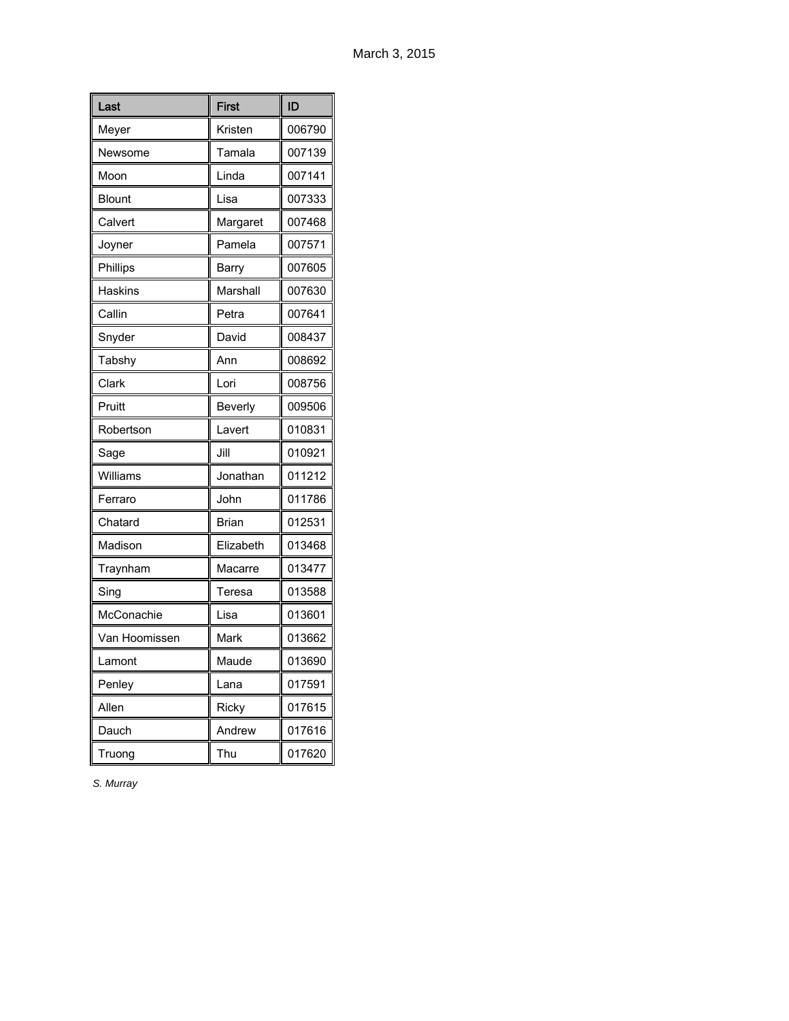| Last           | <b>First</b> | ID     |
|----------------|--------------|--------|
| Meyer          | Kristen      | 006790 |
| Newsome        | Tamala       | 007139 |
| Moon           | Linda        | 007141 |
| Blount         | Lisa         | 007333 |
| Calvert        | Margaret     | 007468 |
| Joyner         | Pamela       | 007571 |
| Phillips       | Barry        | 007605 |
| <b>Haskins</b> | Marshall     | 007630 |
| Callin         | Petra        | 007641 |
| Snyder         | David        | 008437 |
| Tabshy         | Ann          | 008692 |
| Clark          | Lori         | 008756 |
| Pruitt         | Beverly      | 009506 |
| Robertson      | Lavert       | 010831 |
| Sage           | Jill         | 010921 |
| Williams       | Jonathan     | 011212 |
| Ferraro        | John         | 011786 |
| Chatard        | Brian        | 012531 |
| Madison        | Elizabeth    | 013468 |
| Traynham       | Macarre      | 013477 |
| Sing           | Teresa       | 013588 |
| McConachie     | Lisa         | 013601 |
| Van Hoomissen  | Mark         | 013662 |
| Lamont         | Maude        | 013690 |
| Penley         | Lana         | 017591 |
| Allen          | Ricky        | 017615 |
| Dauch          | Andrew       | 017616 |
| Truong         | Thu          | 017620 |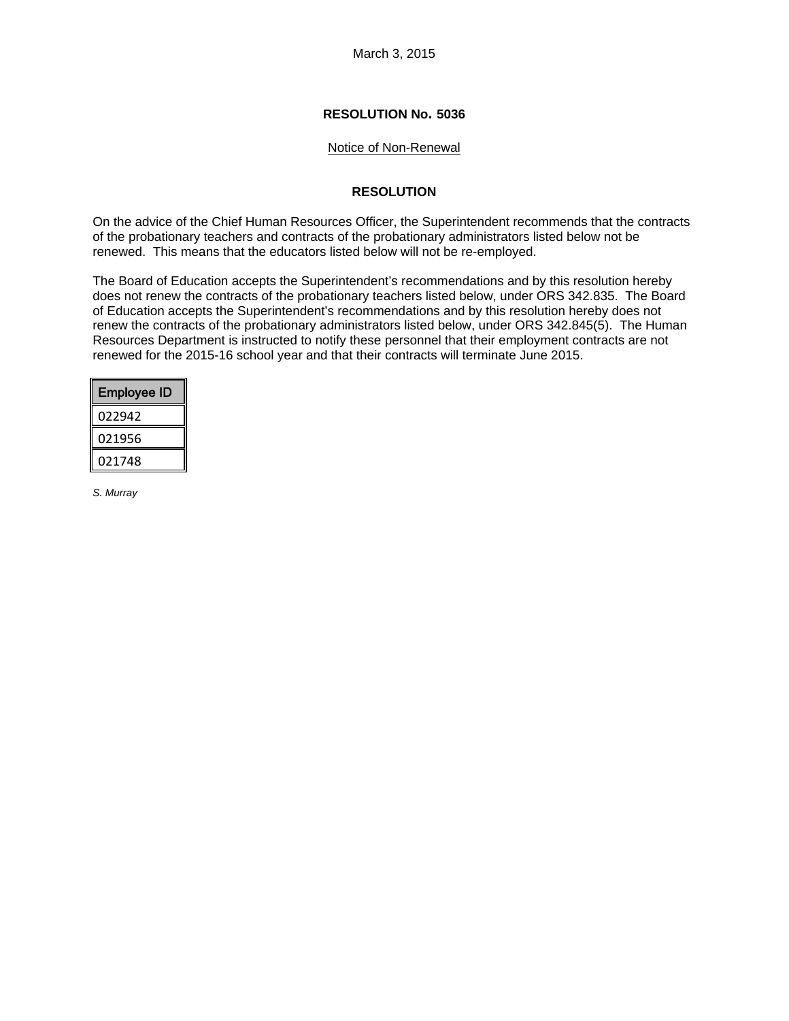March 3, 2015

## **RESOLUTION No. 5036**

#### Notice of Non-Renewal

## **RESOLUTION**

On the advice of the Chief Human Resources Officer, the Superintendent recommends that the contracts of the probationary teachers and contracts of the probationary administrators listed below not be renewed. This means that the educators listed below will not be re-employed.

The Board of Education accepts the Superintendent's recommendations and by this resolution hereby does not renew the contracts of the probationary teachers listed below, under ORS 342.835. The Board of Education accepts the Superintendent's recommendations and by this resolution hereby does not renew the contracts of the probationary administrators listed below, under ORS 342.845(5). The Human Resources Department is instructed to notify these personnel that their employment contracts are not renewed for the 2015-16 school year and that their contracts will terminate June 2015.

| Employee ID |
|-------------|
| 022942      |
| 021956      |
| 021748      |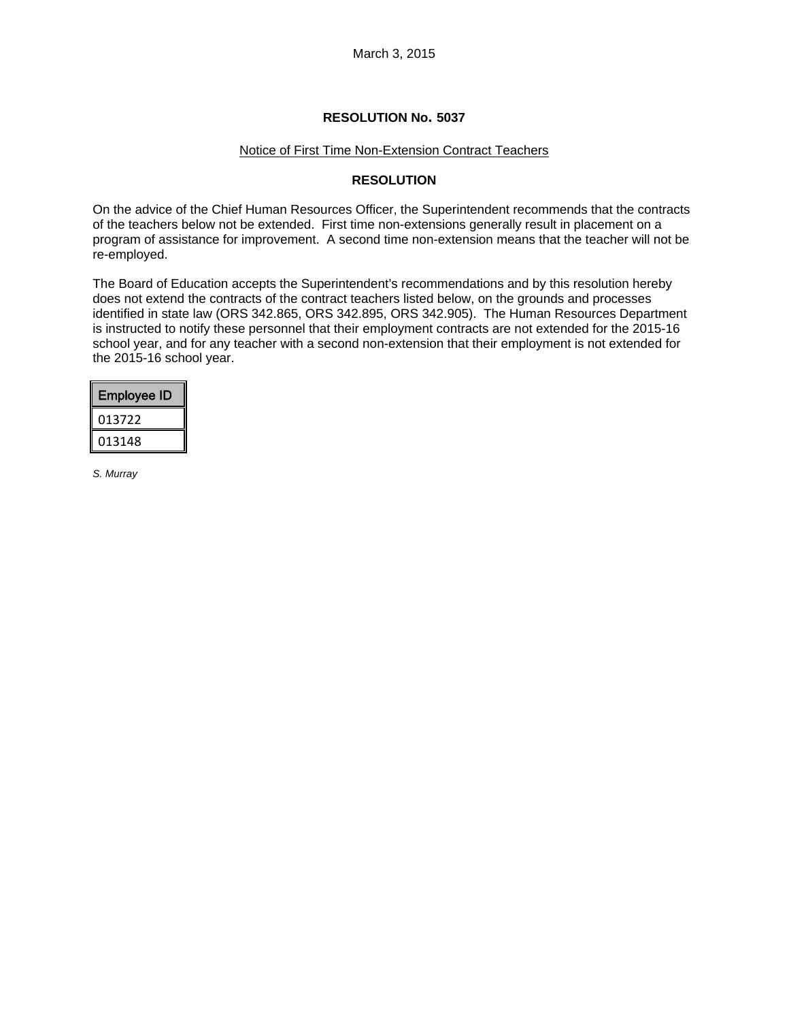# Notice of First Time Non-Extension Contract Teachers

#### **RESOLUTION**

On the advice of the Chief Human Resources Officer, the Superintendent recommends that the contracts of the teachers below not be extended. First time non-extensions generally result in placement on a program of assistance for improvement. A second time non-extension means that the teacher will not be re-employed.

The Board of Education accepts the Superintendent's recommendations and by this resolution hereby does not extend the contracts of the contract teachers listed below, on the grounds and processes identified in state law (ORS 342.865, ORS 342.895, ORS 342.905). The Human Resources Department is instructed to notify these personnel that their employment contracts are not extended for the 2015-16 school year, and for any teacher with a second non-extension that their employment is not extended for the 2015-16 school year.

| <b>Employee ID</b> |
|--------------------|
| 013722             |
| 013148             |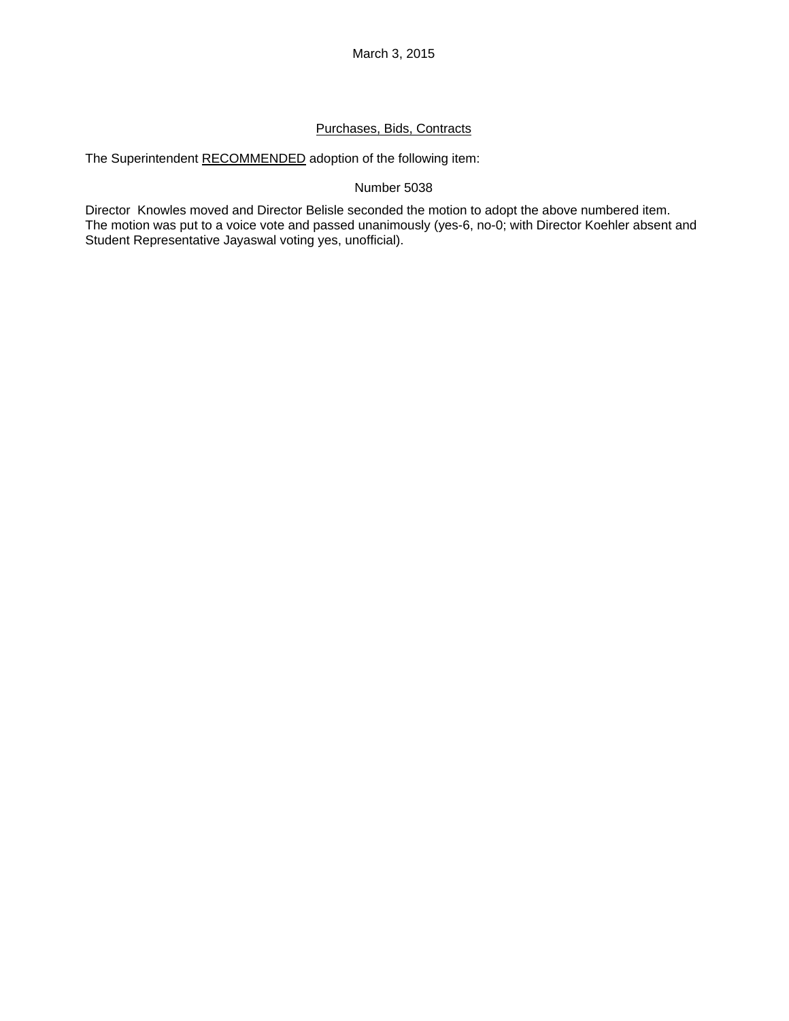# Purchases, Bids, Contracts

The Superintendent RECOMMENDED adoption of the following item:

# Number 5038

Director Knowles moved and Director Belisle seconded the motion to adopt the above numbered item. The motion was put to a voice vote and passed unanimously (yes-6, no-0; with Director Koehler absent and Student Representative Jayaswal voting yes, unofficial).